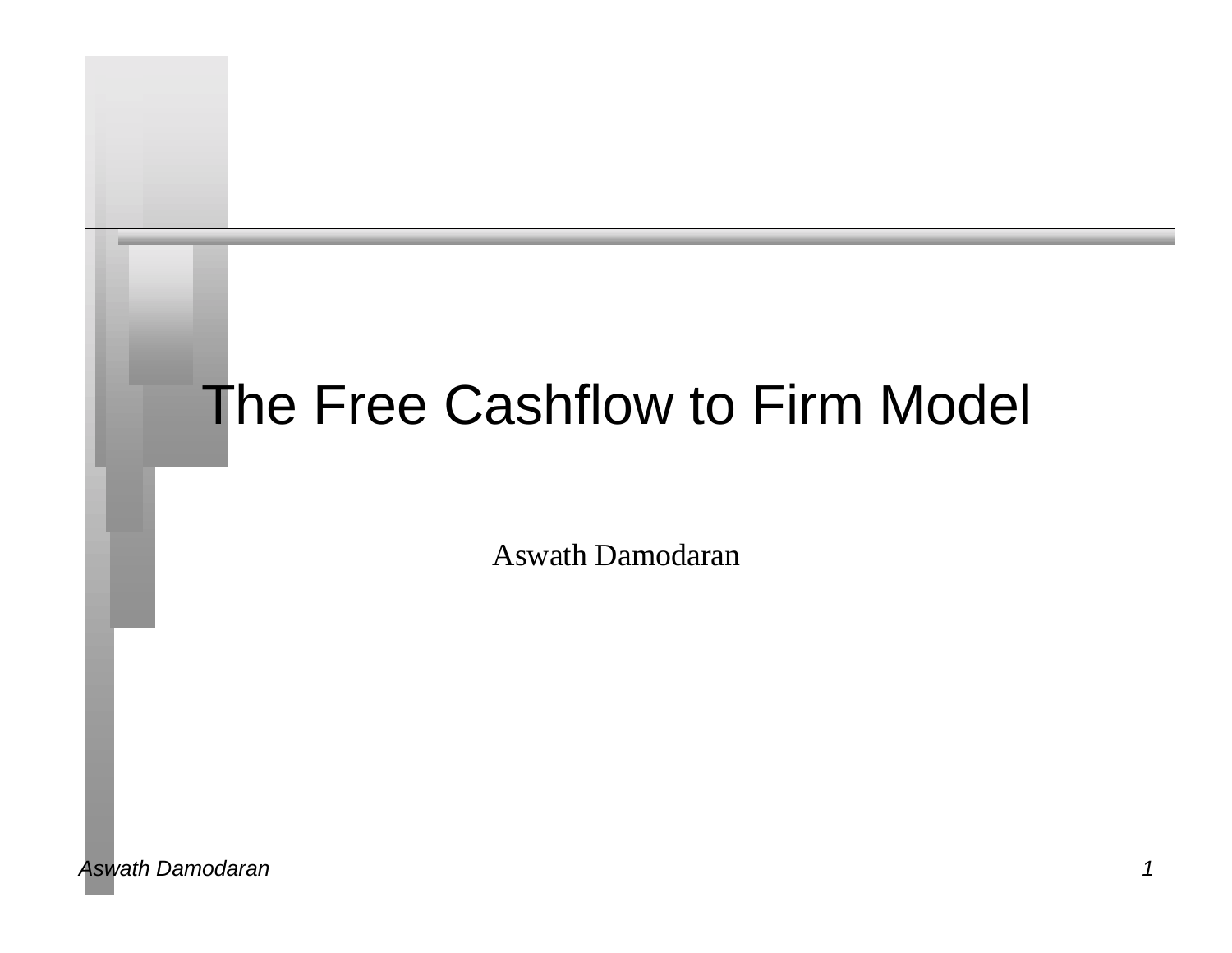# The Free Cashflow to Firm Model

Aswath Damodaran

*Aswath Damodaran 1*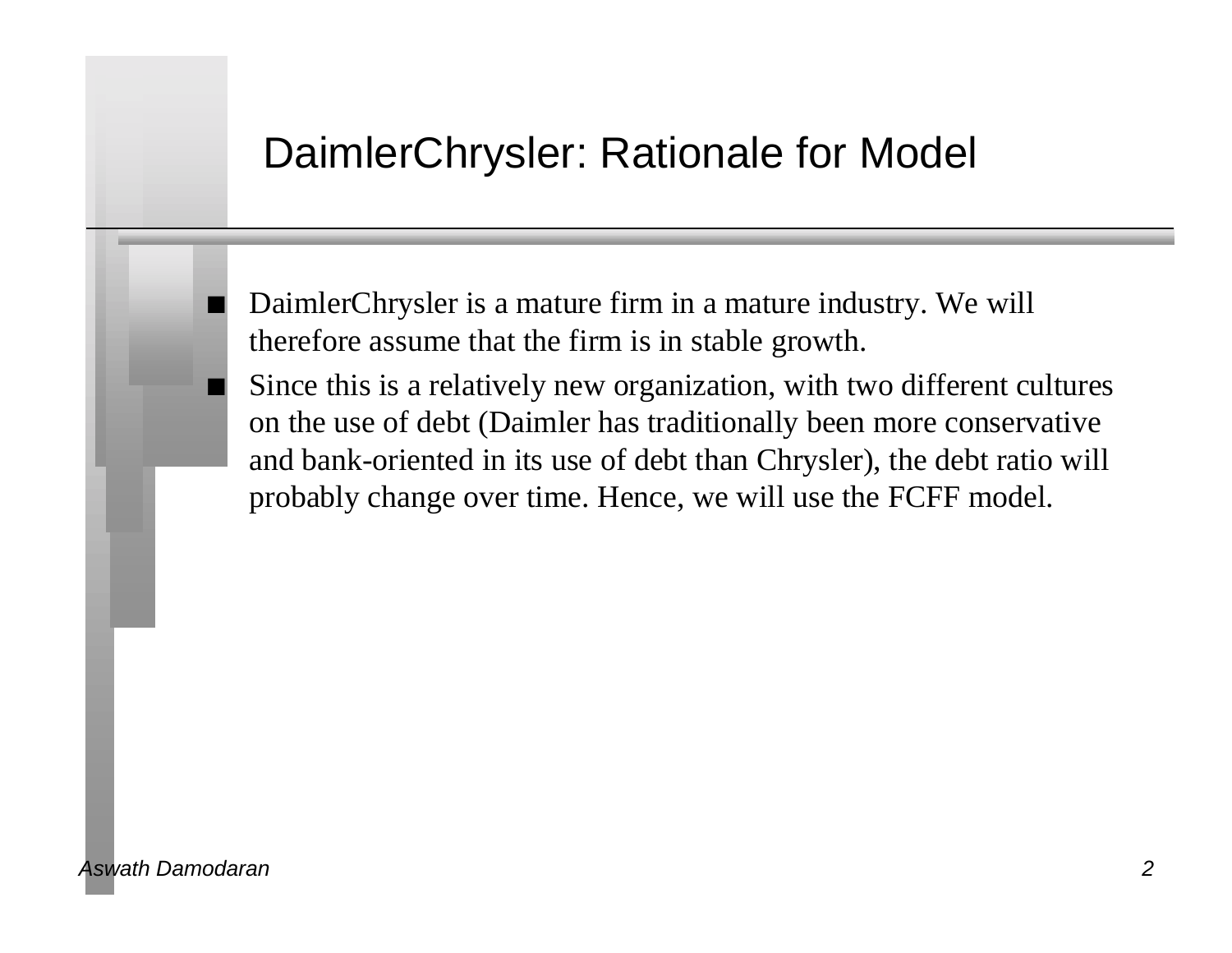#### DaimlerChrysler: Rationale for Model

n DaimlerChrysler is a mature firm in a mature industry. We will therefore assume that the firm is in stable growth.

Since this is a relatively new organization, with two different cultures on the use of debt (Daimler has traditionally been more conservative and bank-oriented in its use of debt than Chrysler), the debt ratio will probably change over time. Hence, we will use the FCFF model.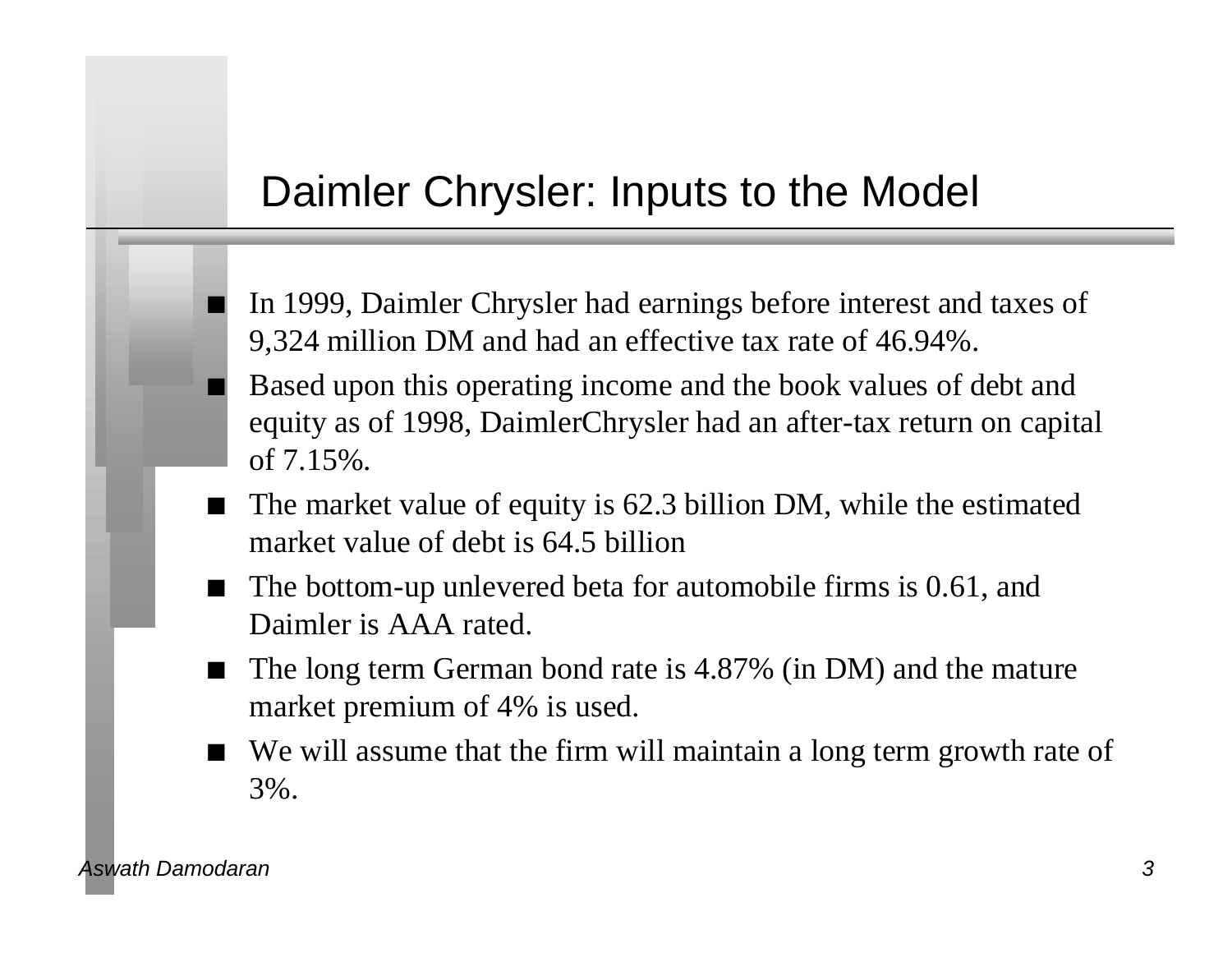#### Daimler Chrysler: Inputs to the Model

- n In 1999, Daimler Chrysler had earnings before interest and taxes of 9,324 million DM and had an effective tax rate of 46.94%.
- Based upon this operating income and the book values of debt and equity as of 1998, DaimlerChrysler had an after-tax return on capital of 7.15%.
- The market value of equity is 62.3 billion DM, while the estimated market value of debt is 64.5 billion
- $\blacksquare$  The bottom-up unlevered beta for automobile firms is 0.61, and Daimler is AAA rated.
- The long term German bond rate is 4.87% (in DM) and the mature market premium of 4% is used.
- We will assume that the firm will maintain a long term growth rate of 3%.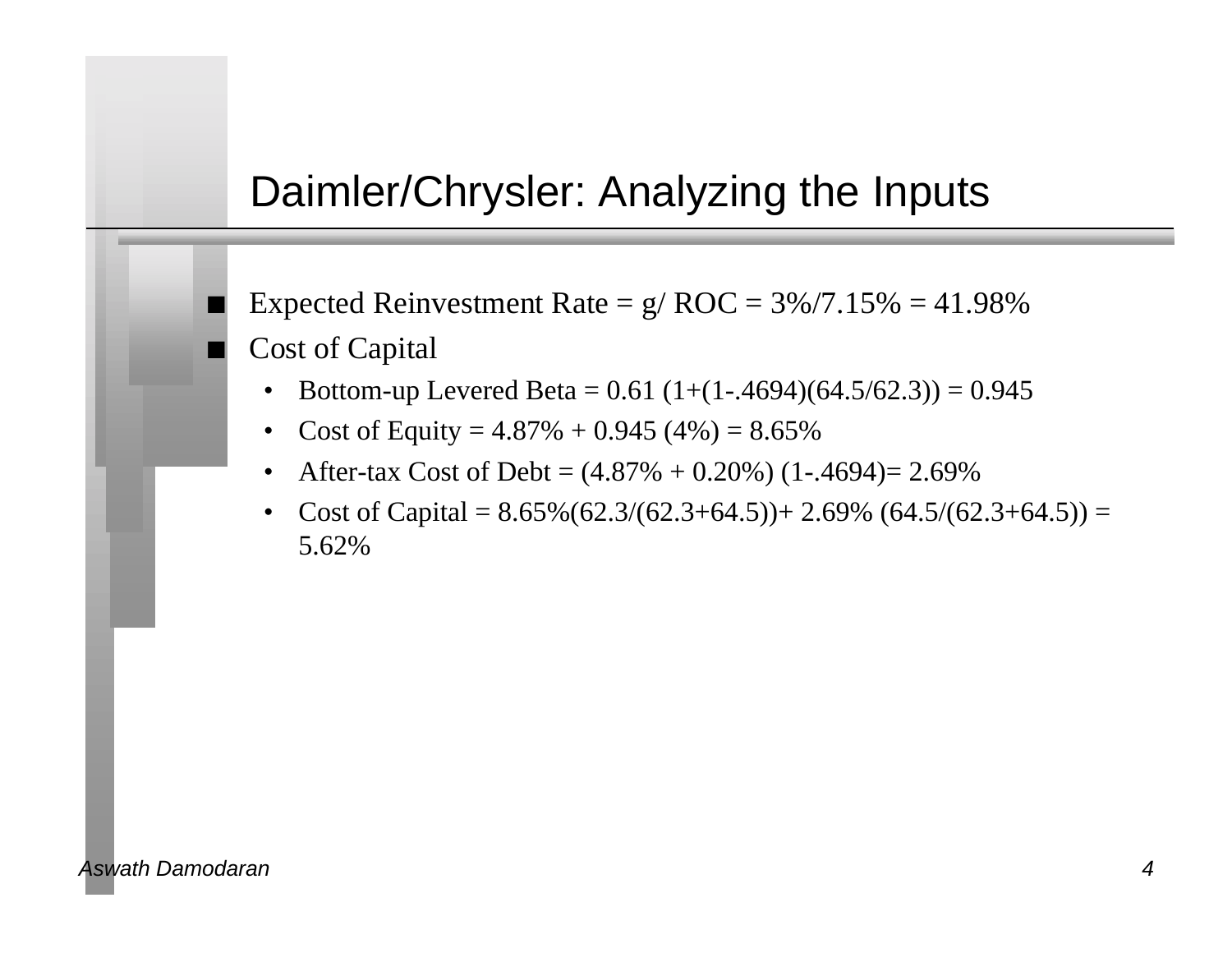#### Daimler/Chrysler: Analyzing the Inputs

Expected Reinvestment Rate =  $g/ROC = 3\%/7.15\% = 41.98\%$ Cost of Capital

- Bottom-up Levered Beta =  $0.61$  (1+(1-.4694)(64.5/62.3)) = 0.945
- Cost of Equity =  $4.87\% + 0.945(4\%) = 8.65\%$
- After-tax Cost of Debt =  $(4.87% + 0.20%) (1-.4694) = 2.69%$
- Cost of Capital =  $8.65\%(62.3/(62.3+64.5))$  +  $2.69\%(64.5/(62.3+64.5))$  = 5.62%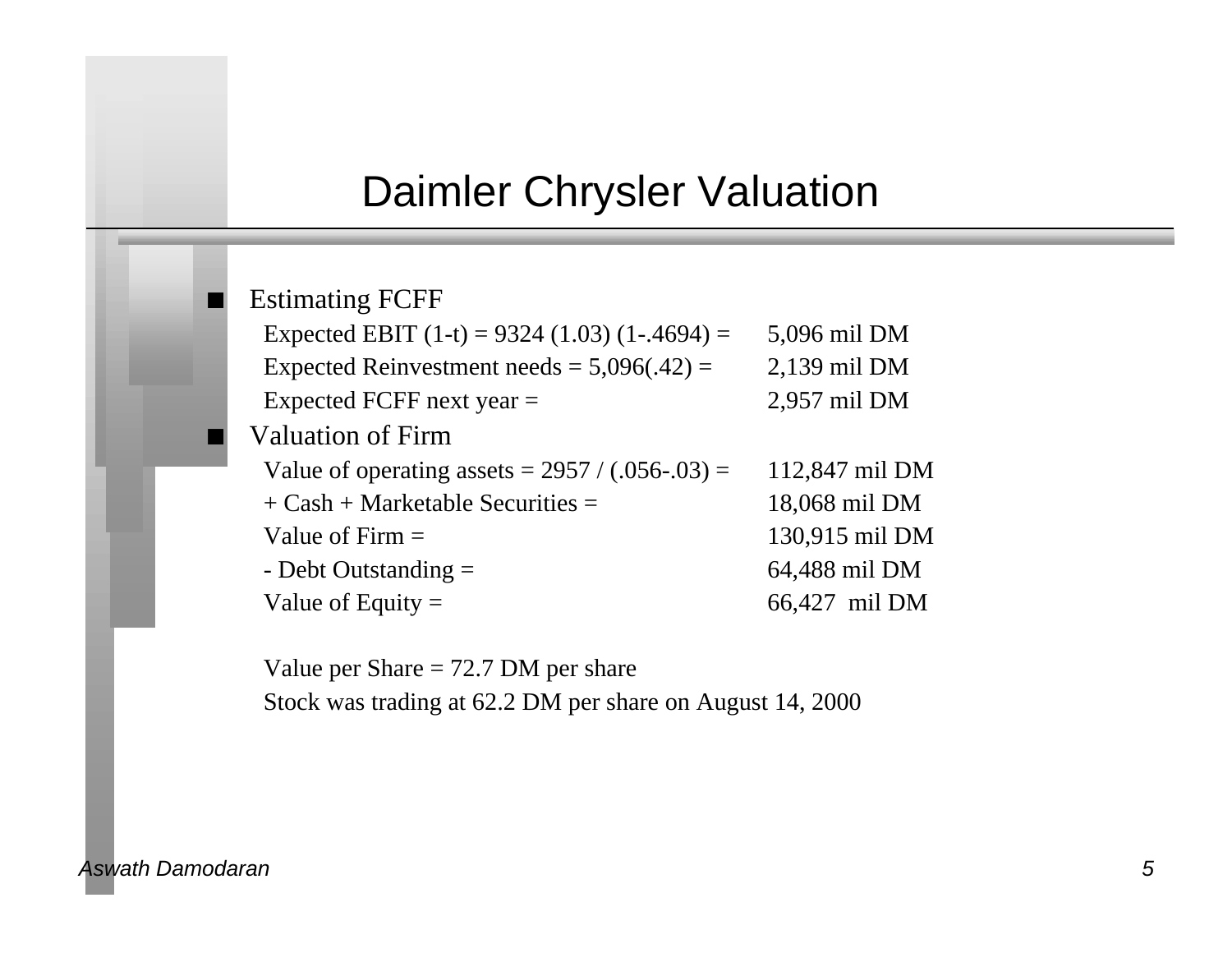#### Daimler Chrysler Valuation

#### **Estimating FCFF**

| Expected EBIT $(1-t) = 9324 (1.03) (1-.4694) =$   | 5,096 mil DM   |
|---------------------------------------------------|----------------|
| Expected Reinvestment needs = $5,096(.42)$ =      | 2,139 mil DM   |
| Expected FCFF next year $=$                       | 2,957 mil DM   |
| <b>Valuation of Firm</b>                          |                |
| Value of operating assets = $2957 / (.056-.03) =$ | 112,847 mil DM |
| $+$ Cash + Marketable Securities =                | 18,068 mil DM  |
| Value of Firm $=$                                 | 130,915 mil DM |
| - Debt Outstanding $=$                            | 64,488 mil DM  |
| Value of Equity $=$                               | 66,427 mil DM  |

Value per Share = 72.7 DM per share Stock was trading at 62.2 DM per share on August 14, 2000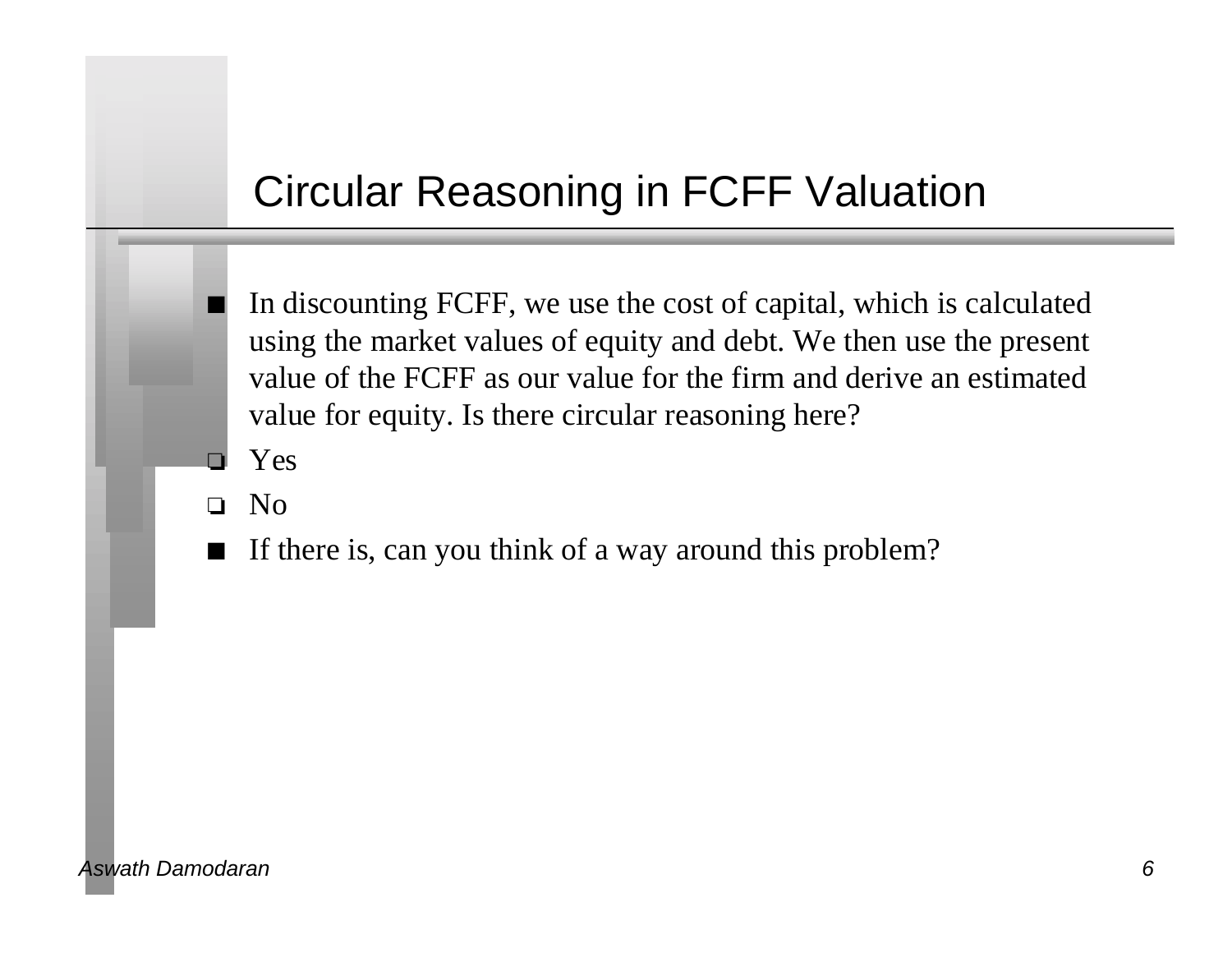# Circular Reasoning in FCFF Valuation

- n In discounting FCFF, we use the cost of capital, which is calculated using the market values of equity and debt. We then use the present value of the FCFF as our value for the firm and derive an estimated value for equity. Is there circular reasoning here?
- Yes
- o No
- If there is, can you think of a way around this problem?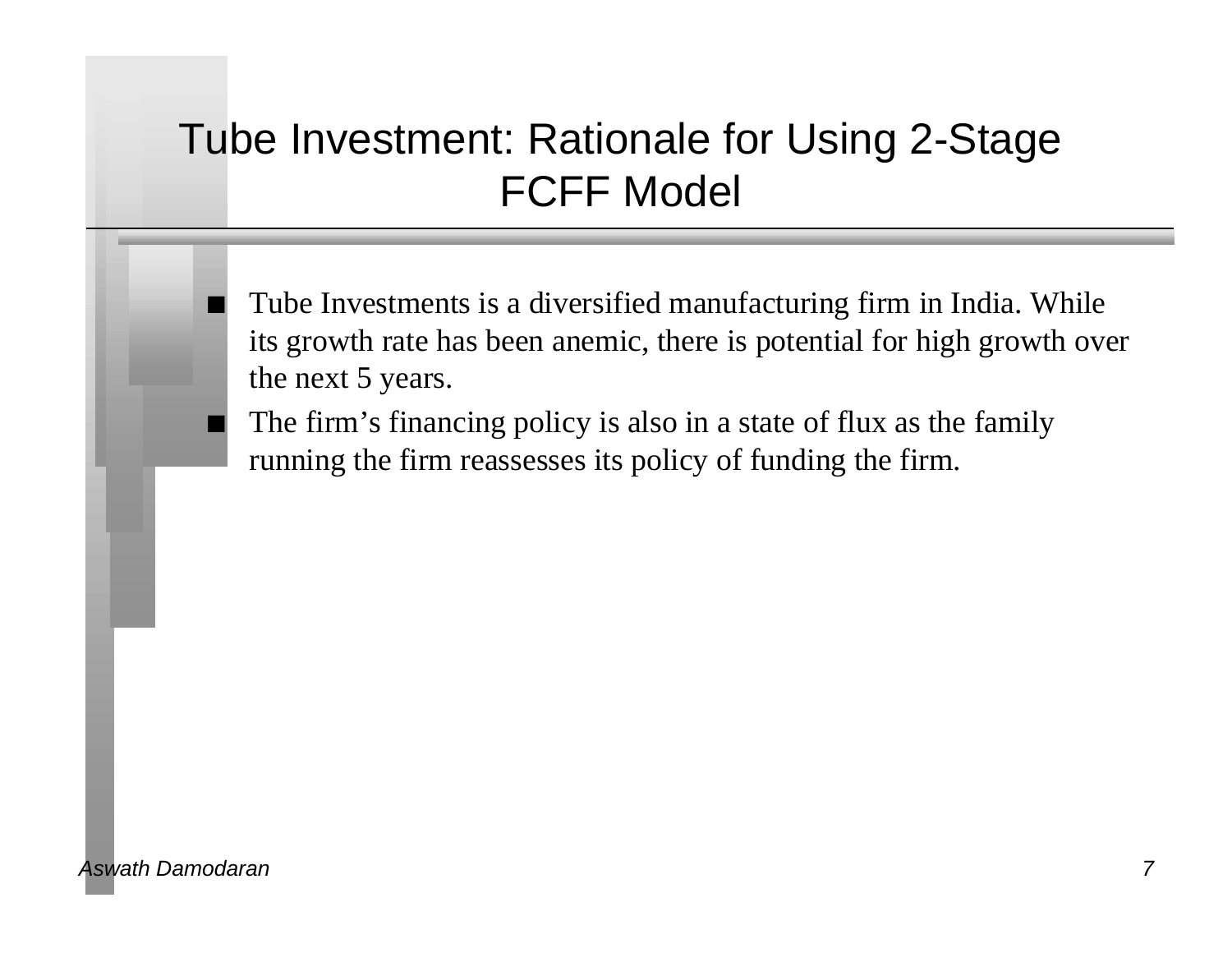# Tube Investment: Rationale for Using 2-Stage FCFF Model

Tube Investments is a diversified manufacturing firm in India. While its growth rate has been anemic, there is potential for high growth over the next 5 years.

The firm's financing policy is also in a state of flux as the family running the firm reassesses its policy of funding the firm.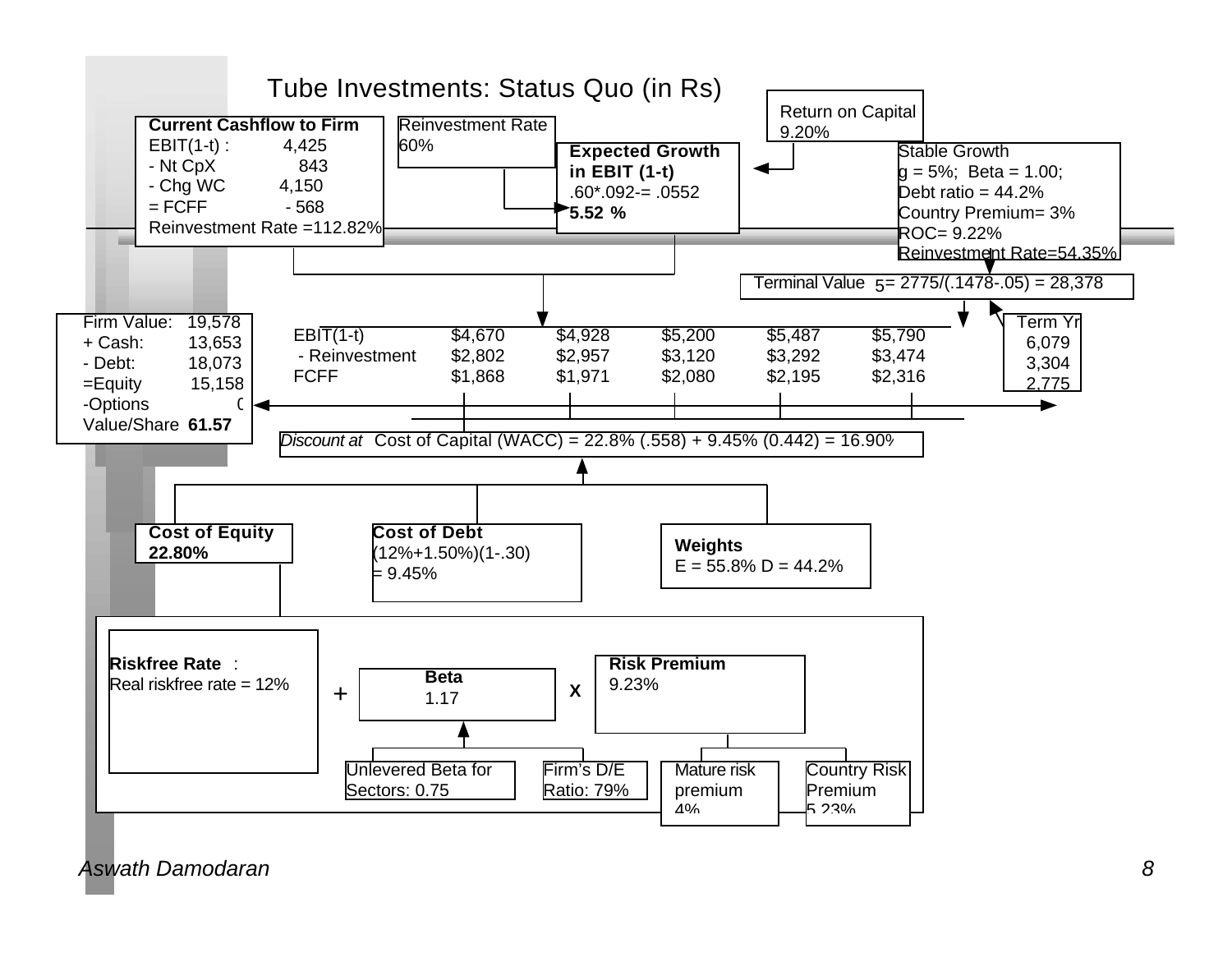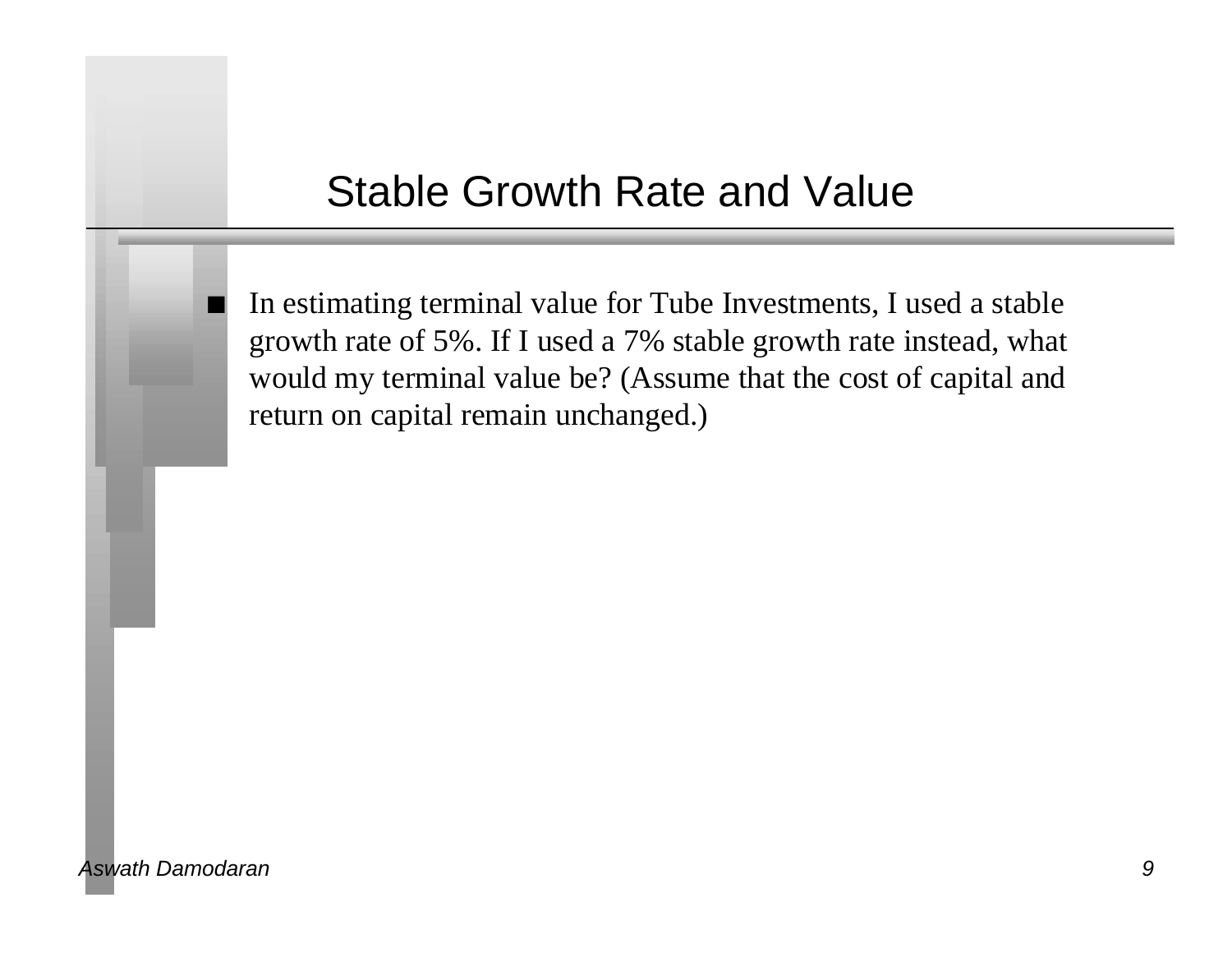#### Stable Growth Rate and Value

In estimating terminal value for Tube Investments, I used a stable growth rate of 5%. If I used a 7% stable growth rate instead, what would my terminal value be? (Assume that the cost of capital and return on capital remain unchanged.)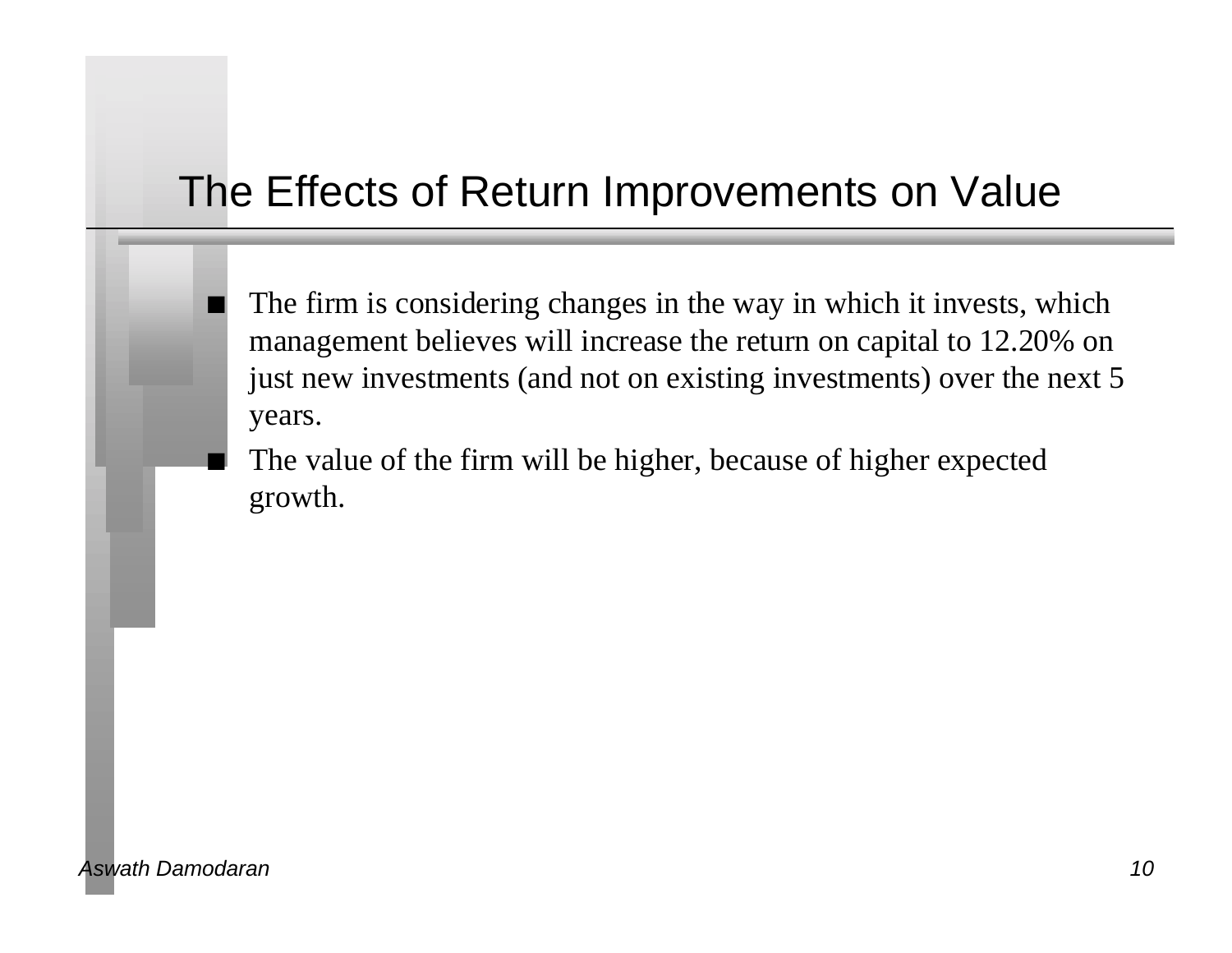# The Effects of Return Improvements on Value

- The firm is considering changes in the way in which it invests, which management believes will increase the return on capital to 12.20% on just new investments (and not on existing investments) over the next 5 years.
- The value of the firm will be higher, because of higher expected growth.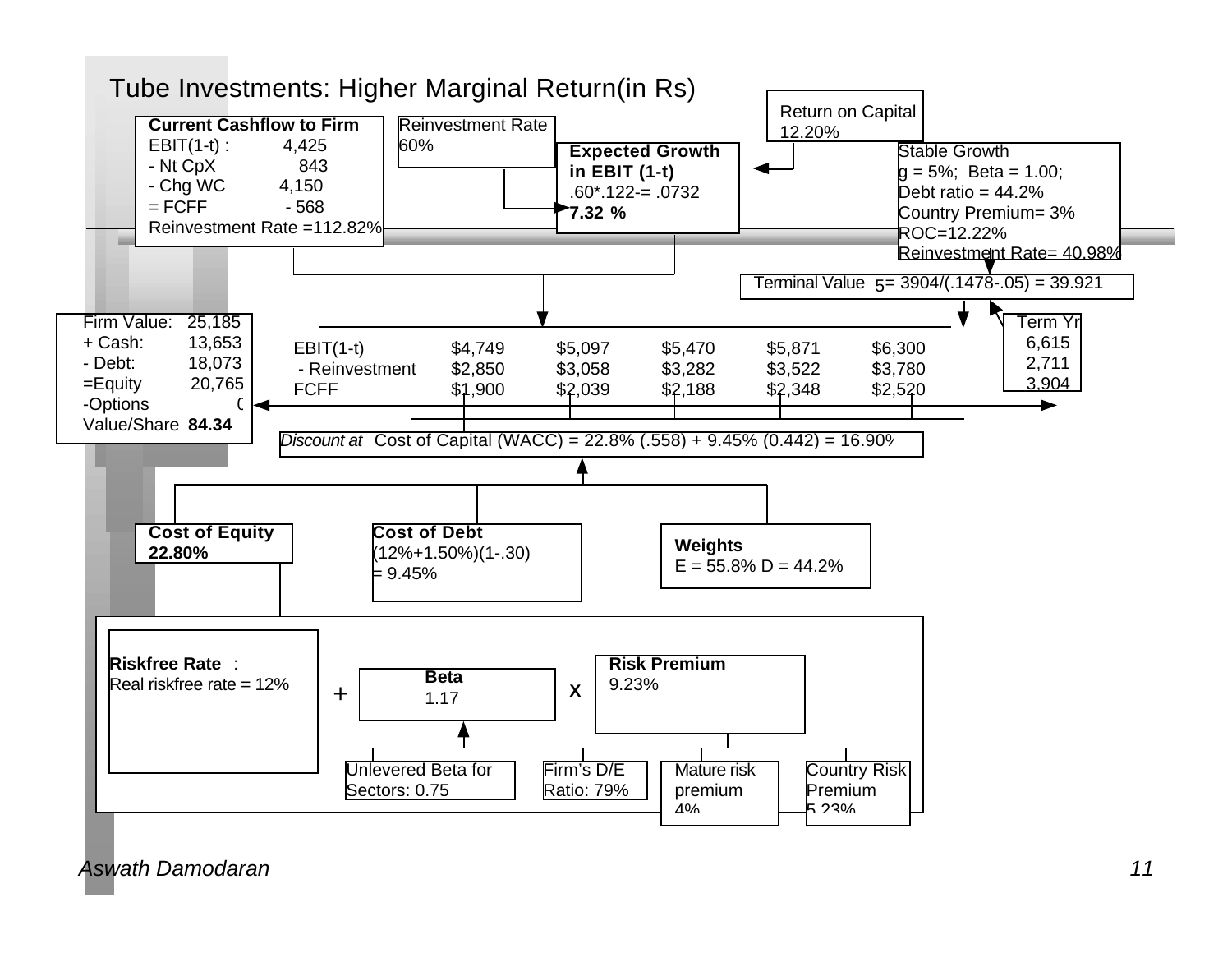

*Aswath Damodaran 11*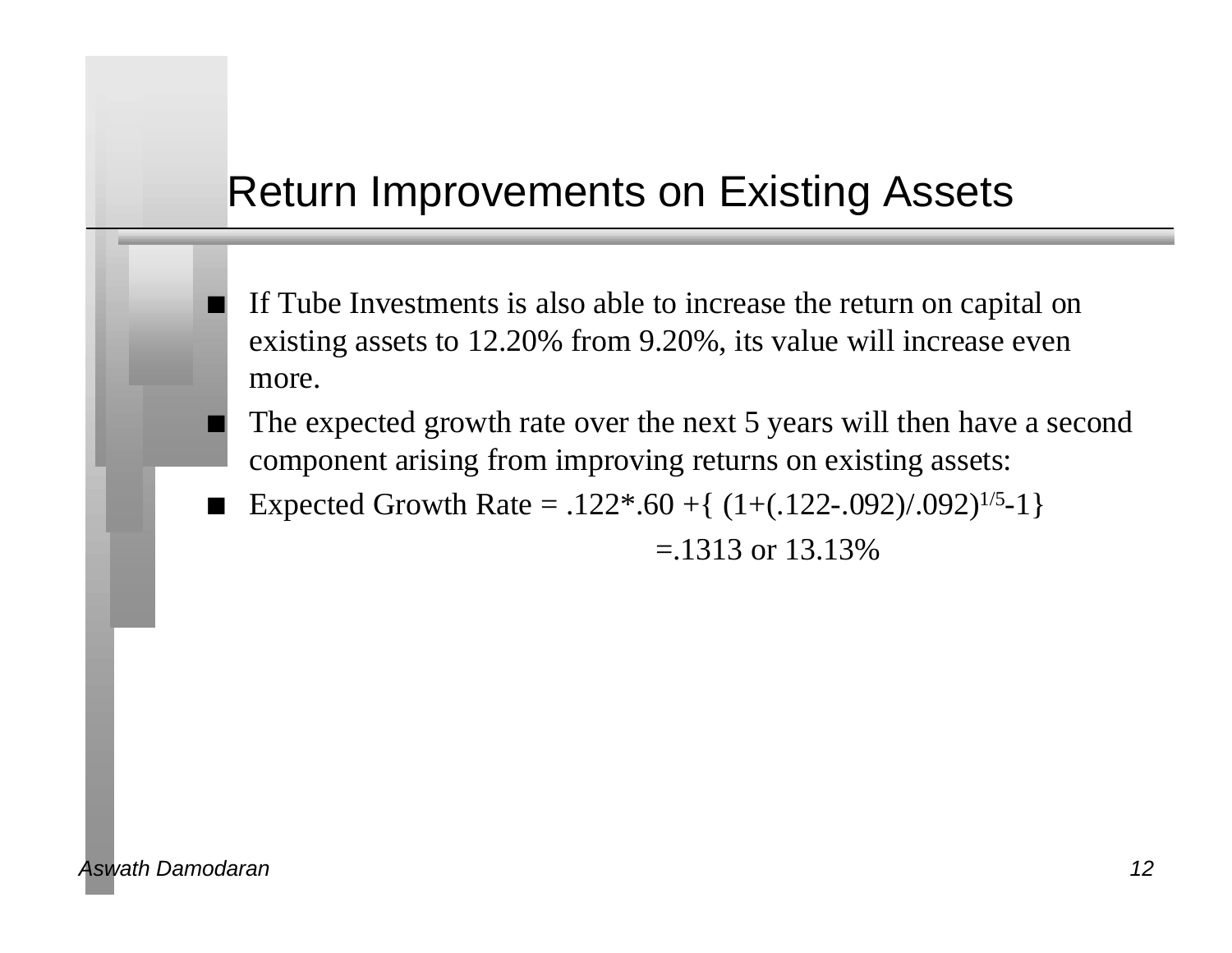### Return Improvements on Existing Assets

- If Tube Investments is also able to increase the return on capital on existing assets to 12.20% from 9.20%, its value will increase even more.
- The expected growth rate over the next 5 years will then have a second component arising from improving returns on existing assets:
- Expected Growth Rate =  $.122*.60 + \{(1+(.122-.092)/.092)^{1/5}-1\}$

 $=$  1313 or 13.13\%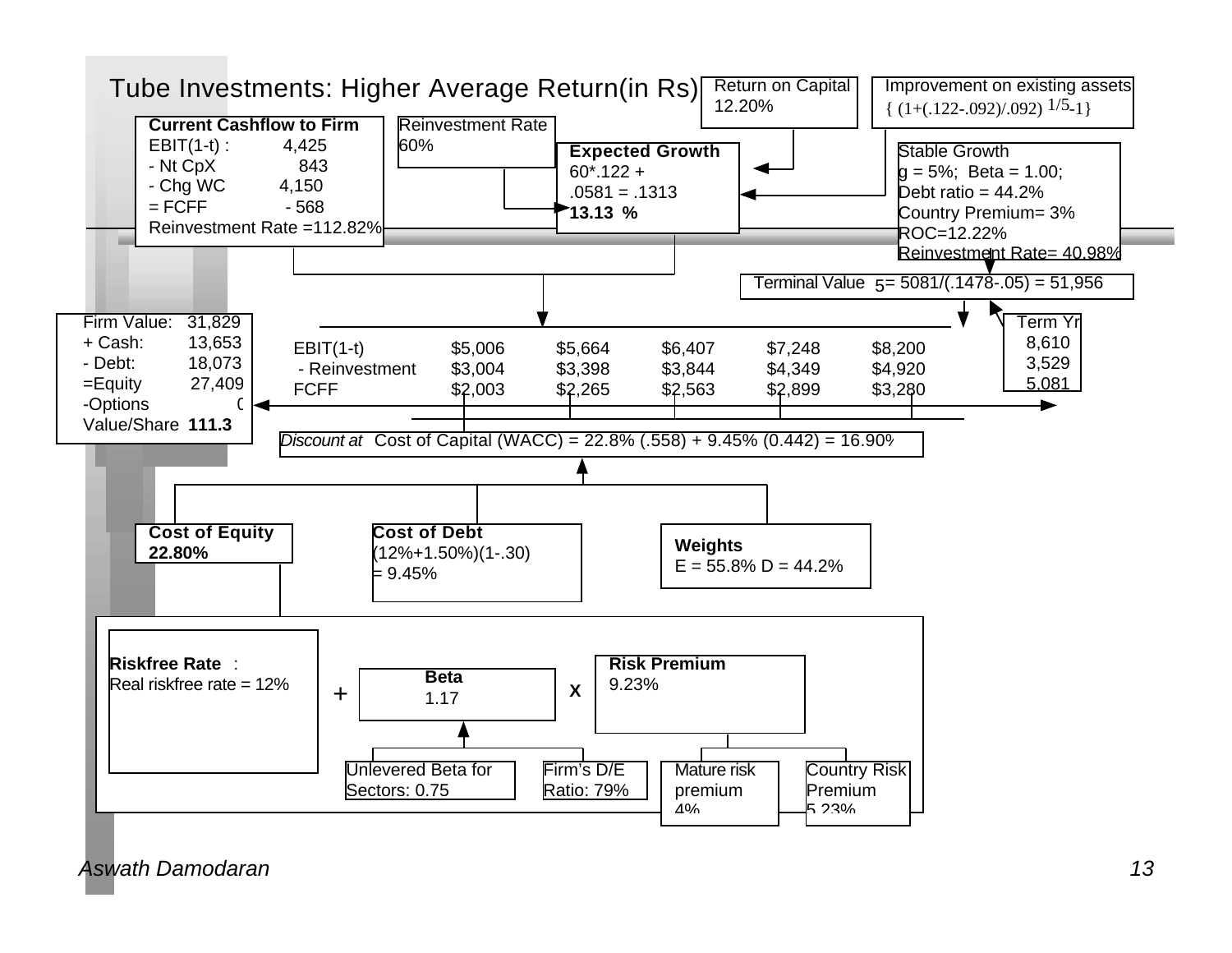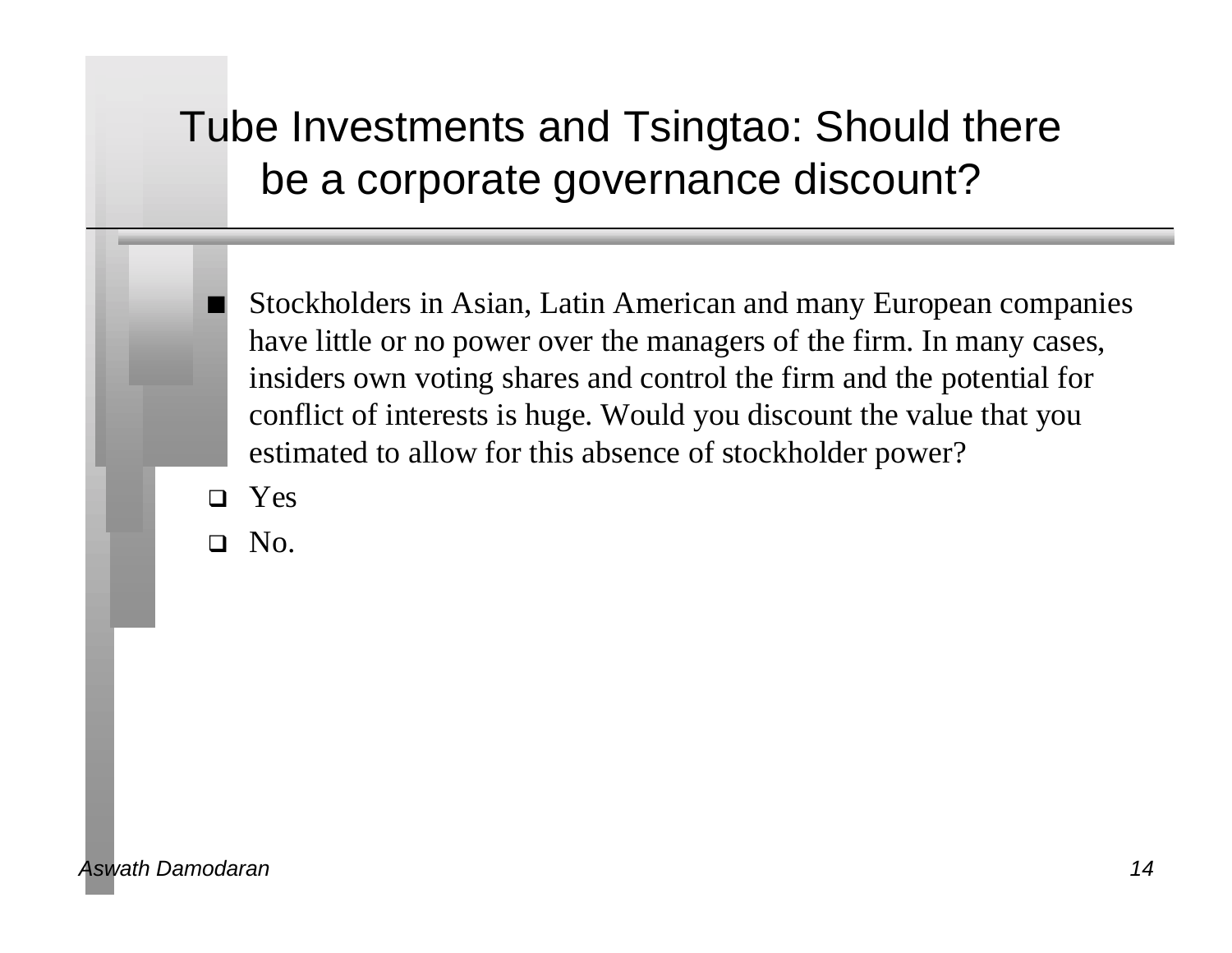# Tube Investments and Tsingtao: Should there be a corporate governance discount?

Stockholders in Asian, Latin American and many European companies have little or no power over the managers of the firm. In many cases, insiders own voting shares and control the firm and the potential for conflict of interests is huge. Would you discount the value that you estimated to allow for this absence of stockholder power?

 $\Box$  Yes

 $\Box$  No.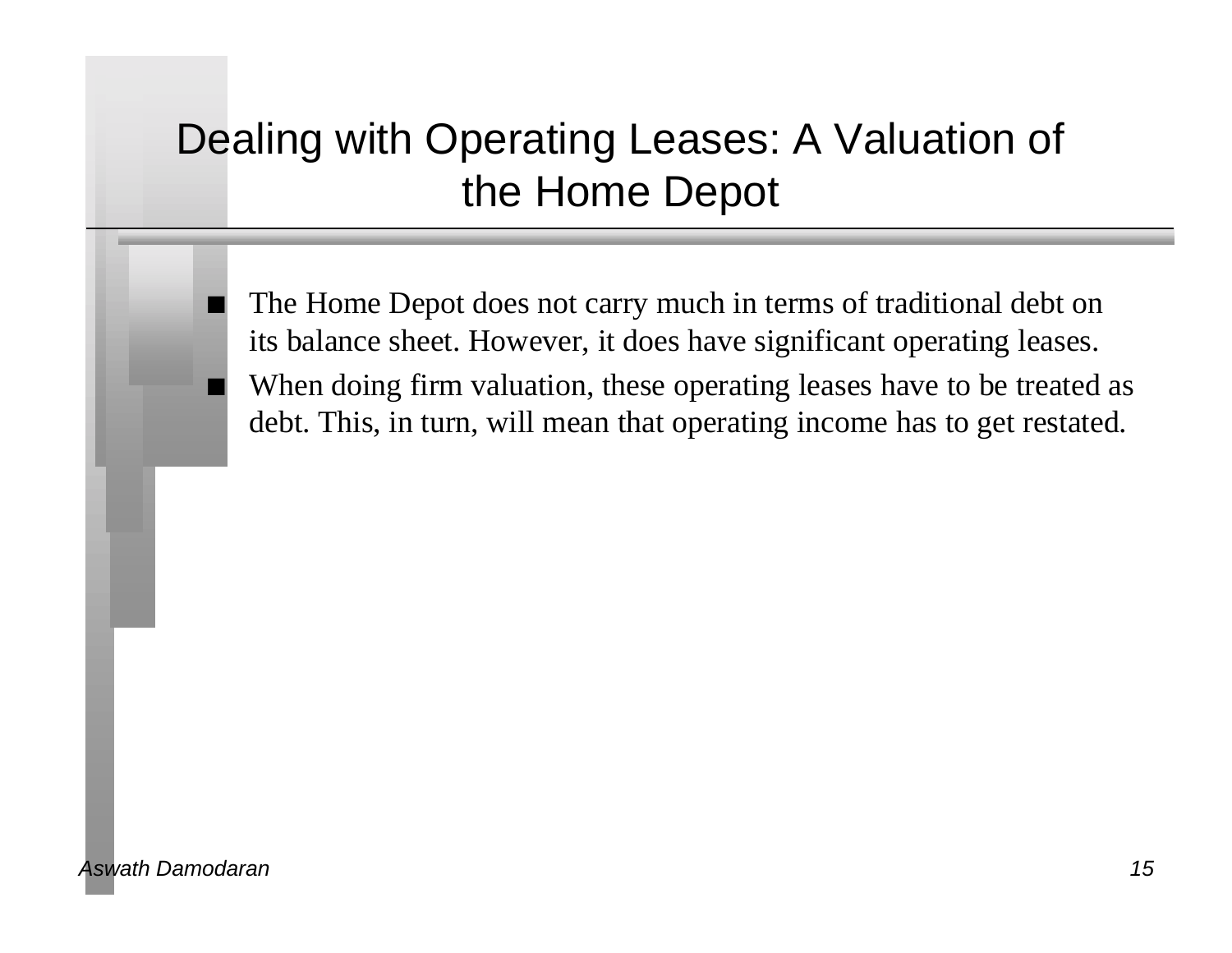# Dealing with Operating Leases: A Valuation of the Home Depot

The Home Depot does not carry much in terms of traditional debt on its balance sheet. However, it does have significant operating leases. When doing firm valuation, these operating leases have to be treated as debt. This, in turn, will mean that operating income has to get restated.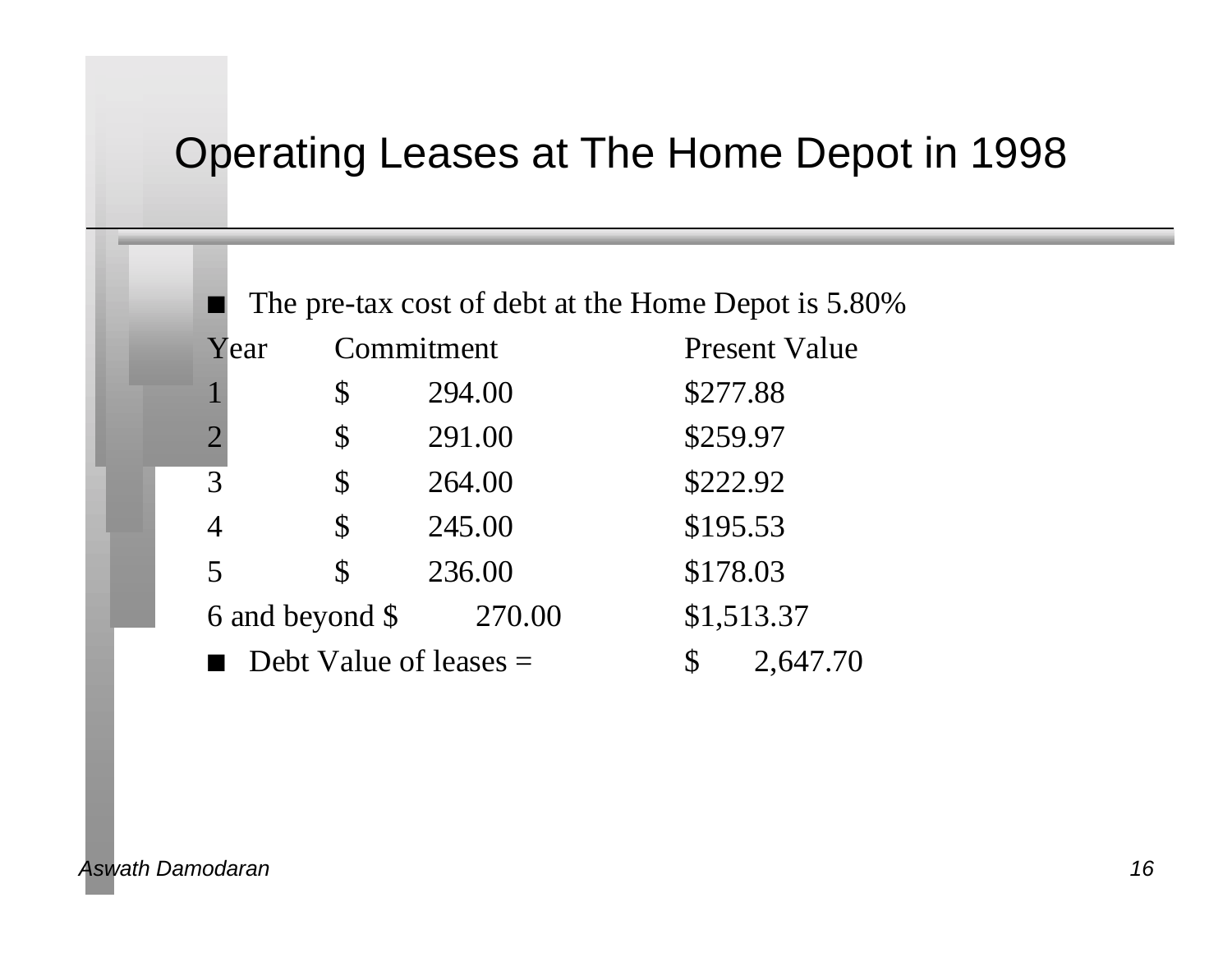### Operating Leases at The Home Depot in 1998

| The pre-tax cost of debt at the Home Depot is 5.80% |                          |                         |                      |  |  |  |
|-----------------------------------------------------|--------------------------|-------------------------|----------------------|--|--|--|
| Year                                                |                          | Commitment              | <b>Present Value</b> |  |  |  |
| 1                                                   | \$                       | 294.00                  | \$277.88             |  |  |  |
| $\overline{2}$                                      | \$                       | 291.00                  | \$259.97             |  |  |  |
| 3                                                   | \$                       | 264.00                  | \$222.92             |  |  |  |
| 4                                                   | \$                       | 245.00                  | \$195.53             |  |  |  |
| 5                                                   | \$                       | 236.00                  | \$178.03             |  |  |  |
| 6 and beyond \$<br>270.00                           |                          |                         | \$1,513.37           |  |  |  |
|                                                     | Debt Value of leases $=$ | $\mathbb S$<br>2,647.70 |                      |  |  |  |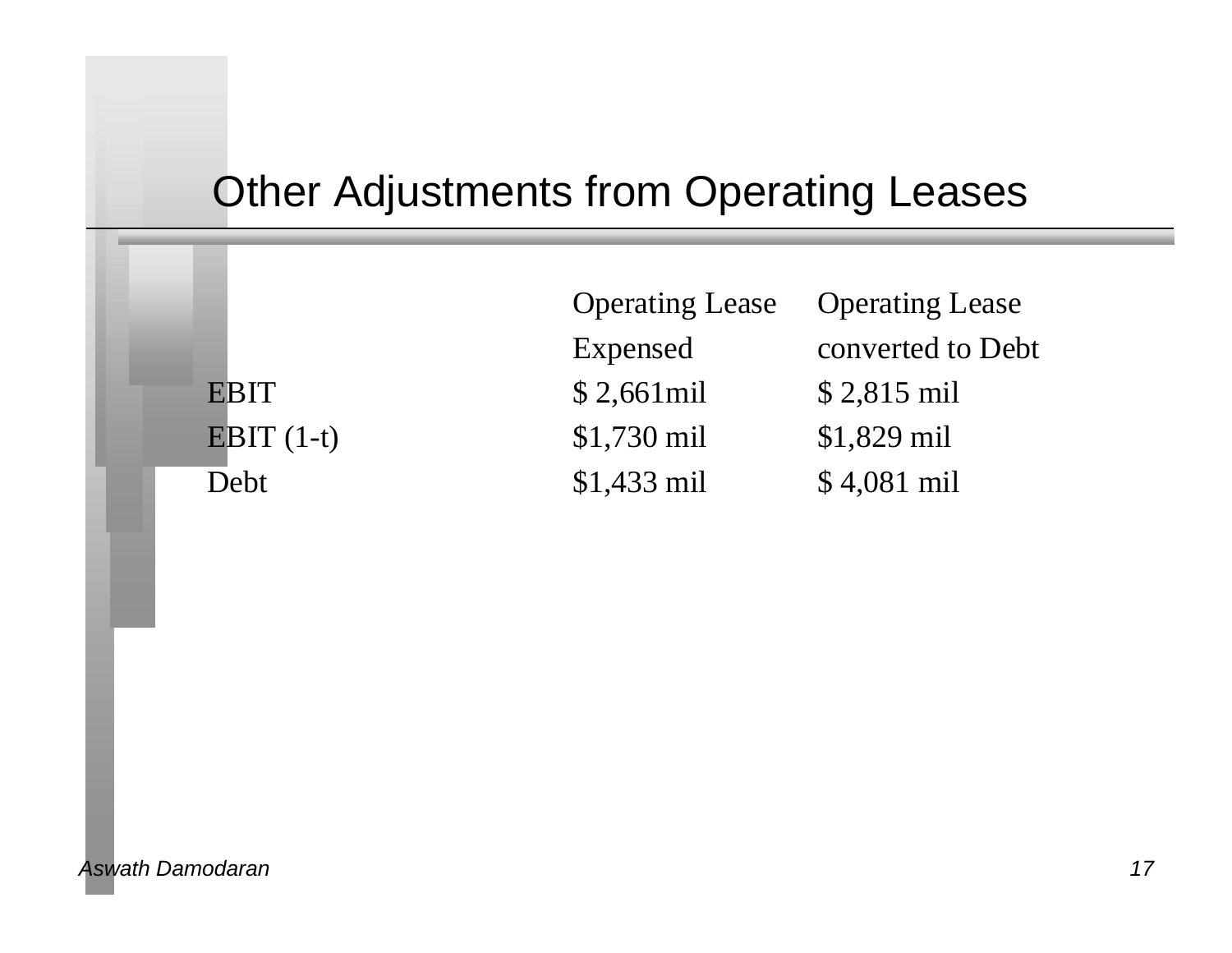# Other Adjustments from Operating Leases

|              | <b>Operating Lease</b> | <b>Operating Lease</b> |
|--------------|------------------------|------------------------|
|              | Expensed               | converted to Debt      |
| <b>EBIT</b>  | $$2,661$ mil           | \$2,815 mil            |
| EBIT $(1-t)$ | $$1,730$ mil           | $$1,829$ mil           |
| Debt         | $$1,433$ mil           | $$4,081$ mil           |
|              |                        |                        |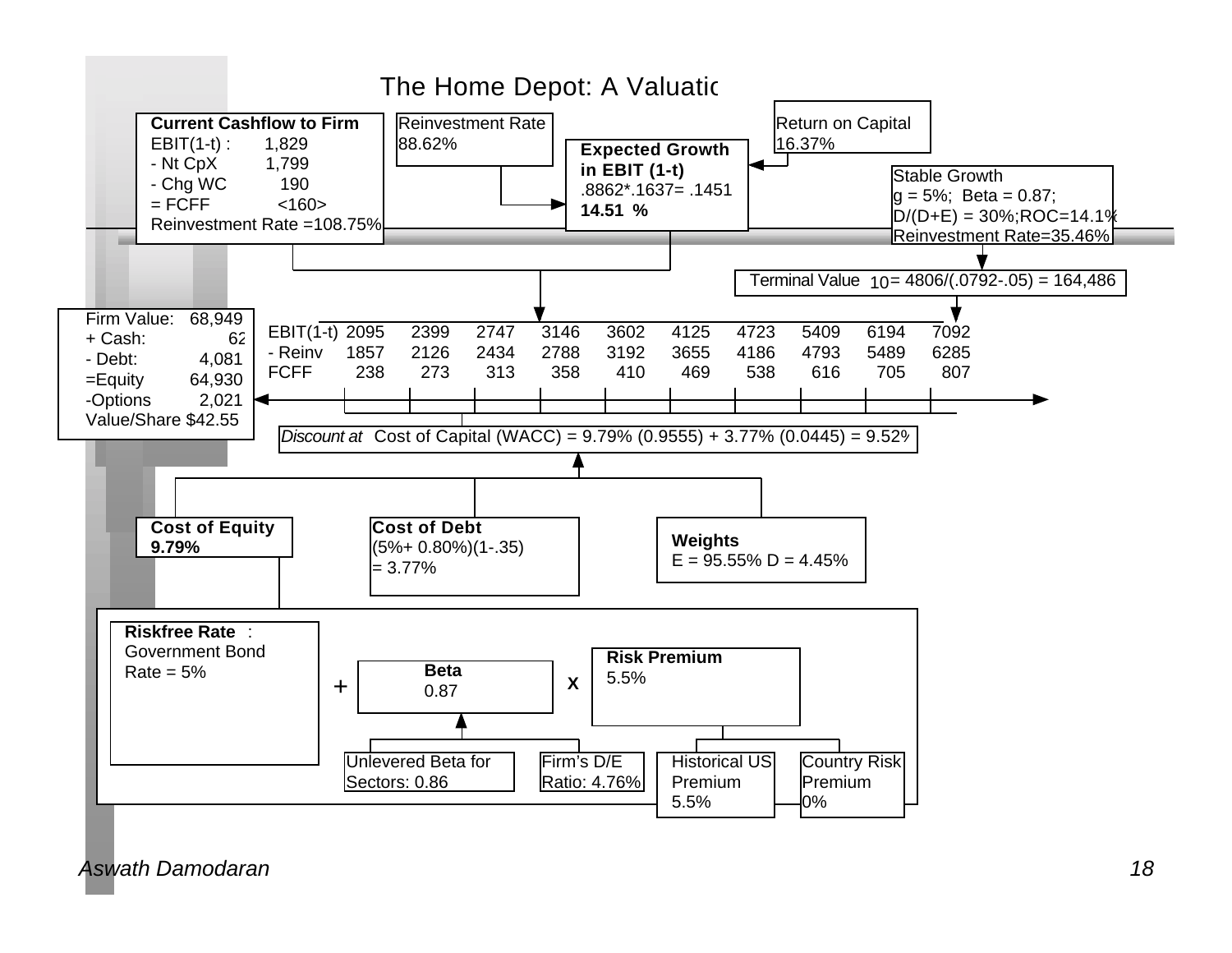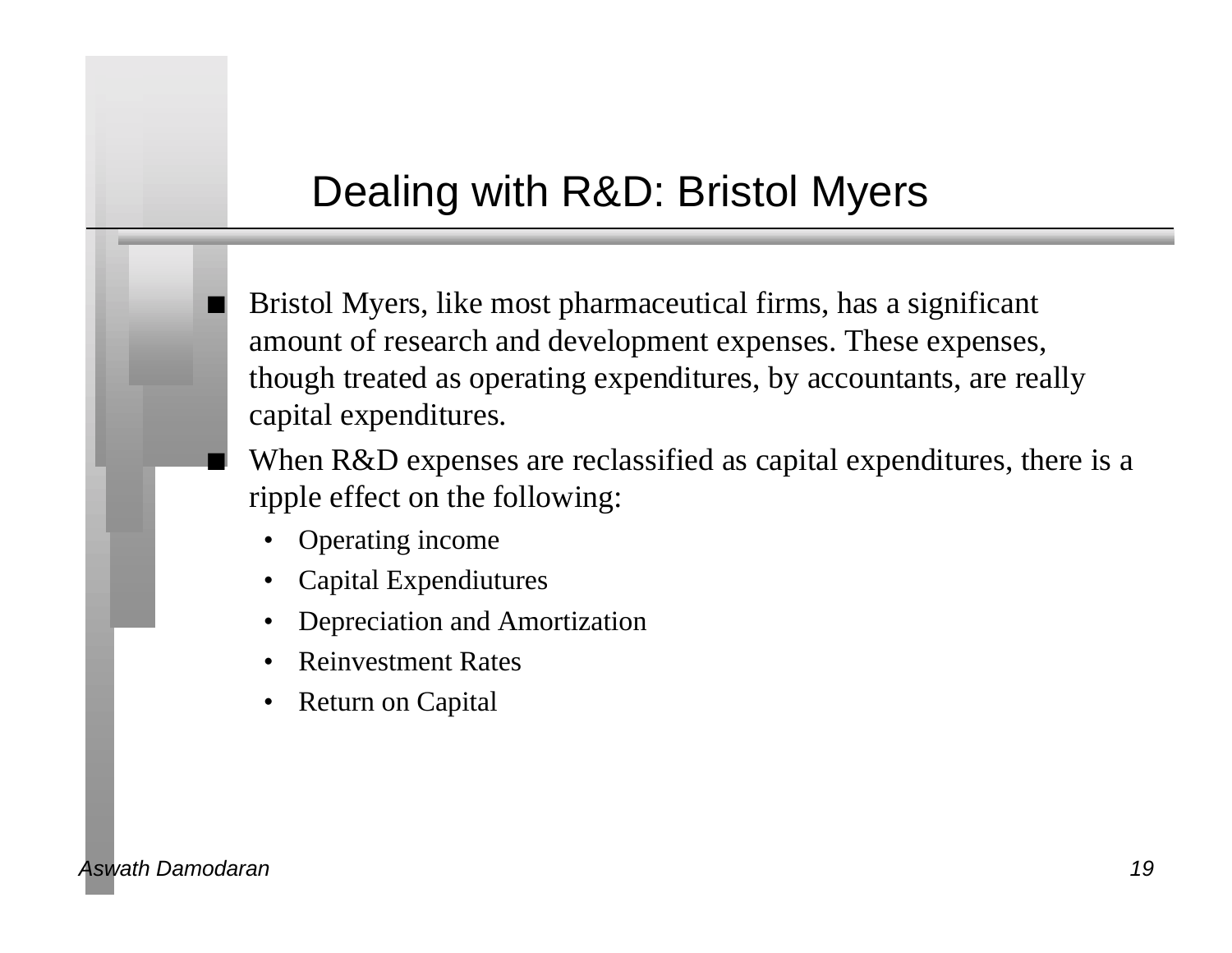# Dealing with R&D: Bristol Myers

n Bristol Myers, like most pharmaceutical firms, has a significant amount of research and development expenses. These expenses, though treated as operating expenditures, by accountants, are really capital expenditures.

When R&D expenses are reclassified as capital expenditures, there is a ripple effect on the following:

- Operating income
- Capital Expendiutures
- Depreciation and Amortization
- Reinvestment Rates
- Return on Capital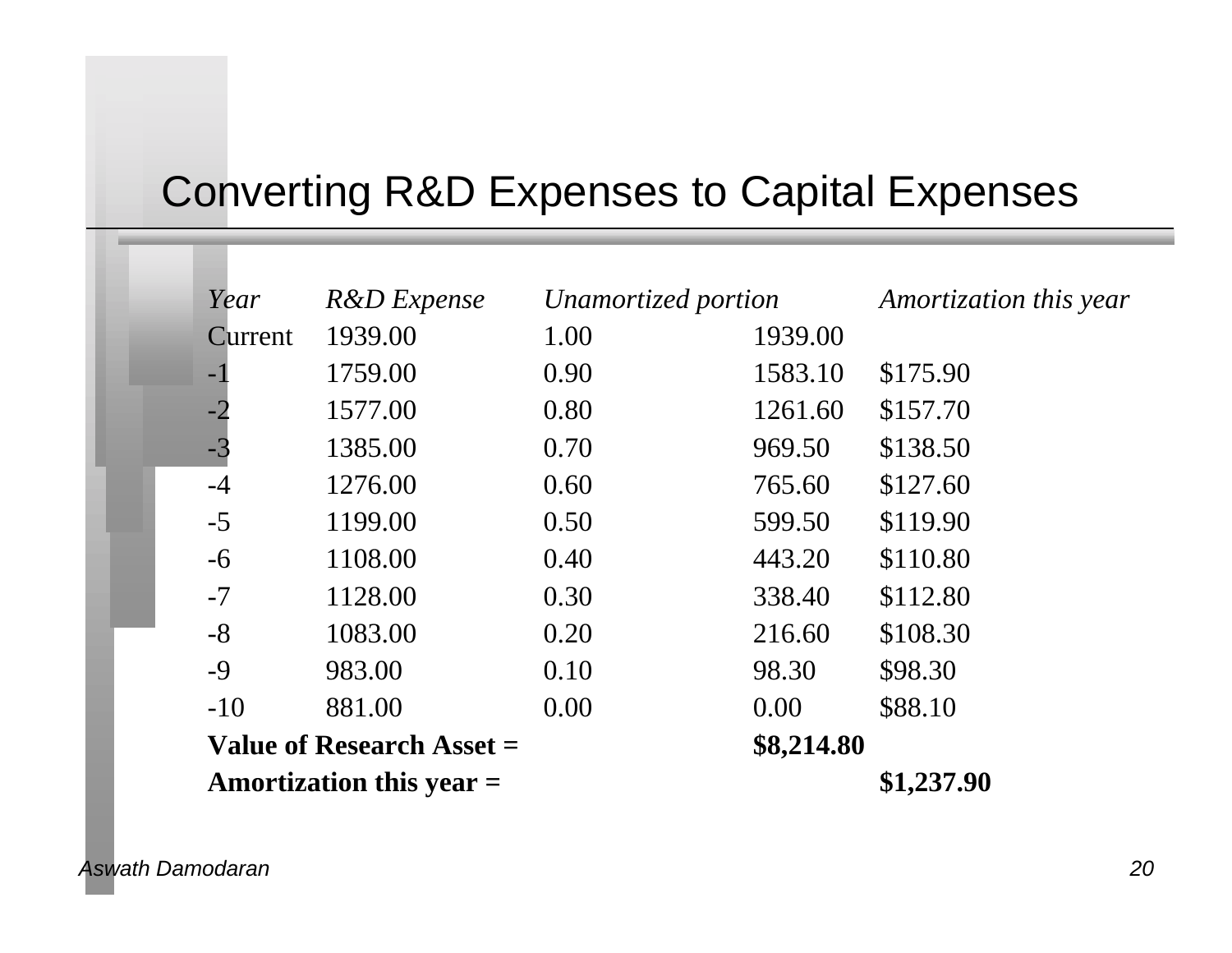# Converting R&D Expenses to Capital Expenses

| Year                       | <b>R&amp;D</b> Expense | Unamortized portion |            | Amortization this year |
|----------------------------|------------------------|---------------------|------------|------------------------|
| Current                    | 1939.00                | 1.00                | 1939.00    |                        |
| $-1$                       | 1759.00                | 0.90                | 1583.10    | \$175.90               |
| $-2$                       | 1577.00                | 0.80                | 1261.60    | \$157.70               |
| $-3$                       | 1385.00                | 0.70                | 969.50     | \$138.50               |
| $-4$                       | 1276.00                | 0.60                | 765.60     | \$127.60               |
| $-5$                       | 1199.00                | 0.50                | 599.50     | \$119.90               |
| $-6$                       | 1108.00                | 0.40                | 443.20     | \$110.80               |
| $-7$                       | 1128.00                | 0.30                | 338.40     | \$112.80               |
| $-8$                       | 1083.00                | 0.20                | 216.60     | \$108.30               |
| $-9$                       | 983.00                 | 0.10                | 98.30      | \$98.30                |
| $-10$                      | 881.00                 | 0.00                | 0.00       | \$88.10                |
| Value of Research Asset =  |                        |                     | \$8,214.80 |                        |
| Amortization this year $=$ |                        |                     |            | \$1,237.90             |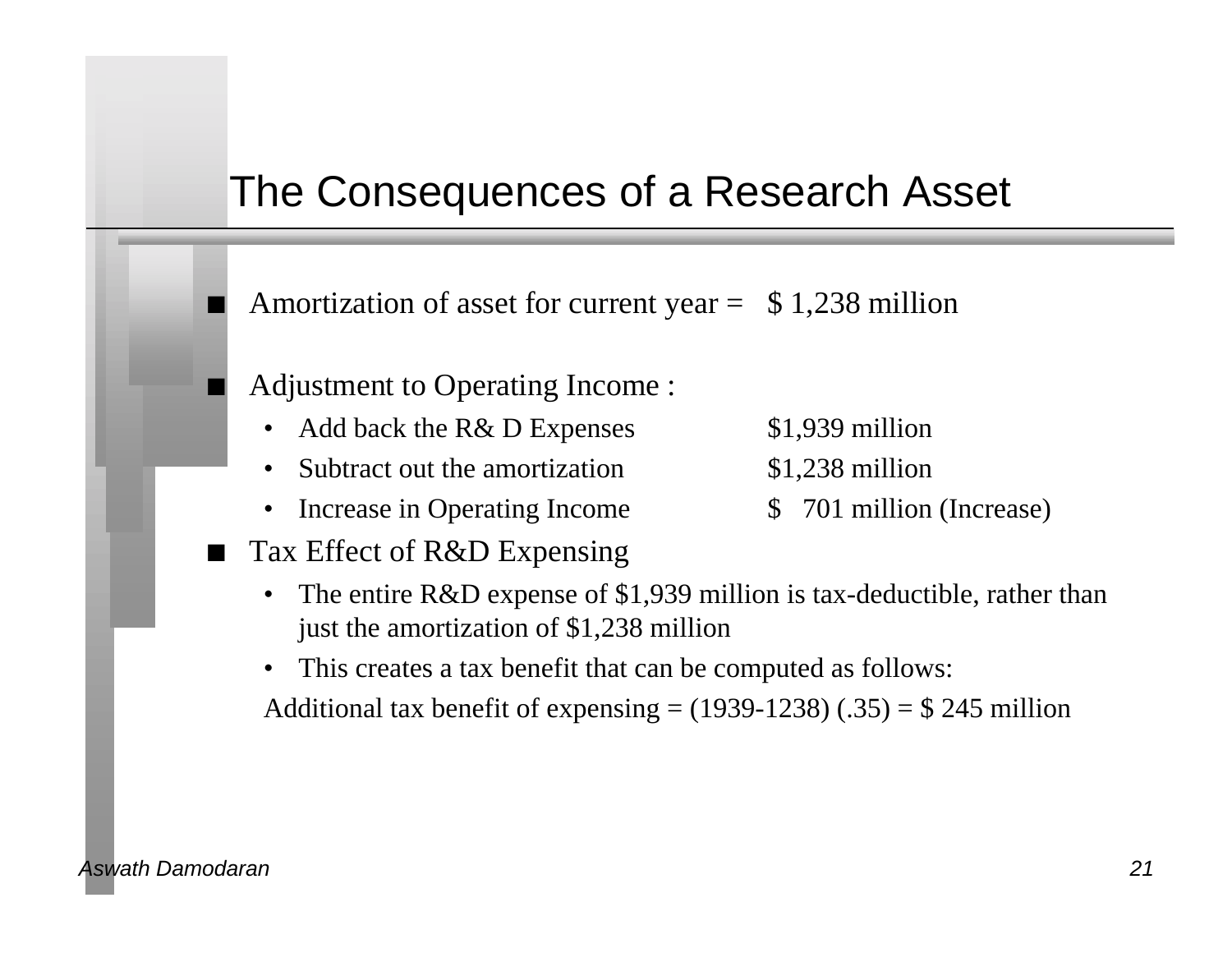#### The Consequences of a Research Asset

Amortization of asset for current year  $=$  \$1,238 million

- n Adjustment to Operating Income :
	- Add back the R& D Expenses \$1,939 million
	- Subtract out the amortization \$1,238 million
	- Increase in Operating Income  $\qquad$  \$ 701 million (Increase)
- Tax Effect of R&D Expensing
- 
- 
- 
- The entire R&D expense of \$1,939 million is tax-deductible, rather than just the amortization of \$1,238 million
- This creates a tax benefit that can be computed as follows:

Additional tax benefit of expensing  $= (1939-1238)$  (.35)  $= $245$  million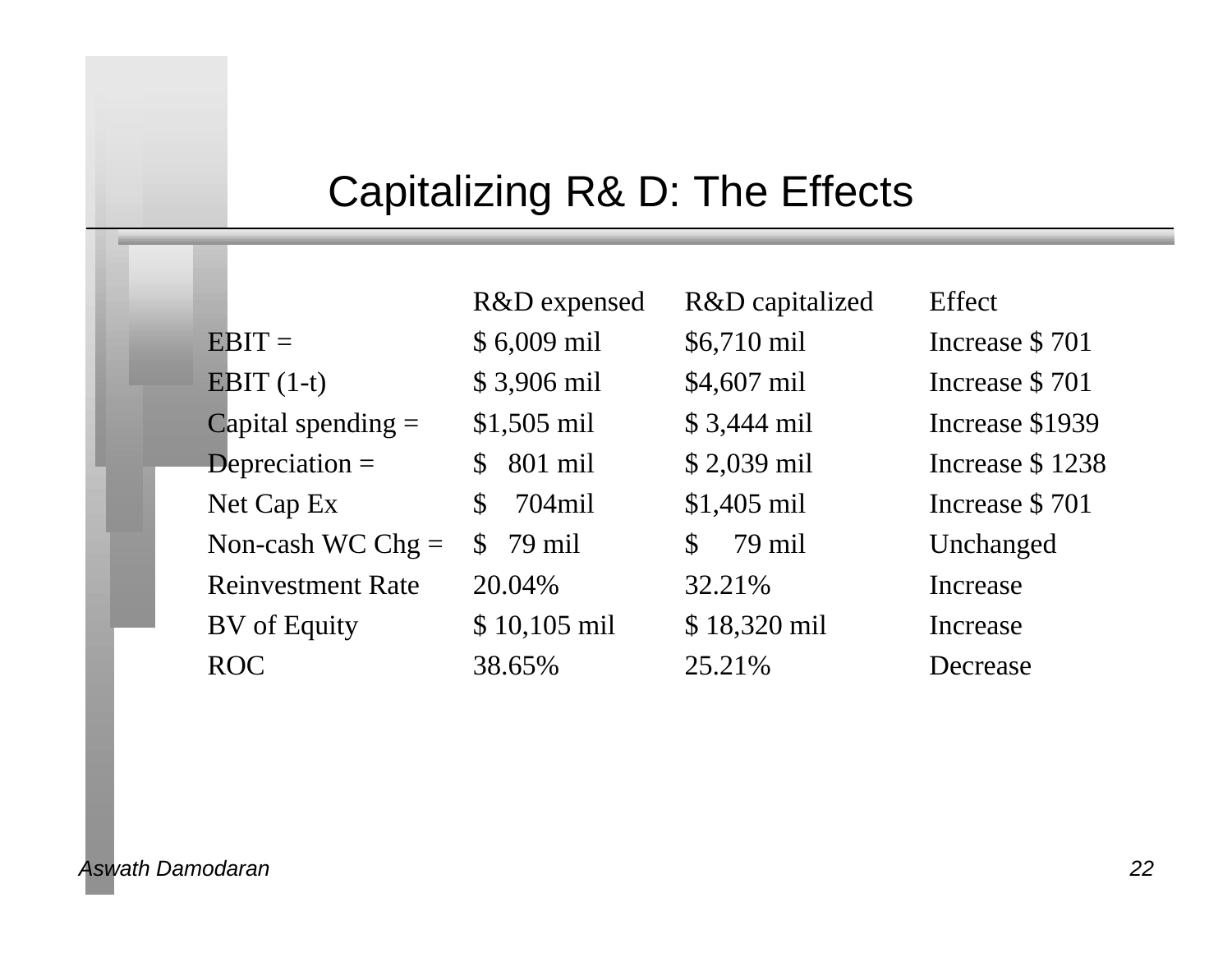# Capitalizing R& D: The Effects

|                          | R&D expensed            | R&D capitalized | Effect          |
|--------------------------|-------------------------|-----------------|-----------------|
| $EBIT =$                 | \$6,009 mil             | \$6,710 mil     | Increase \$701  |
| EBIT $(1-t)$             | \$3,906 mil             | \$4,607 mil     | Increase \$701  |
| Capital spending $=$     | $$1,505$ mil            | $$3,444$ mil    | Increase \$1939 |
| Depreciation $=$         | 801 mil<br>$\mathbb{S}$ | \$2,039 mil     | Increase \$1238 |
| Net Cap Ex               | 704mil<br>S             | $$1,405$ mil    | Increase \$701  |
| Non-cash WC Chg $=$      | $$79$ mil               | 79 mil<br>\$    | Unchanged       |
| <b>Reinvestment Rate</b> | 20.04%                  | 32.21%          | Increase        |
| BV of Equity             | $$10,105$ mil           | \$18,320 mil    | Increase        |
| <b>ROC</b>               | 38.65%                  | 25.21%          | Decrease        |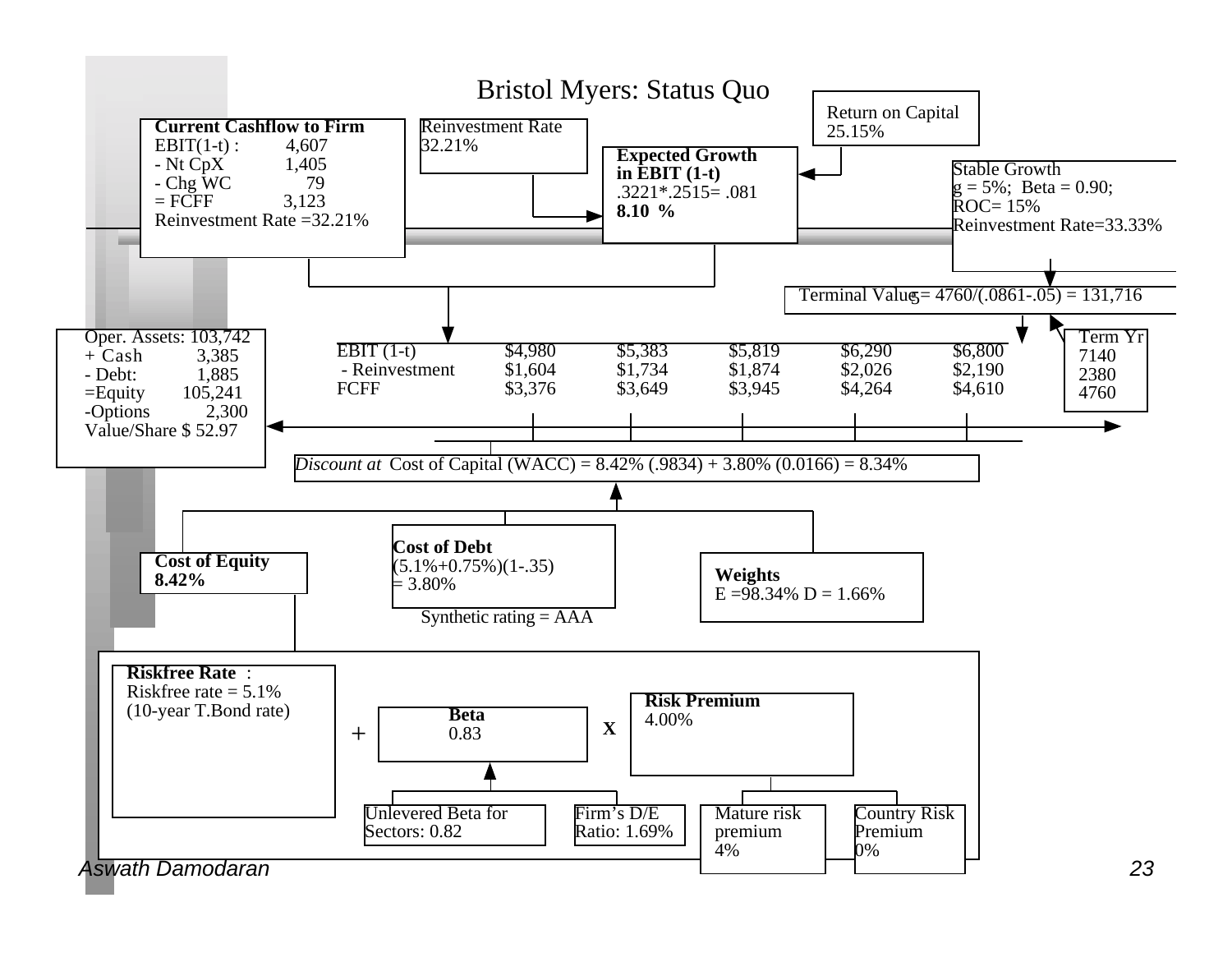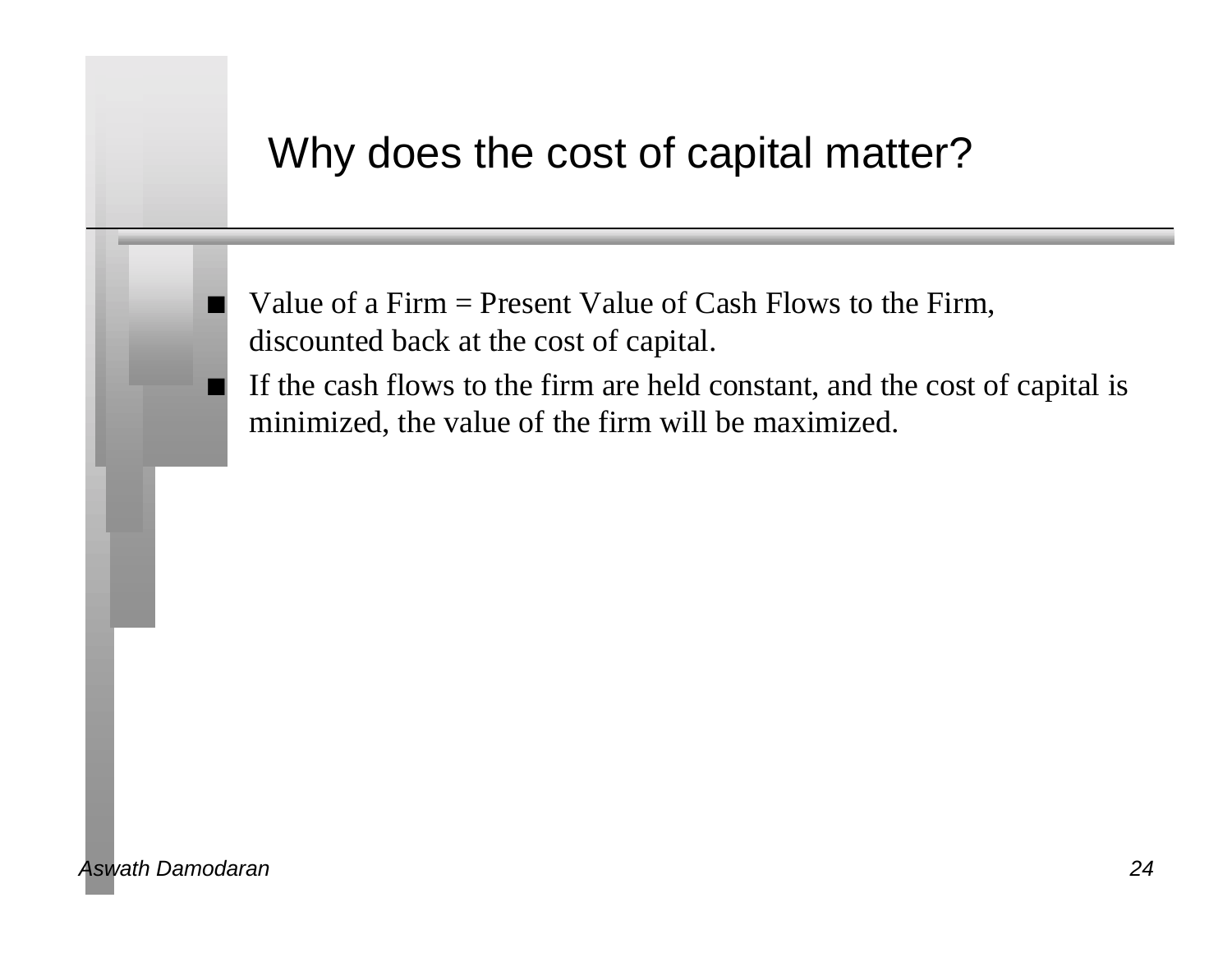#### Why does the cost of capital matter?

Value of a Firm  $=$  Present Value of Cash Flows to the Firm, discounted back at the cost of capital.

If the cash flows to the firm are held constant, and the cost of capital is minimized, the value of the firm will be maximized.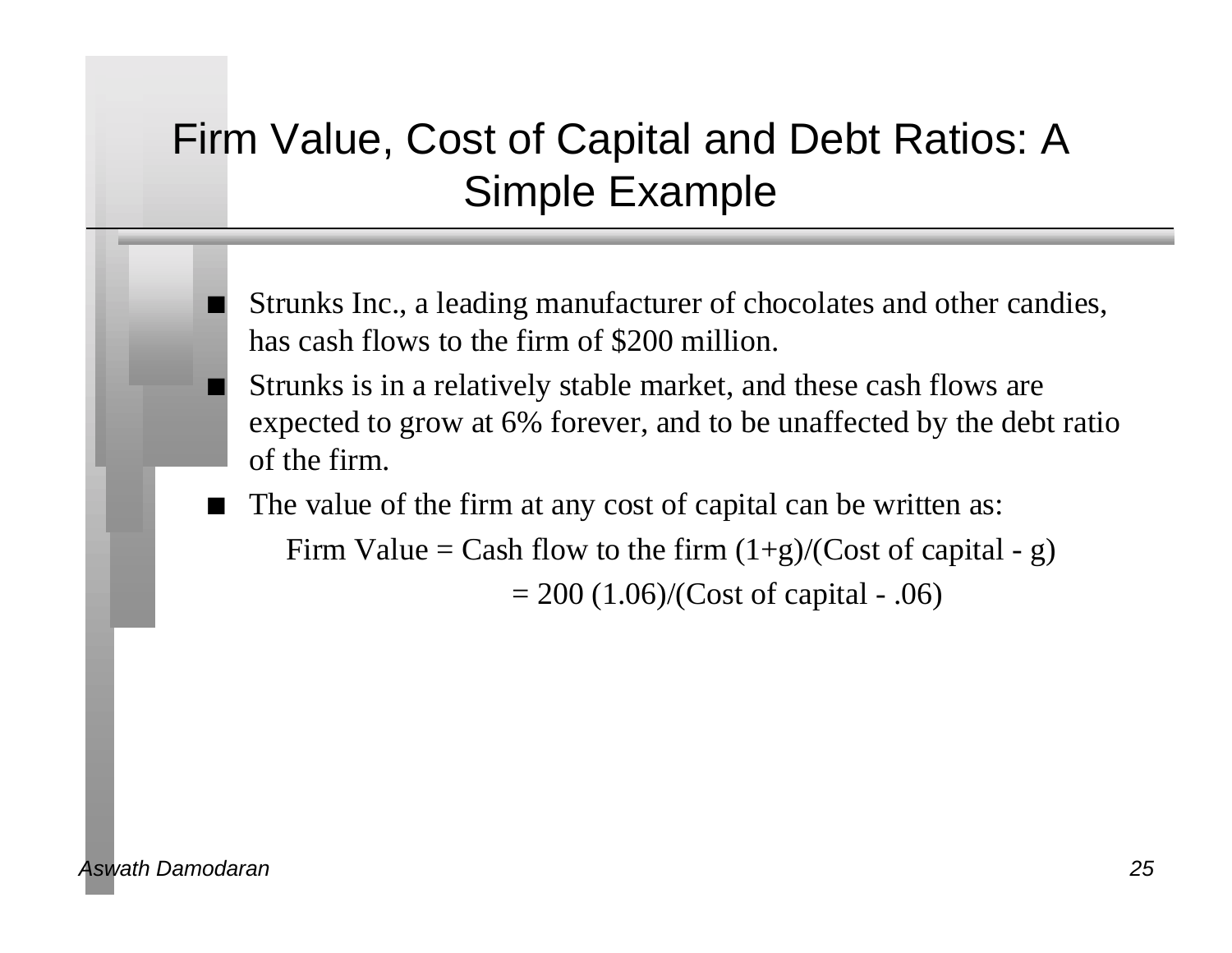# Firm Value, Cost of Capital and Debt Ratios: A Simple Example

- Strunks Inc., a leading manufacturer of chocolates and other candies, has cash flows to the firm of \$200 million.
- Strunks is in a relatively stable market, and these cash flows are expected to grow at 6% forever, and to be unaffected by the debt ratio of the firm.
- The value of the firm at any cost of capital can be written as: Firm Value = Cash flow to the firm  $(1+g)/(Cost of capital - g)$  $= 200$  (1.06)/(Cost of capital - .06)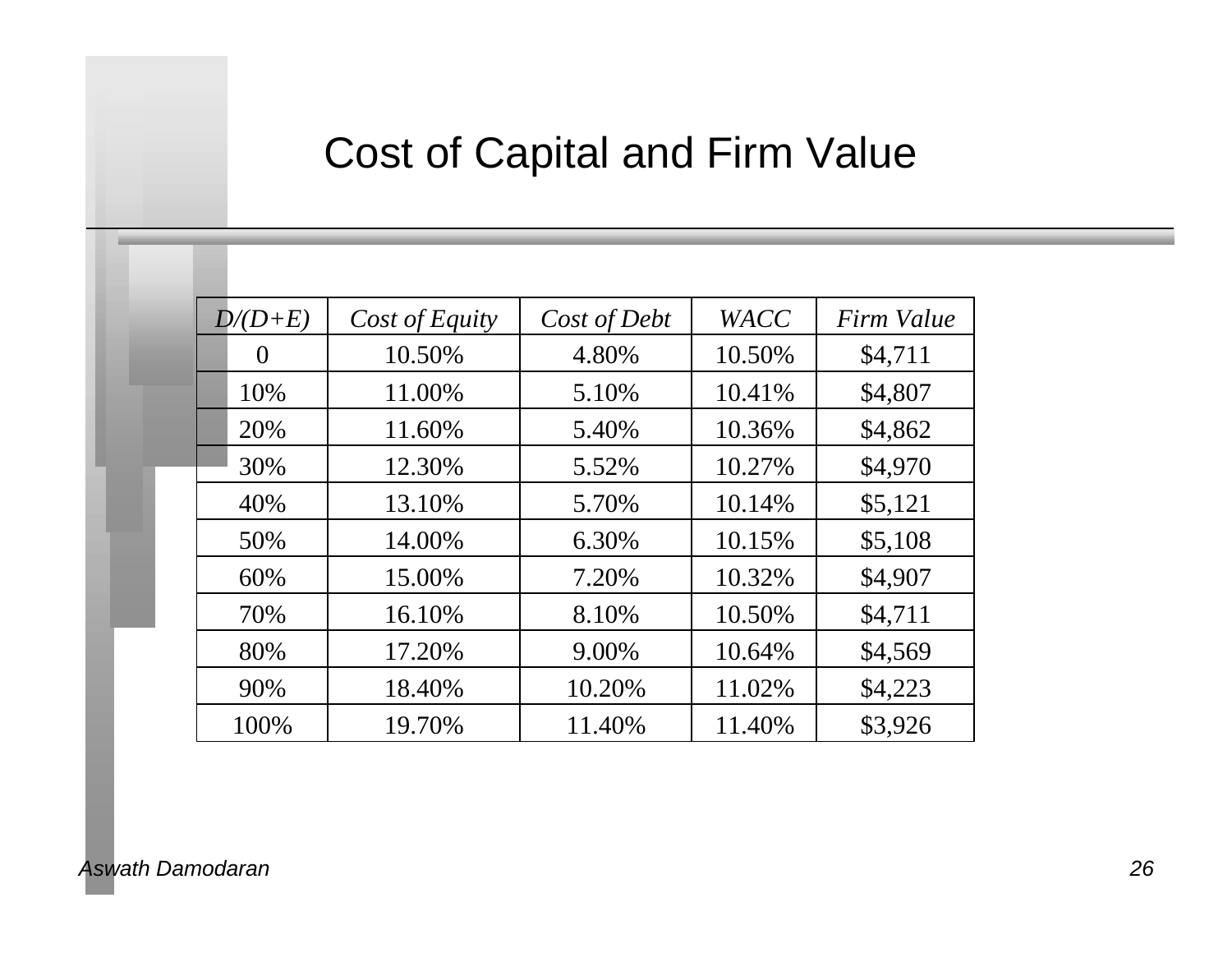# Cost of Capital and Firm Value

| $D/(D+E)$ | Cost of Equity | Cost of Debt | <b>WACC</b> | Firm Value |
|-----------|----------------|--------------|-------------|------------|
| $\theta$  | 10.50%         | 4.80%        | 10.50%      | \$4,711    |
| 10%       | 11.00%         | 5.10%        | 10.41%      | \$4,807    |
| 20%       | 11.60%         | 5.40%        | 10.36%      | \$4,862    |
| 30%       | 12.30%         | 5.52%        | 10.27%      | \$4,970    |
| 40%       | 13.10%         | 5.70%        | 10.14%      | \$5,121    |
| 50%       | 14.00%         | 6.30%        | 10.15%      | \$5,108    |
| 60%       | 15.00%         | 7.20%        | 10.32%      | \$4,907    |
| 70%       | 16.10%         | 8.10%        | 10.50%      | \$4,711    |
| 80%       | 17.20%         | 9.00%        | 10.64%      | \$4,569    |
| 90%       | 18.40%         | 10.20%       | 11.02%      | \$4,223    |
| 100%      | 19.70%         | 11.40%       | 11.40%      | \$3,926    |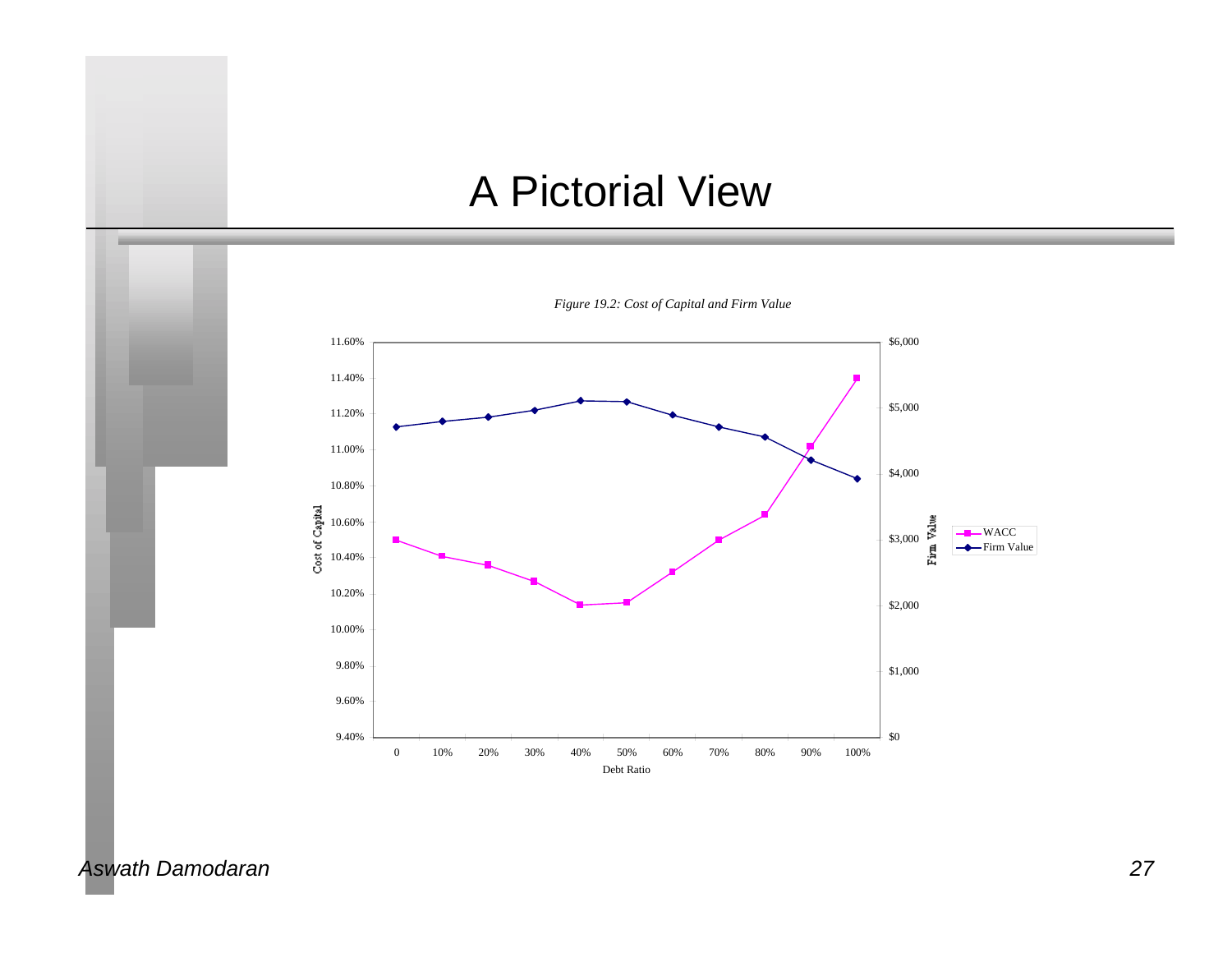#### A Pictorial View



*Aswath Damodaran 27*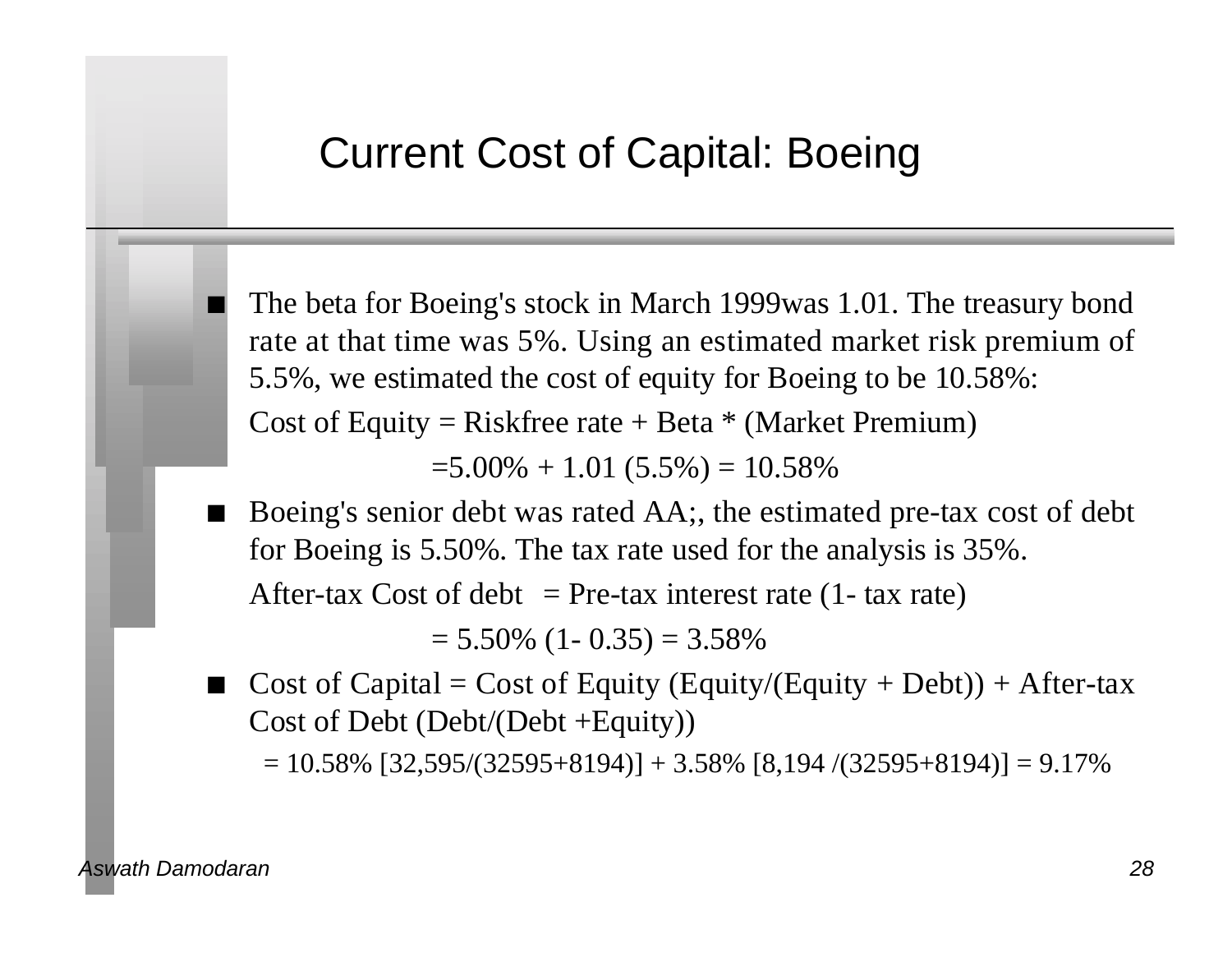#### Current Cost of Capital: Boeing

The beta for Boeing's stock in March 1999was 1.01. The treasury bond rate at that time was 5%. Using an estimated market risk premium of 5.5%, we estimated the cost of equity for Boeing to be 10.58%: Cost of Equity = Riskfree rate + Beta  $*$  (Market Premium)

 $=5.00\% + 1.01(5.5\%) = 10.58\%$ 

n Boeing's senior debt was rated AA;, the estimated pre-tax cost of debt for Boeing is 5.50%. The tax rate used for the analysis is 35%.

After-tax Cost of debt  $=$  Pre-tax interest rate (1- tax rate)

 $= 5.50\%$  (1- 0.35) = 3.58%

Cost of Capital = Cost of Equity (Equity/(Equity + Debt)) + After-tax Cost of Debt (Debt/(Debt +Equity))

 $= 10.58\%$  [32,595/(32595+8194)] + 3.58% [8,194 /(32595+8194)] = 9.17%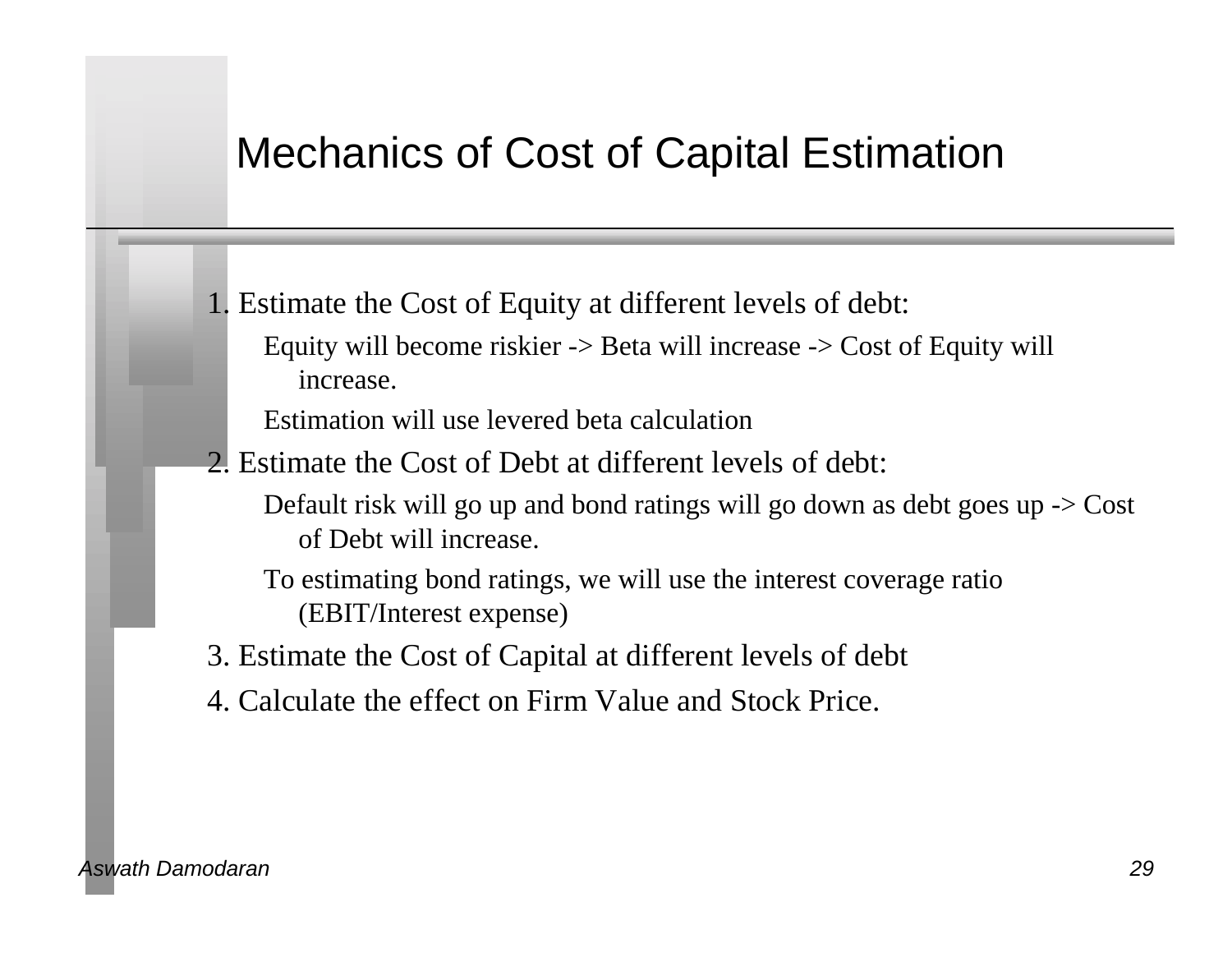#### Mechanics of Cost of Capital Estimation

1. Estimate the Cost of Equity at different levels of debt: Equity will become riskier -> Beta will increase -> Cost of Equity will increase.

Estimation will use levered beta calculation

2. Estimate the Cost of Debt at different levels of debt:

Default risk will go up and bond ratings will go down as debt goes up -> Cost of Debt will increase.

- To estimating bond ratings, we will use the interest coverage ratio (EBIT/Interest expense)
- 3. Estimate the Cost of Capital at different levels of debt
- 4. Calculate the effect on Firm Value and Stock Price.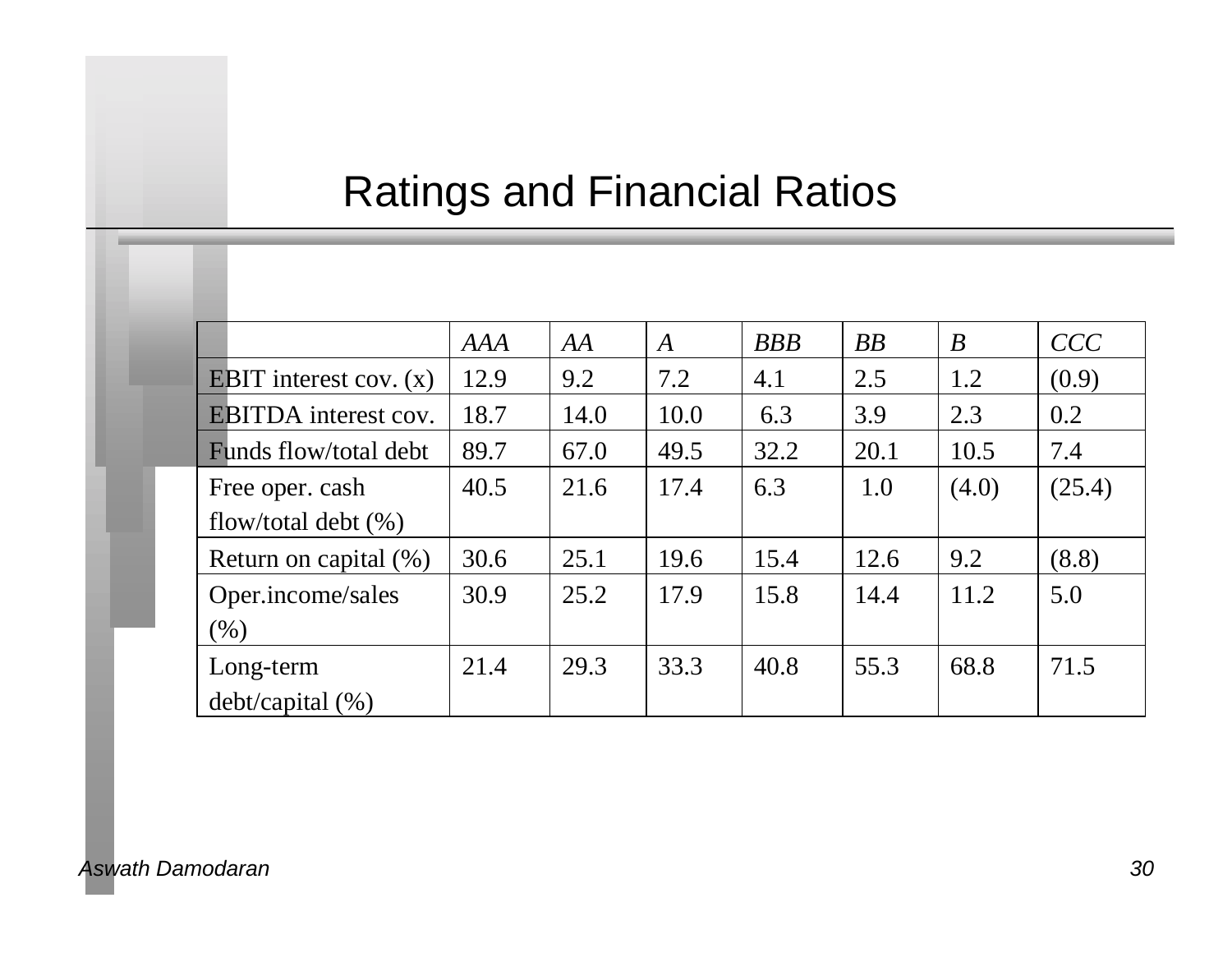# Ratings and Financial Ratios

|                                 | <b>AAA</b> | AA   | $\boldsymbol{A}$ | <b>BBB</b> | BB   | $\boldsymbol{B}$ | CCC    |
|---------------------------------|------------|------|------------------|------------|------|------------------|--------|
| <b>EBIT</b> interest cov. $(x)$ | 12.9       | 9.2  | 7.2              | 4.1        | 2.5  | 1.2              | (0.9)  |
| <b>EBITDA</b> interest cov.     | 18.7       | 14.0 | 10.0             | 6.3        | 3.9  | 2.3              | 0.2    |
| Funds flow/total debt           | 89.7       | 67.0 | 49.5             | 32.2       | 20.1 | 10.5             | 7.4    |
| Free oper. cash                 | 40.5       | 21.6 | 17.4             | 6.3        | 1.0  | (4.0)            | (25.4) |
| flow/total debt $(\% )$         |            |      |                  |            |      |                  |        |
| Return on capital $(\%)$        | 30.6       | 25.1 | 19.6             | 15.4       | 12.6 | 9.2              | (8.8)  |
| Oper.income/sales               | 30.9       | 25.2 | 17.9             | 15.8       | 14.4 | 11.2             | 5.0    |
| (% )                            |            |      |                  |            |      |                  |        |
| Long-term                       | 21.4       | 29.3 | 33.3             | 40.8       | 55.3 | 68.8             | 71.5   |
| $debt/capital$ (%)              |            |      |                  |            |      |                  |        |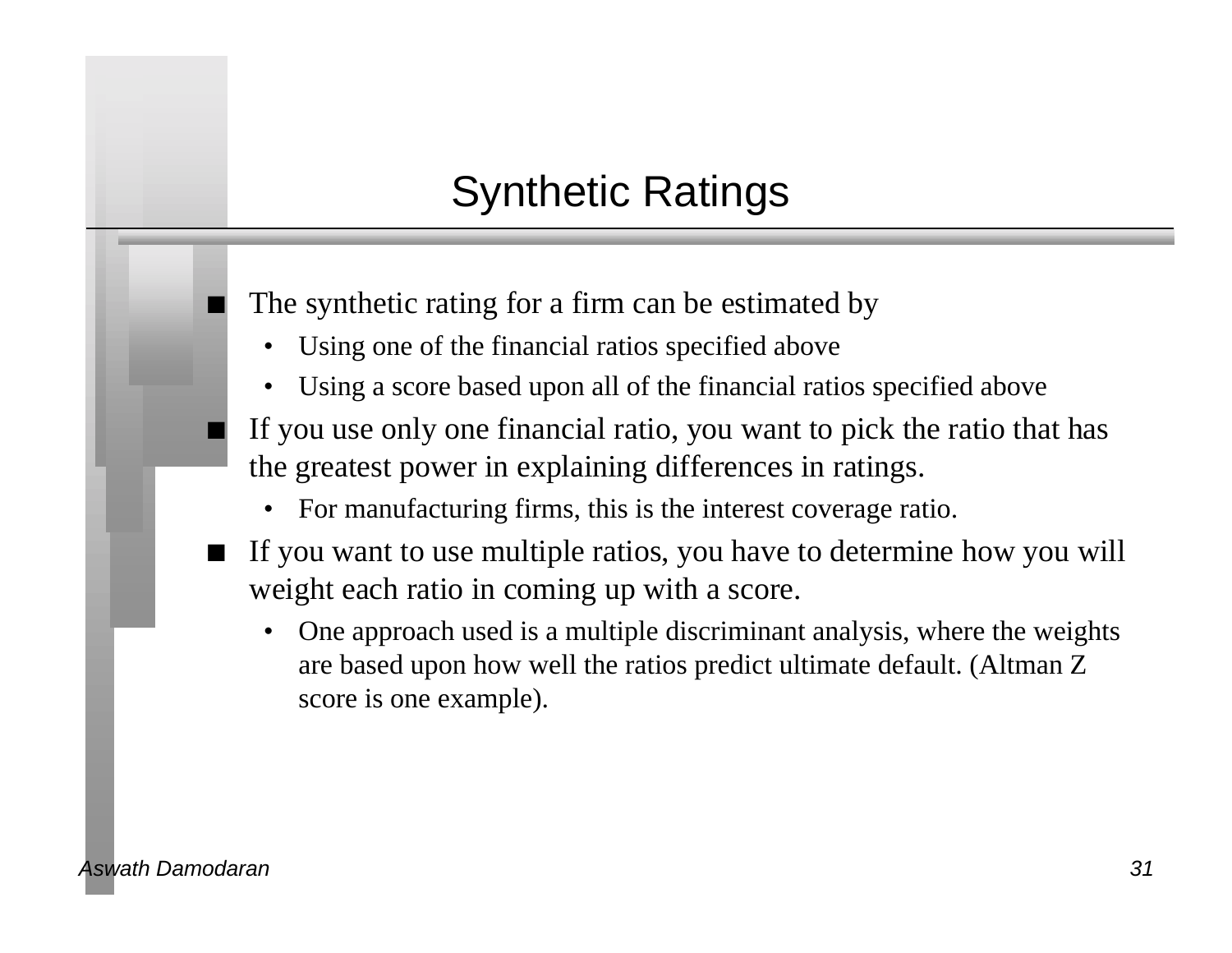# Synthetic Ratings

The synthetic rating for a firm can be estimated by

- Using one of the financial ratios specified above
- Using a score based upon all of the financial ratios specified above
- If you use only one financial ratio, you want to pick the ratio that has the greatest power in explaining differences in ratings.
	- For manufacturing firms, this is the interest coverage ratio.
- If you want to use multiple ratios, you have to determine how you will weight each ratio in coming up with a score.
	- One approach used is a multiple discriminant analysis, where the weights are based upon how well the ratios predict ultimate default. (Altman Z score is one example).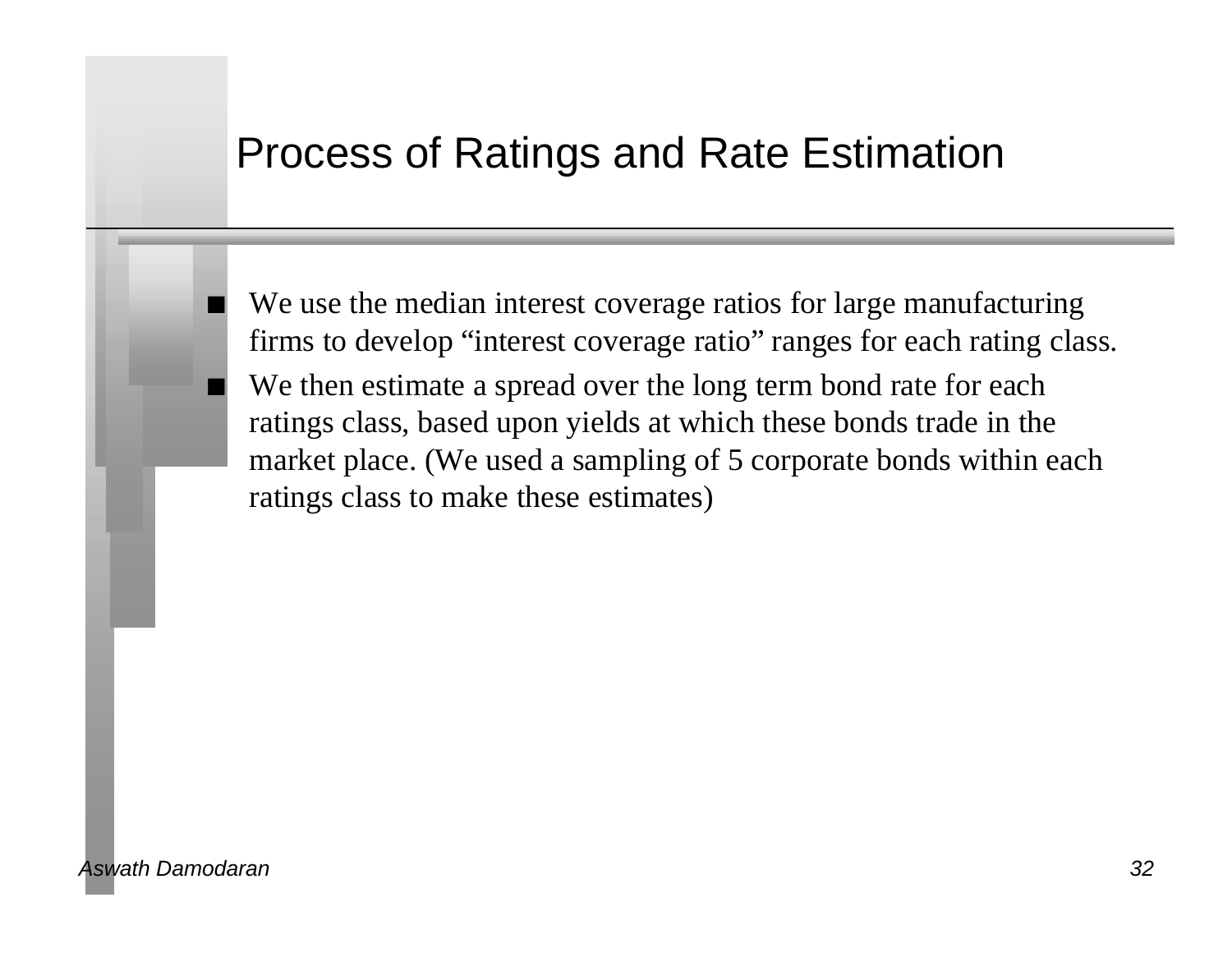#### Process of Ratings and Rate Estimation

We use the median interest coverage ratios for large manufacturing firms to develop "interest coverage ratio" ranges for each rating class. We then estimate a spread over the long term bond rate for each ratings class, based upon yields at which these bonds trade in the market place. (We used a sampling of 5 corporate bonds within each ratings class to make these estimates)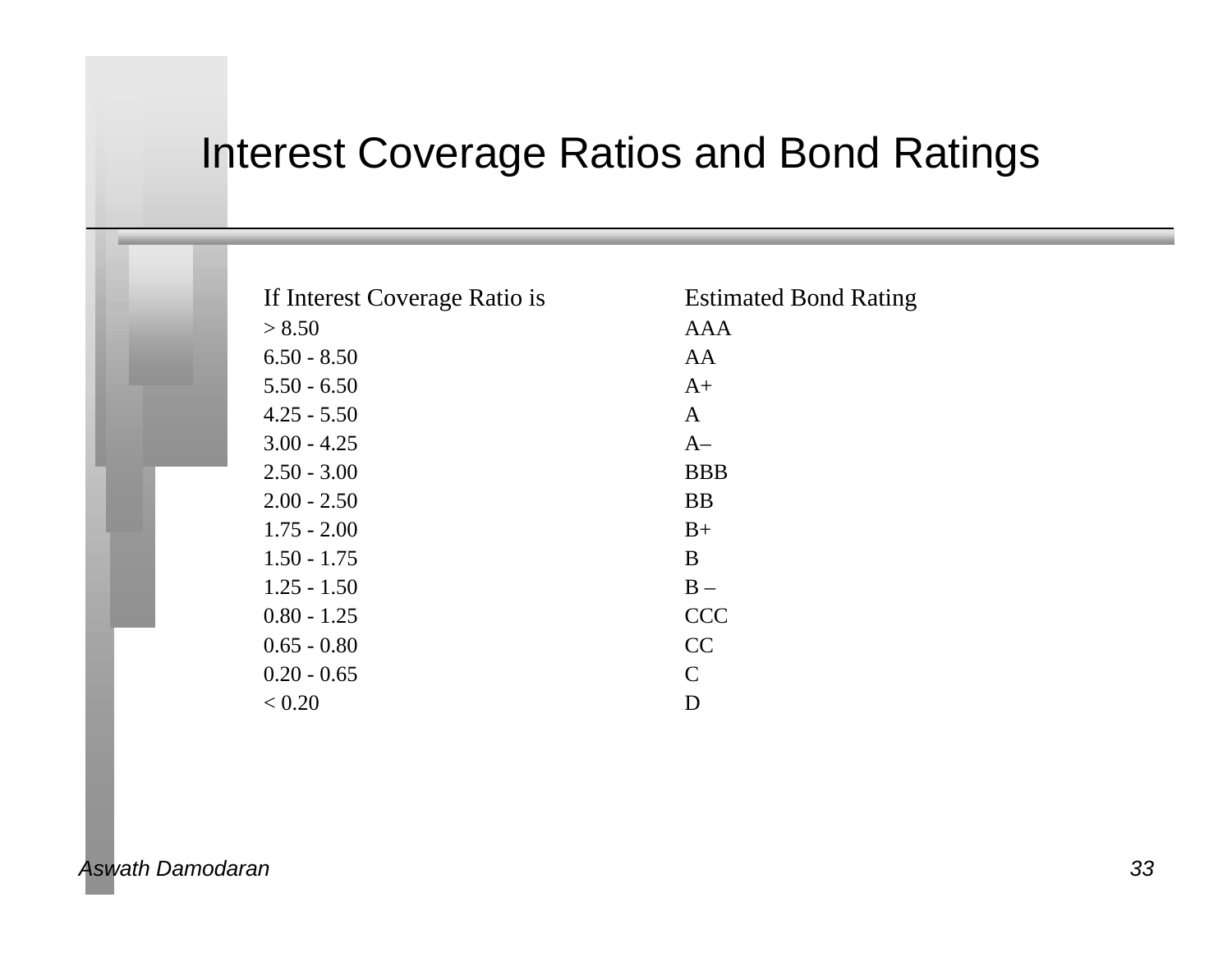### Interest Coverage Ratios and Bond Ratings

| If Interest Coverage Ratio is | <b>Estimated Bond Rating</b> |
|-------------------------------|------------------------------|
| > 8.50                        | <b>AAA</b>                   |
| $6.50 - 8.50$                 | AA                           |
| $5.50 - 6.50$                 | $A+$                         |
| $4.25 - 5.50$                 | A                            |
| $3.00 - 4.25$                 | $A-$                         |
| $2.50 - 3.00$                 | <b>BBB</b>                   |
| $2.00 - 2.50$                 | <b>BB</b>                    |
| $1.75 - 2.00$                 | $B+$                         |
| $1.50 - 1.75$                 | B                            |
| $1.25 - 1.50$                 | $B -$                        |
| $0.80 - 1.25$                 | <b>CCC</b>                   |
| $0.65 - 0.80$                 | CC                           |
| $0.20 - 0.65$                 | $\mathcal{C}$                |
| < 0.20                        | D                            |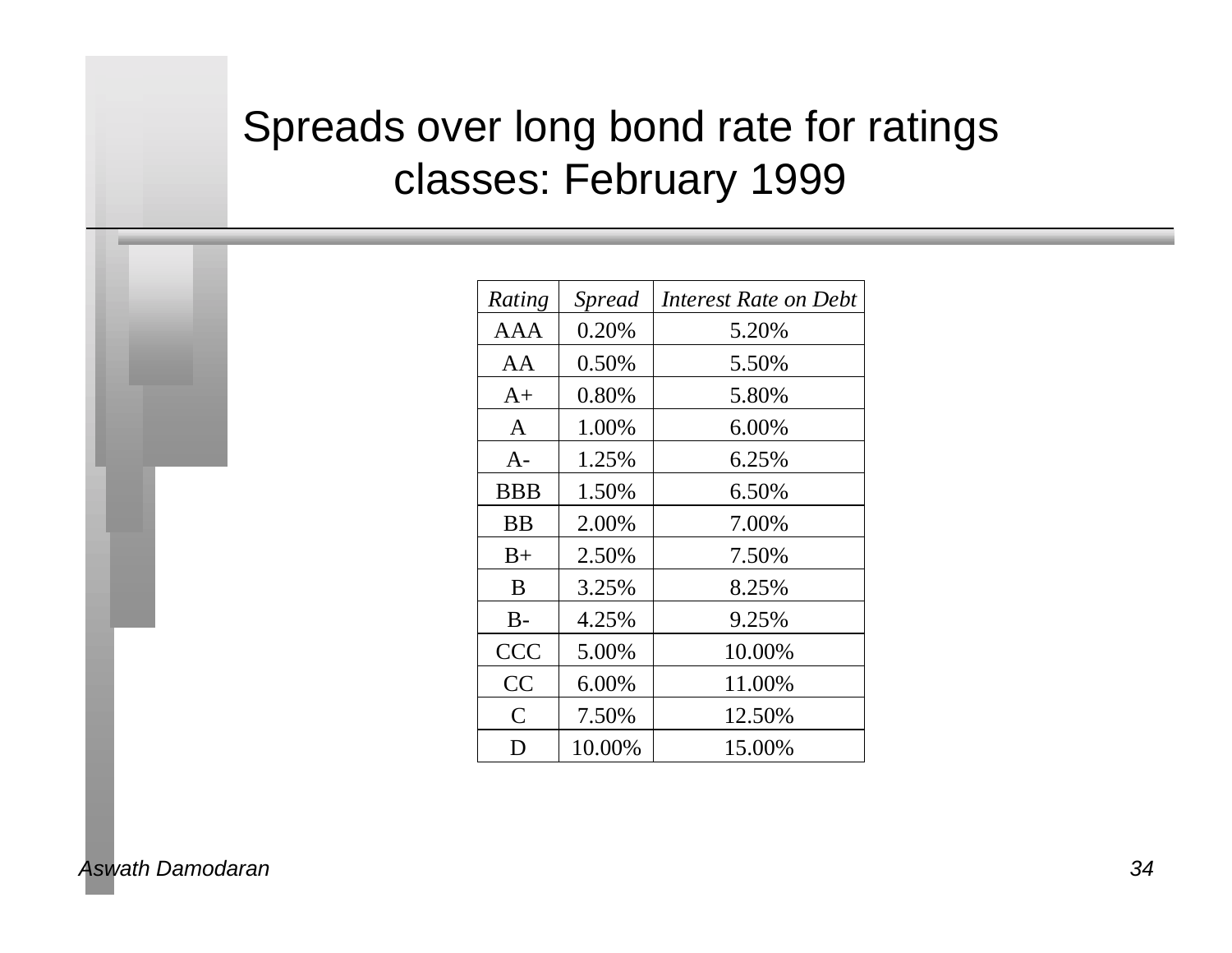# Spreads over long bond rate for ratings classes: February 1999

| Rating       | Spread | Interest Rate on Debt |
|--------------|--------|-----------------------|
| AAA          | 0.20%  | 5.20%                 |
| AA           | 0.50%  | 5.50%                 |
| $A+$         | 0.80%  | 5.80%                 |
| $\mathsf{A}$ | 1.00%  | 6.00%                 |
| $A-$         | 1.25%  | 6.25%                 |
| <b>BBB</b>   | 1.50%  | 6.50%                 |
| <b>BB</b>    | 2.00%  | 7.00%                 |
| $B+$         | 2.50%  | 7.50%                 |
| B            | 3.25%  | 8.25%                 |
| $B -$        | 4.25%  | 9.25%                 |
| <b>CCC</b>   | 5.00%  | 10.00%                |
| CC           | 6.00%  | 11.00%                |
| C            | 7.50%  | 12.50%                |
| D            | 10.00% | 15.00%                |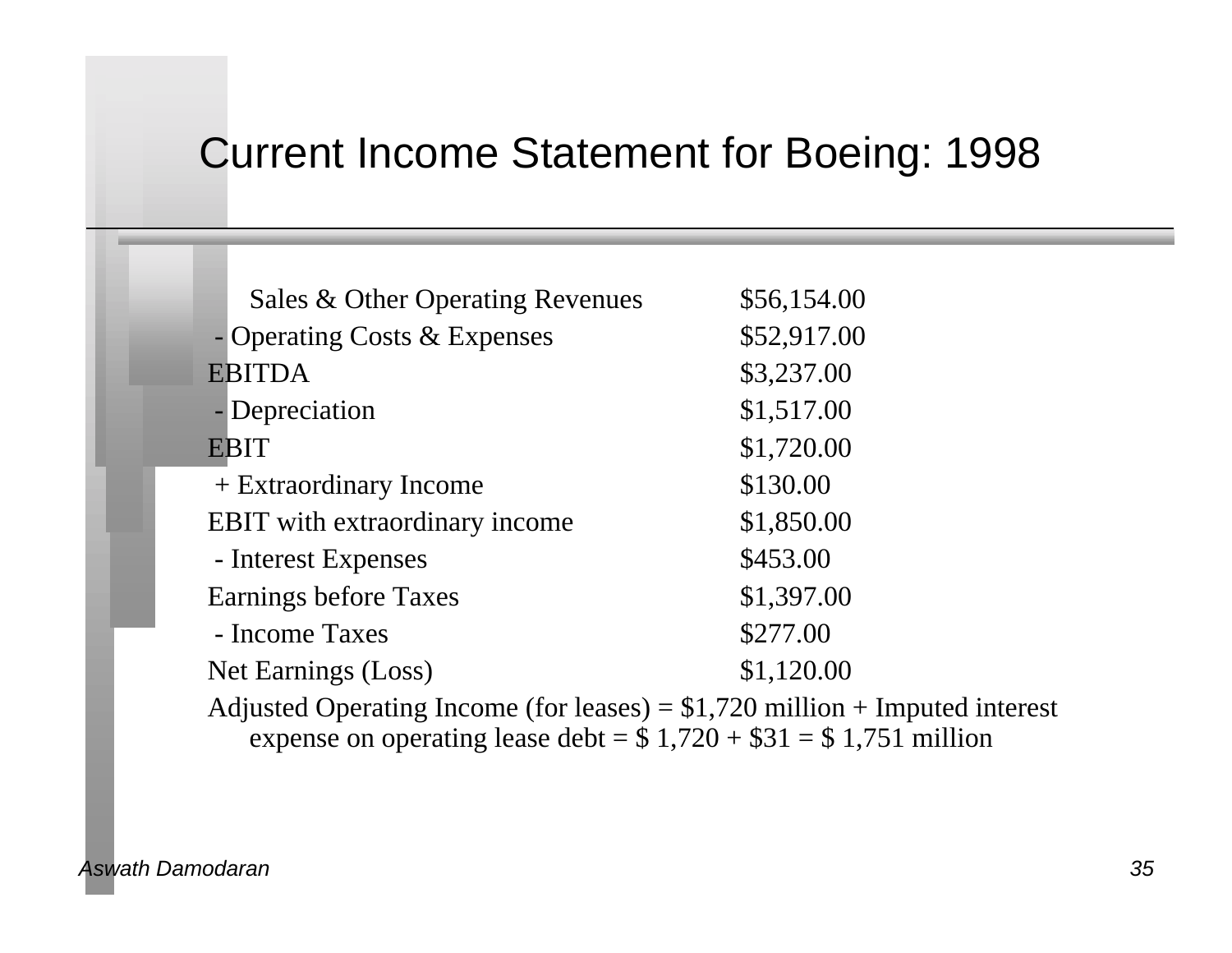#### Current Income Statement for Boeing: 1998

| Sales & Other Operating Revenues                                                                                                                                                                                                                                                                                                                                                            | \$56,154.00           |
|---------------------------------------------------------------------------------------------------------------------------------------------------------------------------------------------------------------------------------------------------------------------------------------------------------------------------------------------------------------------------------------------|-----------------------|
| - Operating Costs & Expenses                                                                                                                                                                                                                                                                                                                                                                | \$52,917.00           |
| <b>EBITDA</b>                                                                                                                                                                                                                                                                                                                                                                               | \$3,237.00            |
| - Depreciation                                                                                                                                                                                                                                                                                                                                                                              | \$1,517.00            |
| <b>EBIT</b>                                                                                                                                                                                                                                                                                                                                                                                 | \$1,720.00            |
| + Extraordinary Income                                                                                                                                                                                                                                                                                                                                                                      | \$130.00              |
| <b>EBIT</b> with extraordinary income                                                                                                                                                                                                                                                                                                                                                       | \$1,850.00            |
| - Interest Expenses                                                                                                                                                                                                                                                                                                                                                                         | \$453.00              |
| Earnings before Taxes                                                                                                                                                                                                                                                                                                                                                                       | \$1,397.00            |
| - Income Taxes                                                                                                                                                                                                                                                                                                                                                                              | \$277.00              |
| Net Earnings (Loss)                                                                                                                                                                                                                                                                                                                                                                         | \$1,120.00            |
| $\lambda$ 1, $\lambda$ 1 $\Omega$ $\lambda$ 1 $\lambda$ 1 $\lambda$ 1 $\lambda$ 1 $\lambda$ 1 $\lambda$ 1 $\lambda$ 1 $\lambda$ 1 $\lambda$ 1 $\lambda$ 1 $\lambda$ 1 $\lambda$ 1 $\lambda$ 1 $\lambda$ 1 $\lambda$ 1 $\lambda$ 1 $\lambda$ 1 $\lambda$ 1 $\lambda$ 1 $\lambda$ 1 $\lambda$ 1 $\lambda$ 1 $\lambda$ 1 $\lambda$ 1 $\lambda$ 1 $\lambda$ 1 $\lambda$ 1 $\lambda$ 1 $\lambda$ | $0.1$ $700$ $11'$ $1$ |

Adjusted Operating Income (for leases) = \$1,720 million + Imputed interest expense on operating lease debt =  $\frac{1}{2}$  1,720 + \$31 = \$1,751 million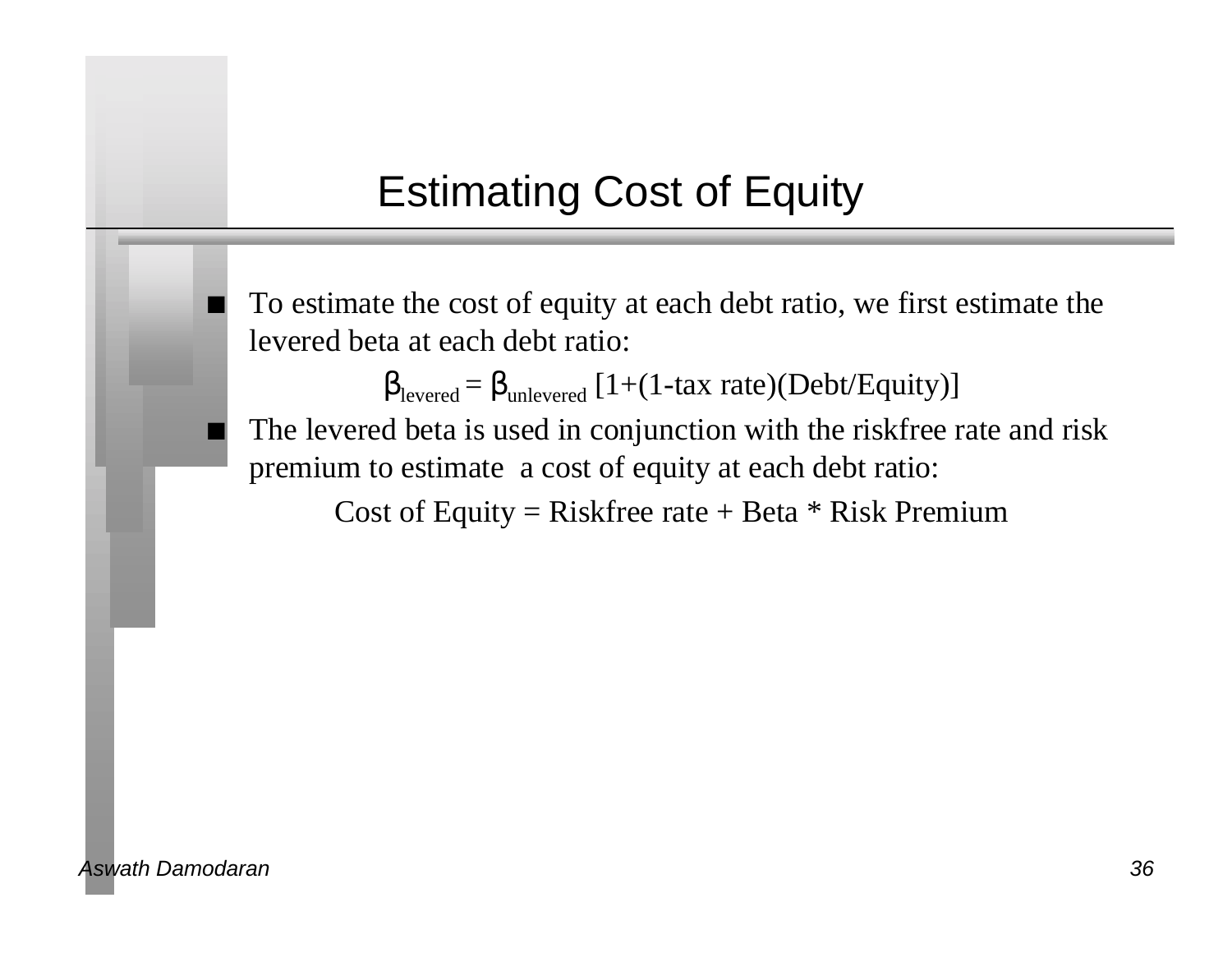# Estimating Cost of Equity

To estimate the cost of equity at each debt ratio, we first estimate the levered beta at each debt ratio:

levered =  $_{\text{unlevered}}$  [1+(1-tax rate)(Debt/Equity)]

The levered beta is used in conjunction with the riskfree rate and risk premium to estimate a cost of equity at each debt ratio:

Cost of Equity = Riskfree rate + Beta  $*$  Risk Premium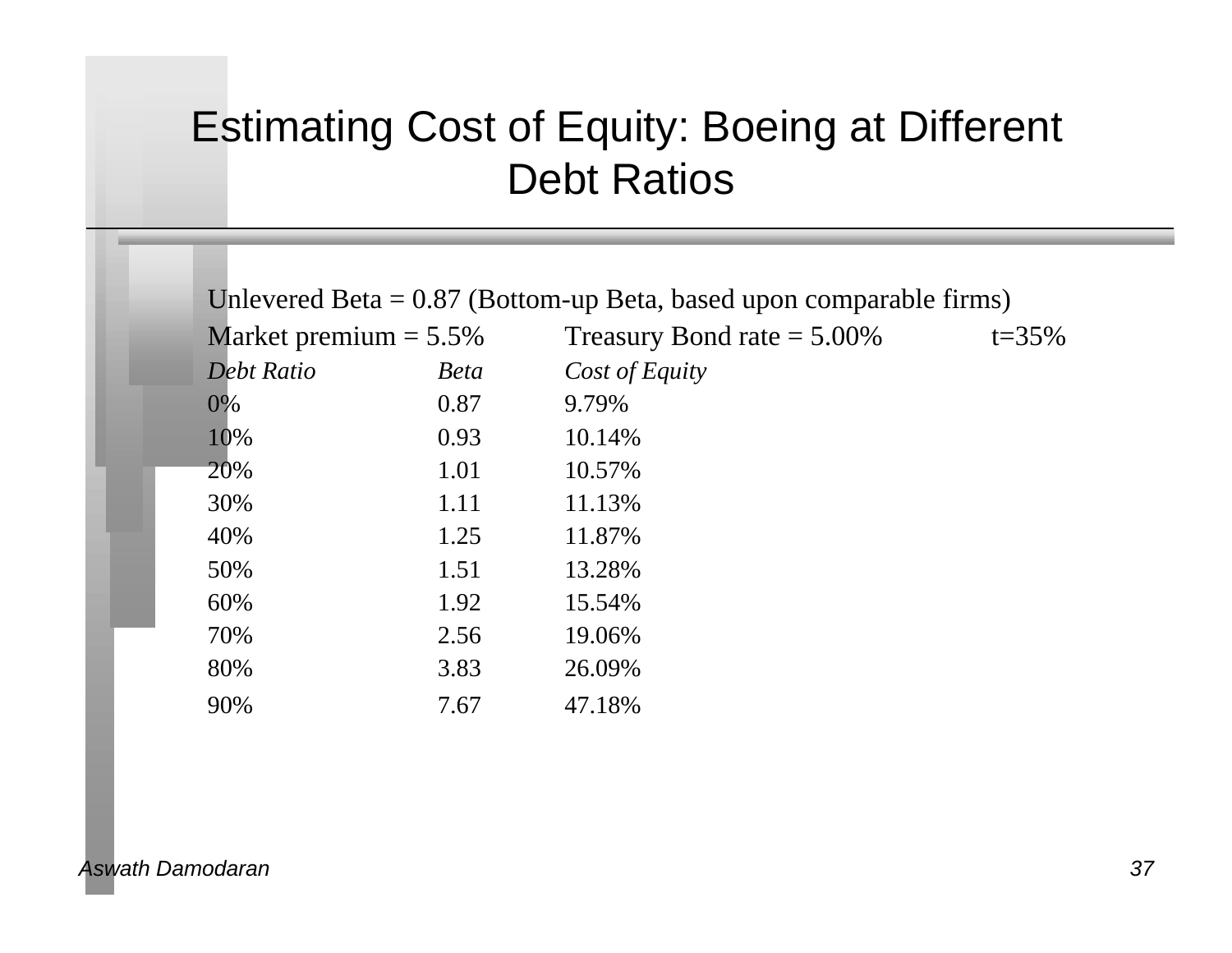## Estimating Cost of Equity: Boeing at Different Debt Ratios

| Unlevered Beta $= 0.87$ (Bottom-up Beta, based upon comparable firms) |             |                               |            |  |  |  |
|-----------------------------------------------------------------------|-------------|-------------------------------|------------|--|--|--|
| Market premium $= 5.5\%$                                              |             | Treasury Bond rate $= 5.00\%$ | $t = 35\%$ |  |  |  |
| <b>Debt Ratio</b>                                                     | <b>Beta</b> | Cost of Equity                |            |  |  |  |
| 0%                                                                    | 0.87        | 9.79%                         |            |  |  |  |
| 10%                                                                   | 0.93        | 10.14%                        |            |  |  |  |
| 20%                                                                   | 1.01        | 10.57%                        |            |  |  |  |
| 30%                                                                   | 1.11        | 11.13%                        |            |  |  |  |
| 40%                                                                   | 1.25        | 11.87%                        |            |  |  |  |
| 50%                                                                   | 1.51        | 13.28%                        |            |  |  |  |
| 60%                                                                   | 1.92        | 15.54%                        |            |  |  |  |
| 70%                                                                   | 2.56        | 19.06%                        |            |  |  |  |
| 80%                                                                   | 3.83        | 26.09%                        |            |  |  |  |
| 90%                                                                   | 7.67        | 47.18%                        |            |  |  |  |
|                                                                       |             |                               |            |  |  |  |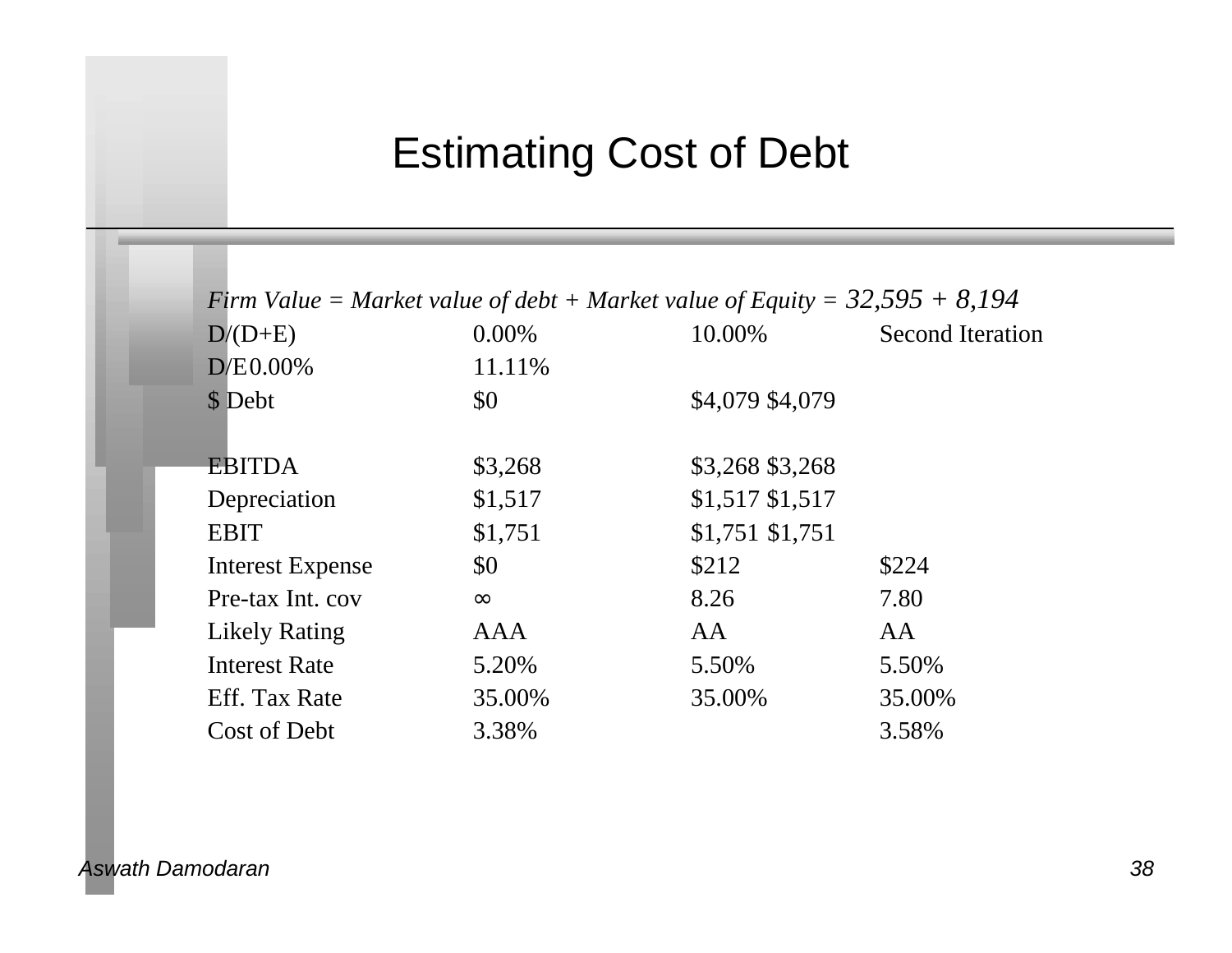## Estimating Cost of Debt

| Firm Value = Market value of debt + Market value of Equity = $32,595 + 8,194$ |            |                  |                         |  |  |  |
|-------------------------------------------------------------------------------|------------|------------------|-------------------------|--|--|--|
| $D/(D+E)$                                                                     | $0.00\%$   | 10.00%           | <b>Second Iteration</b> |  |  |  |
| $D/E0.00\%$                                                                   | 11.11%     |                  |                         |  |  |  |
| \$ Debt                                                                       | \$0        | \$4,079 \$4,079  |                         |  |  |  |
| <b>EBITDA</b>                                                                 | \$3,268    | \$3,268 \$3,268  |                         |  |  |  |
| Depreciation                                                                  | \$1,517    | $$1,517$ \$1,517 |                         |  |  |  |
| <b>EBIT</b>                                                                   | \$1,751    | $$1,751$ \$1,751 |                         |  |  |  |
| <b>Interest Expense</b>                                                       | \$0        | \$212            | \$224                   |  |  |  |
| Pre-tax Int. cov                                                              |            | 8.26             | 7.80                    |  |  |  |
| <b>Likely Rating</b>                                                          | <b>AAA</b> | AA               | AA                      |  |  |  |
| <b>Interest Rate</b>                                                          | 5.20%      | 5.50%            | 5.50%                   |  |  |  |
| Eff. Tax Rate                                                                 | 35.00%     | 35.00%           | 35.00%                  |  |  |  |
| Cost of Debt                                                                  | 3.38%      |                  | 3.58%                   |  |  |  |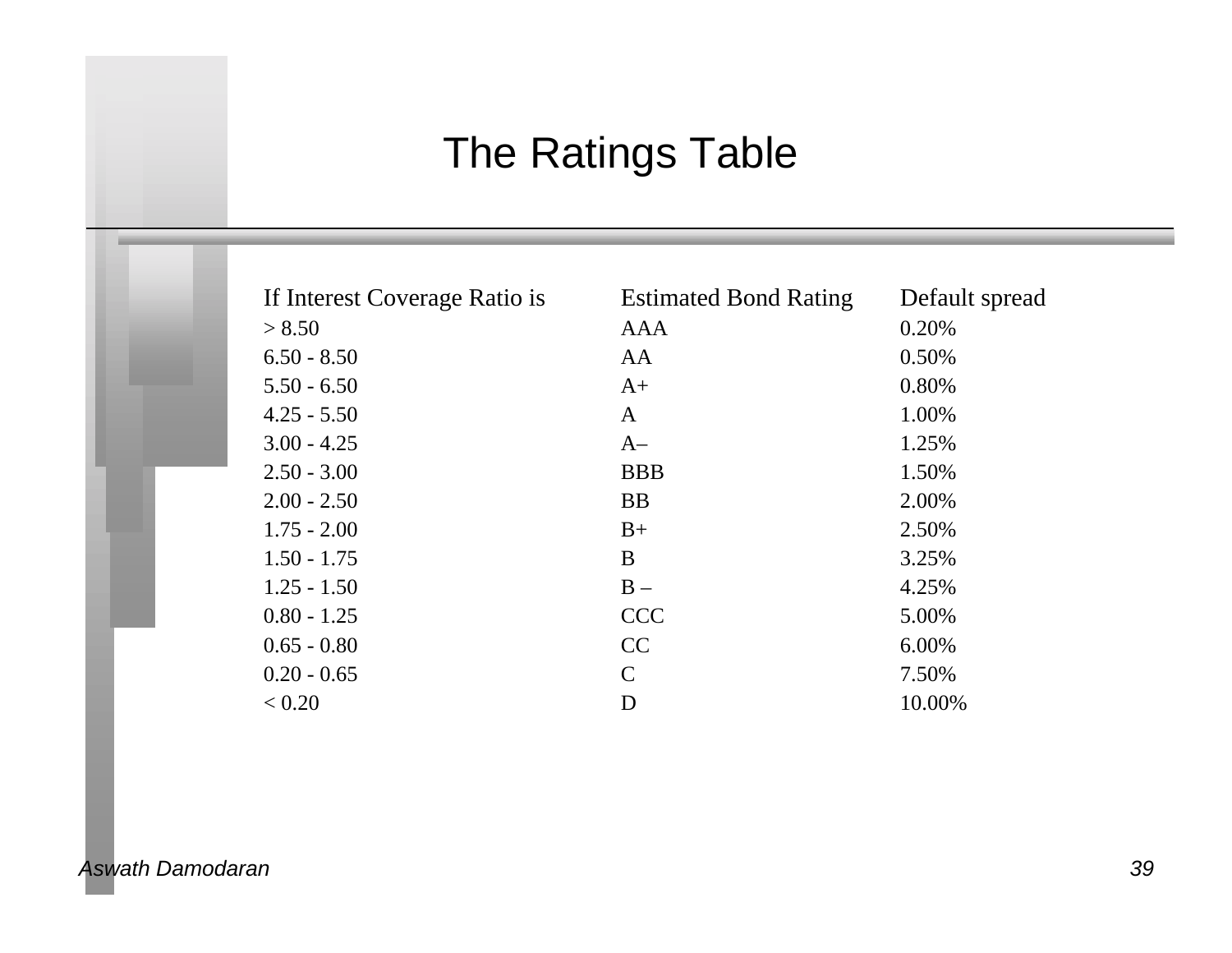# The Ratings Table

| If Interest Coverage Ratio is | <b>Estimated Bond Rating</b> | Default spread |
|-------------------------------|------------------------------|----------------|
| > 8.50                        | AAA                          | 0.20%          |
| $6.50 - 8.50$                 | AA                           | 0.50%          |
| $5.50 - 6.50$                 | $A+$                         | 0.80%          |
| $4.25 - 5.50$                 | A                            | 1.00%          |
| $3.00 - 4.25$                 | $A-$                         | 1.25%          |
| $2.50 - 3.00$                 | <b>BBB</b>                   | 1.50%          |
| $2.00 - 2.50$                 | <b>BB</b>                    | 2.00%          |
| $1.75 - 2.00$                 | $B+$                         | 2.50%          |
| $1.50 - 1.75$                 | B                            | 3.25%          |
| $1.25 - 1.50$                 | $B -$                        | 4.25%          |
| $0.80 - 1.25$                 | <b>CCC</b>                   | 5.00%          |
| $0.65 - 0.80$                 | CC                           | 6.00%          |
| $0.20 - 0.65$                 | $\mathsf{C}$                 | 7.50%          |
| < 0.20                        | D                            | 10.00%         |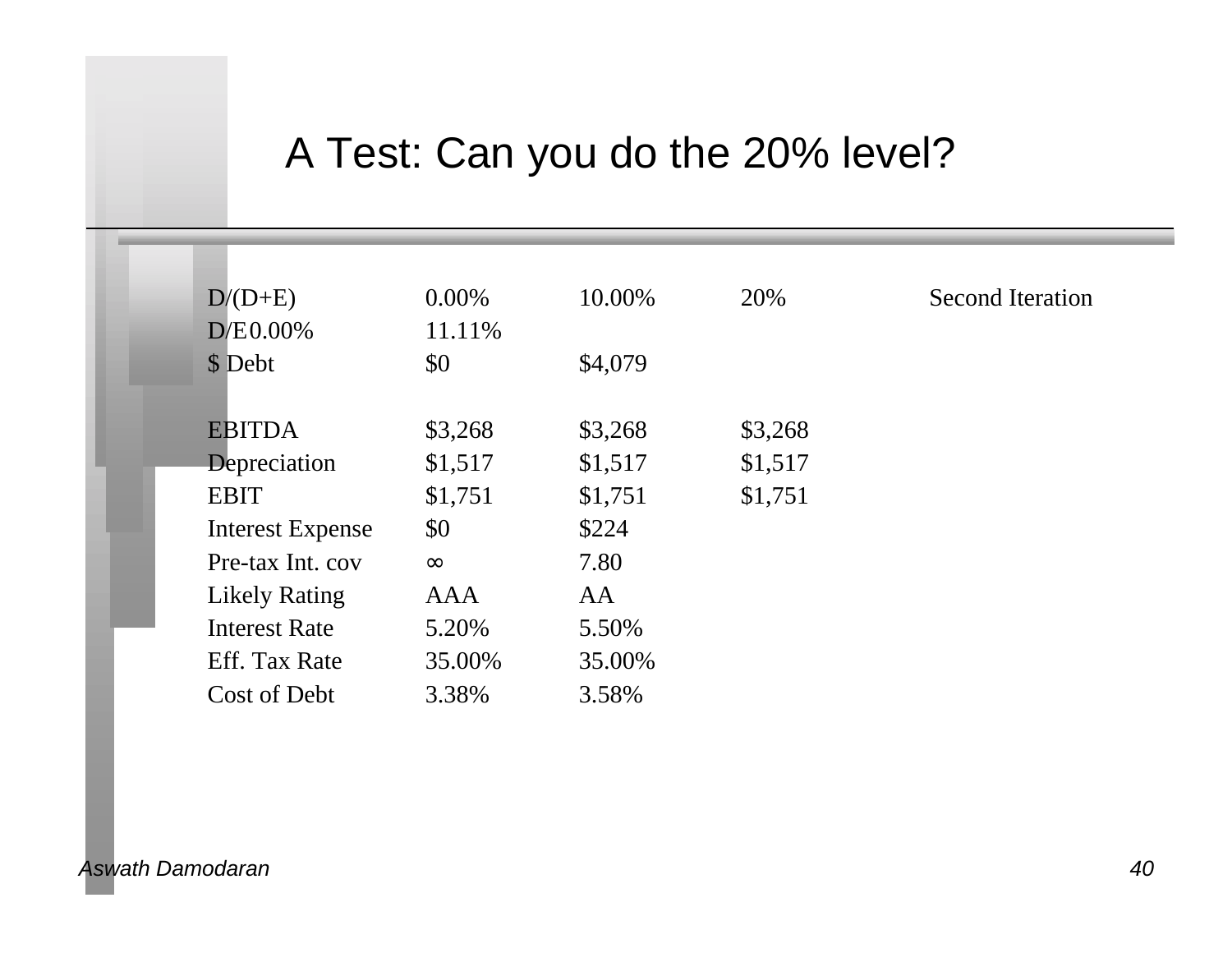## A Test: Can you do the 20% level?

| $D/(D+E)$               | $0.00\%$ | 10.00%  | 20%     | <b>Second Iteration</b> |
|-------------------------|----------|---------|---------|-------------------------|
| $D/E0.00\%$             | 11.11%   |         |         |                         |
| \$ Debt                 | \$0      | \$4,079 |         |                         |
|                         |          |         |         |                         |
| <b>EBITDA</b>           | \$3,268  | \$3,268 | \$3,268 |                         |
| Depreciation            | \$1,517  | \$1,517 | \$1,517 |                         |
| <b>EBIT</b>             | \$1,751  | \$1,751 | \$1,751 |                         |
| <b>Interest Expense</b> | \$0      | \$224   |         |                         |
| Pre-tax Int. cov        |          | 7.80    |         |                         |
| <b>Likely Rating</b>    | AAA      | AA      |         |                         |
| <b>Interest Rate</b>    | 5.20%    | 5.50%   |         |                         |
| Eff. Tax Rate           | 35.00%   | 35.00%  |         |                         |
| Cost of Debt            | 3.38%    | 3.58%   |         |                         |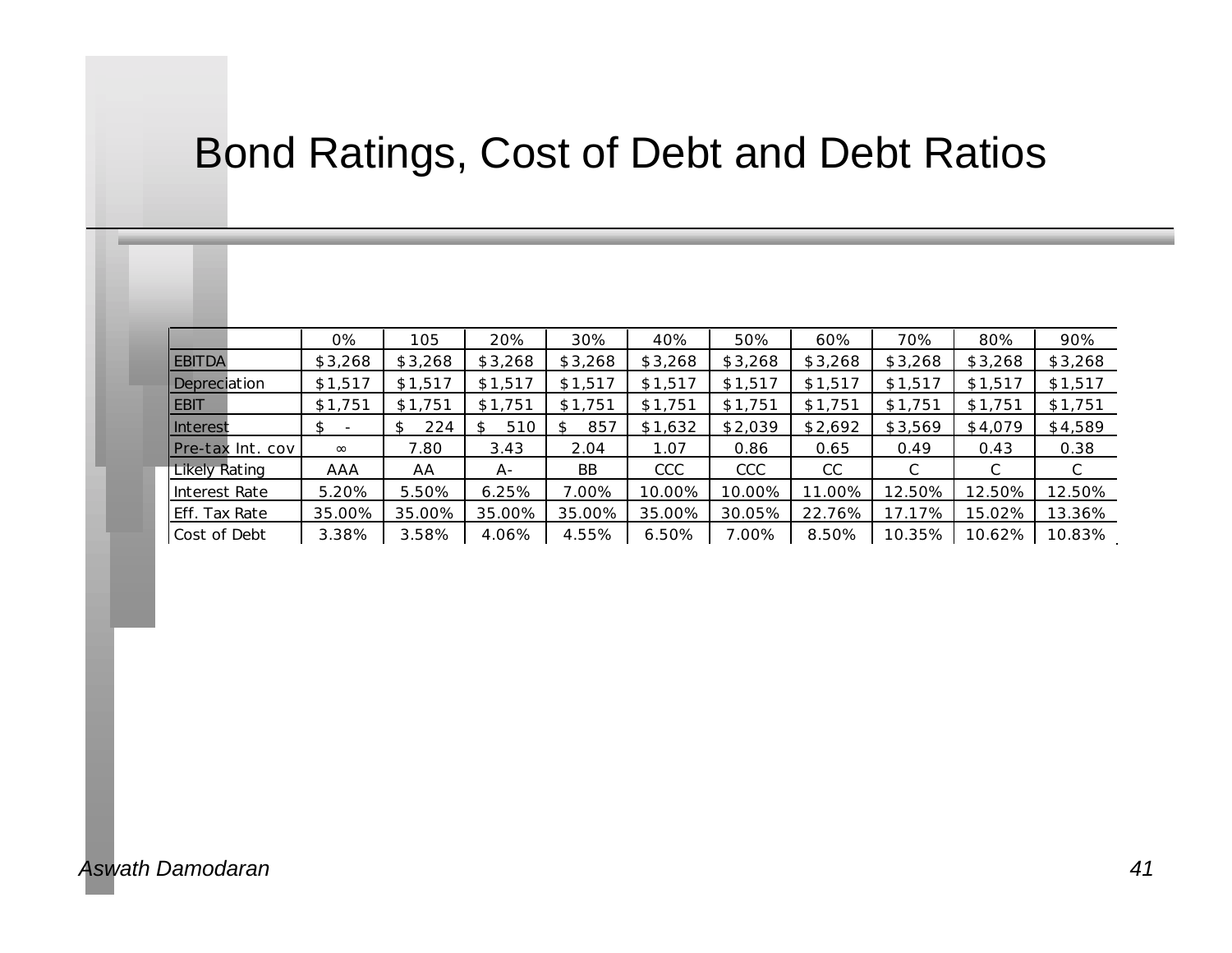## Bond Ratings, Cost of Debt and Debt Ratios

|                   | 0%      | 105       | 20%     | 30%       | 40%        | 50%     | 60%     | 70%     | 80%     | 90%     |
|-------------------|---------|-----------|---------|-----------|------------|---------|---------|---------|---------|---------|
| <b>EBITDA</b>     | \$3,268 | \$3,268   | \$3,268 | \$3,268   | \$3,268    | \$3,268 | \$3,268 | \$3,268 | \$3,268 | \$3,268 |
| Depreciation      | \$1,517 | \$1,517   | \$1,517 | \$1,517   | \$1,517    | \$1,517 | \$1,517 | \$1,517 | \$1,517 | \$1,517 |
| <b>EBIT</b>       | \$1,751 | \$1,751   | \$1,751 | \$1,751   | \$1,751    | \$1,751 | \$1,751 | \$1,751 | \$1,751 | \$1,751 |
| Interest          | \$      | 224<br>\$ | 510     | 857<br>S. | \$1,632    | \$2,039 | \$2,692 | \$3,569 | \$4,079 | \$4,589 |
| IPre-tax Int. cov |         | 7.80      | 3.43    | 2.04      | 1.07       | 0.86    | 0.65    | 0.49    | 0.43    | 0.38    |
| Likely Rating     | AAA     | AA        | A-      | <b>BB</b> | <b>CCC</b> | CCC     | CC      | С       | С       | С       |
| Interest Rate     | 5.20%   | 5.50%     | 6.25%   | 7.00%     | 10.00%     | 10.00%  | 11.00%  | 12.50%  | 12.50%  | 12.50%  |
| Eff. Tax Rate     | 35.00%  | 35.00%    | 35.00%  | 35.00%    | 35.00%     | 30.05%  | 22.76%  | 17.17%  | 15.02%  | 13.36%  |
| Cost of Debt      | 3.38%   | 3.58%     | 4.06%   | 4.55%     | 6.50%      | 7.00%   | 8.50%   | 10.35%  | 10.62%  | 10.83%  |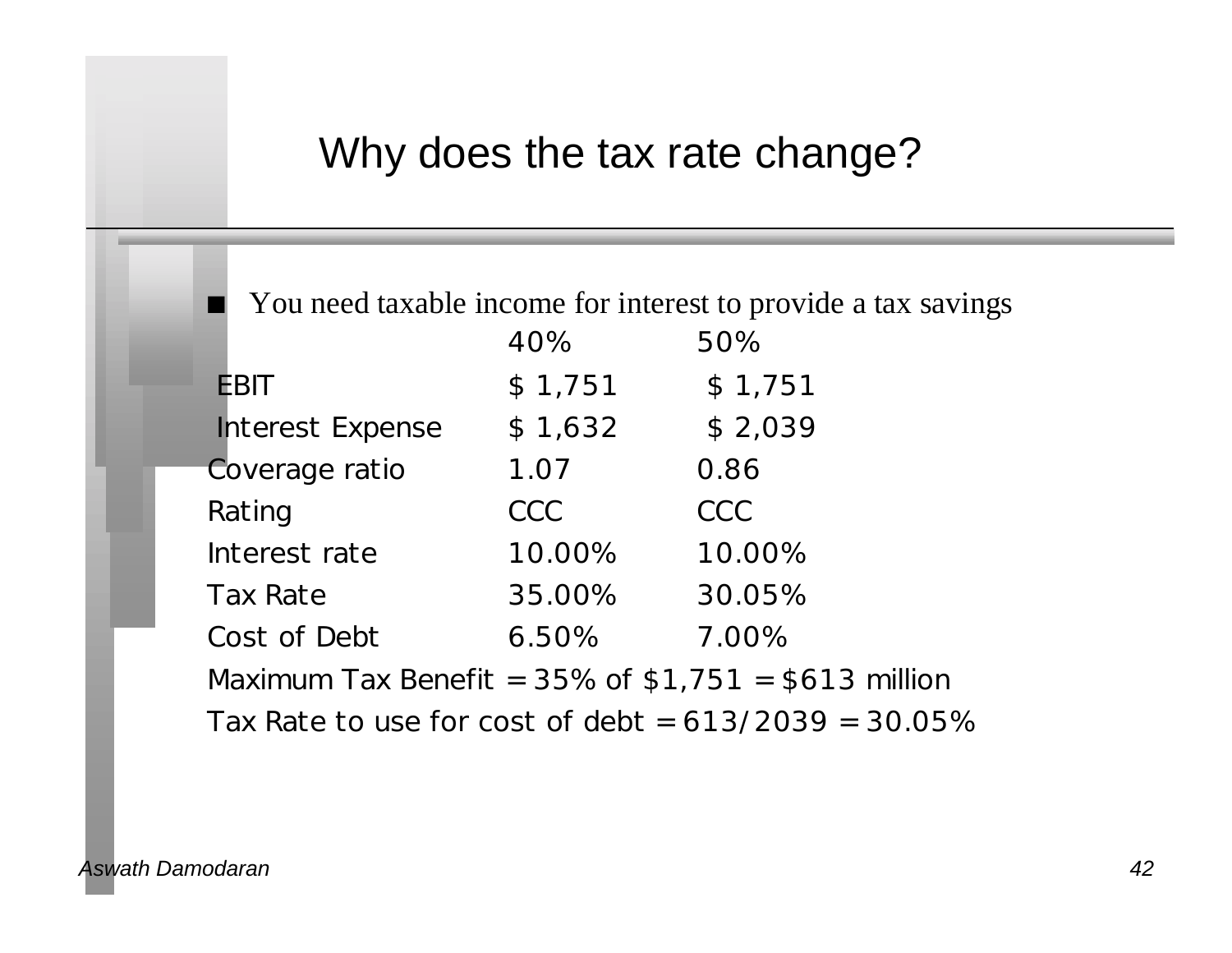#### Why does the tax rate change?

You need taxable income for interest to provide a tax savings

|                                                         | 40%        | 50%        |
|---------------------------------------------------------|------------|------------|
| <b>EBIT</b>                                             | \$1,751    | \$1,751    |
| <b>Interest Expense</b>                                 | \$1,632    | \$2,039    |
| Coverage ratio                                          | 1.07       | 0.86       |
| Rating                                                  | <b>CCC</b> | <b>CCC</b> |
| Interest rate                                           | 10.00%     | 10.00%     |
| <b>Tax Rate</b>                                         | 35.00%     | 30.05%     |
| Cost of Debt                                            | 6.50%      | 7.00%      |
| Maximum Tax Benefit = $35\%$ of \$1,751 = \$613 million |            |            |

Tax Rate to use for cost of debt =  $613/2039 = 30.05\%$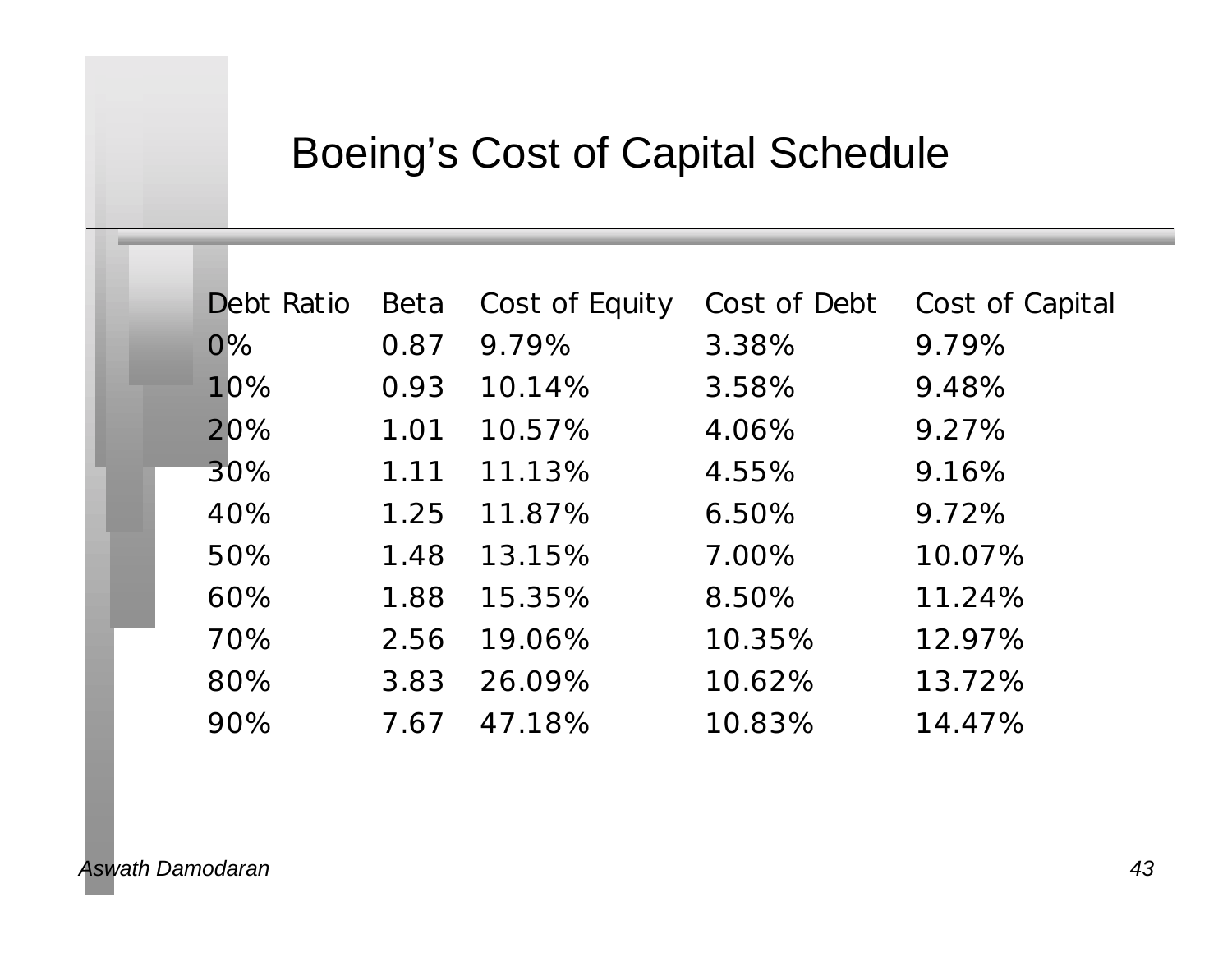## Boeing's Cost of Capital Schedule

| <b>Debt Ratio</b> | Beta | Cost of Equity | Cost of Debt | Cost of Capital |
|-------------------|------|----------------|--------------|-----------------|
| $0\%$             | 0.87 | 9.79%          | 3.38%        | 9.79%           |
| 10%               | 0.93 | 10.14%         | 3.58%        | 9.48%           |
| 20%               | 1.01 | 10.57%         | 4.06%        | 9.27%           |
| 30%               | 1.11 | 11.13%         | 4.55%        | 9.16%           |
| 40%               | 1.25 | 11.87%         | 6.50%        | 9.72%           |
| 50%               | 1.48 | 13.15%         | 7.00%        | 10.07%          |
| 60%               | 1.88 | 15.35%         | 8.50%        | 11.24%          |
| 70%               | 2.56 | 19.06%         | 10.35%       | 12.97%          |
| 80%               | 3.83 | 26.09%         | 10.62%       | 13.72%          |
| 90%               | 7.67 | 47.18%         | 10.83%       | 14.47%          |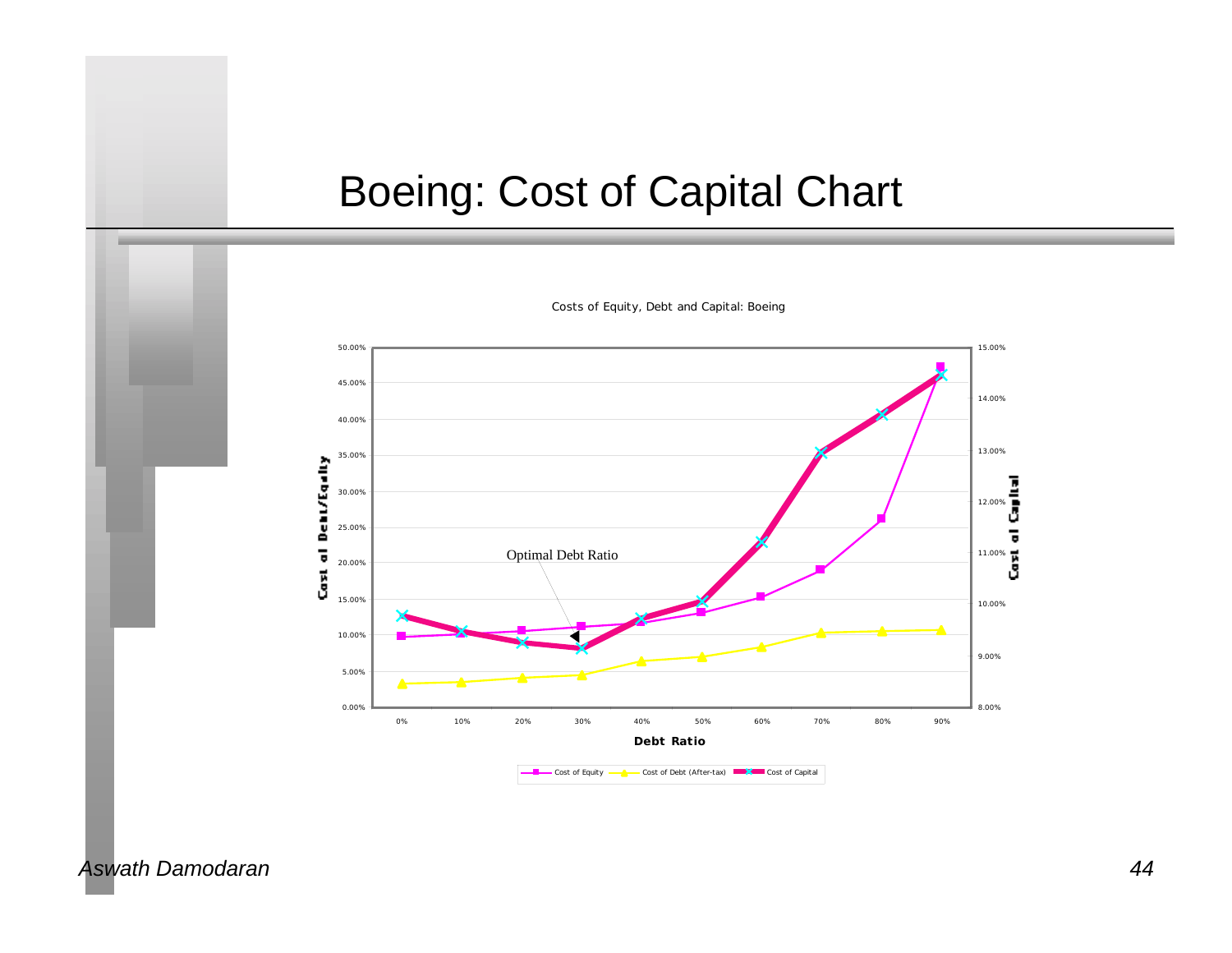### Boeing: Cost of Capital Chart



*Costs of Equity, Debt and Capital: Boeing*

#### *Aswath Damodaran 44*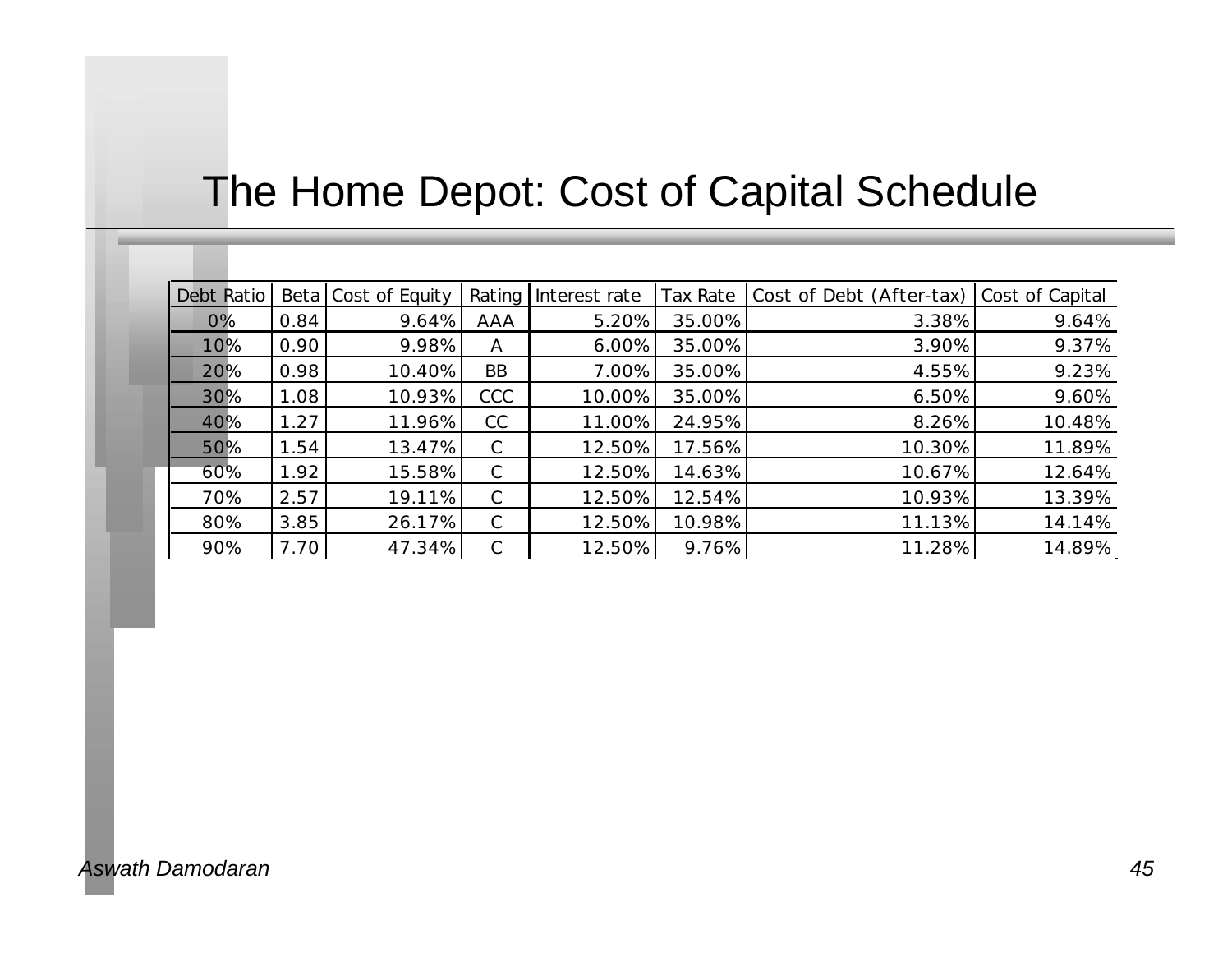## The Home Depot: Cost of Capital Schedule

| Debt Ratio |      | Beta Cost of Equity |              | Rating Interest rate | Tax Rate | Cost of Debt (After-tax) Cost of Capital |        |
|------------|------|---------------------|--------------|----------------------|----------|------------------------------------------|--------|
| 0%         | 0.84 | 9.64%               | AAA          | 5.20%                | 35.00%   | 3.38%                                    | 9.64%  |
| 10%        | 0.90 | 9.98%               | A            | 6.00%                | 35.00%   | 3.90%                                    | 9.37%  |
| 20%        | 0.98 | 10.40%              | <b>BB</b>    | 7.00%                | 35.00%   | 4.55%                                    | 9.23%  |
| 30%        | 1.08 | 10.93%              | CCC          | 10.00%               | 35.00%   | 6.50%                                    | 9.60%  |
| 40%        | 1.27 | 11.96%              | CC           | 11.00%               | 24.95%   | 8.26%                                    | 10.48% |
| 50%        | 1.54 | 13.47%              | $\mathsf{C}$ | 12.50%               | 17.56%   | 10.30%                                   | 11.89% |
| $60\%$     | 1.92 | 15.58%              | $\mathsf{C}$ | 12.50%               | 14.63%   | 10.67%                                   | 12.64% |
| 70%        | 2.57 | 19.11%              | $\mathsf{C}$ | 12.50%               | 12.54%   | 10.93%                                   | 13.39% |
| 80%        | 3.85 | 26.17%              | $\mathsf{C}$ | 12.50%               | 10.98%   | 11.13%                                   | 14.14% |
| 90%        | 7.70 | 47.34%              | C            | 12.50%               | 9.76%    | 11.28%                                   | 14.89% |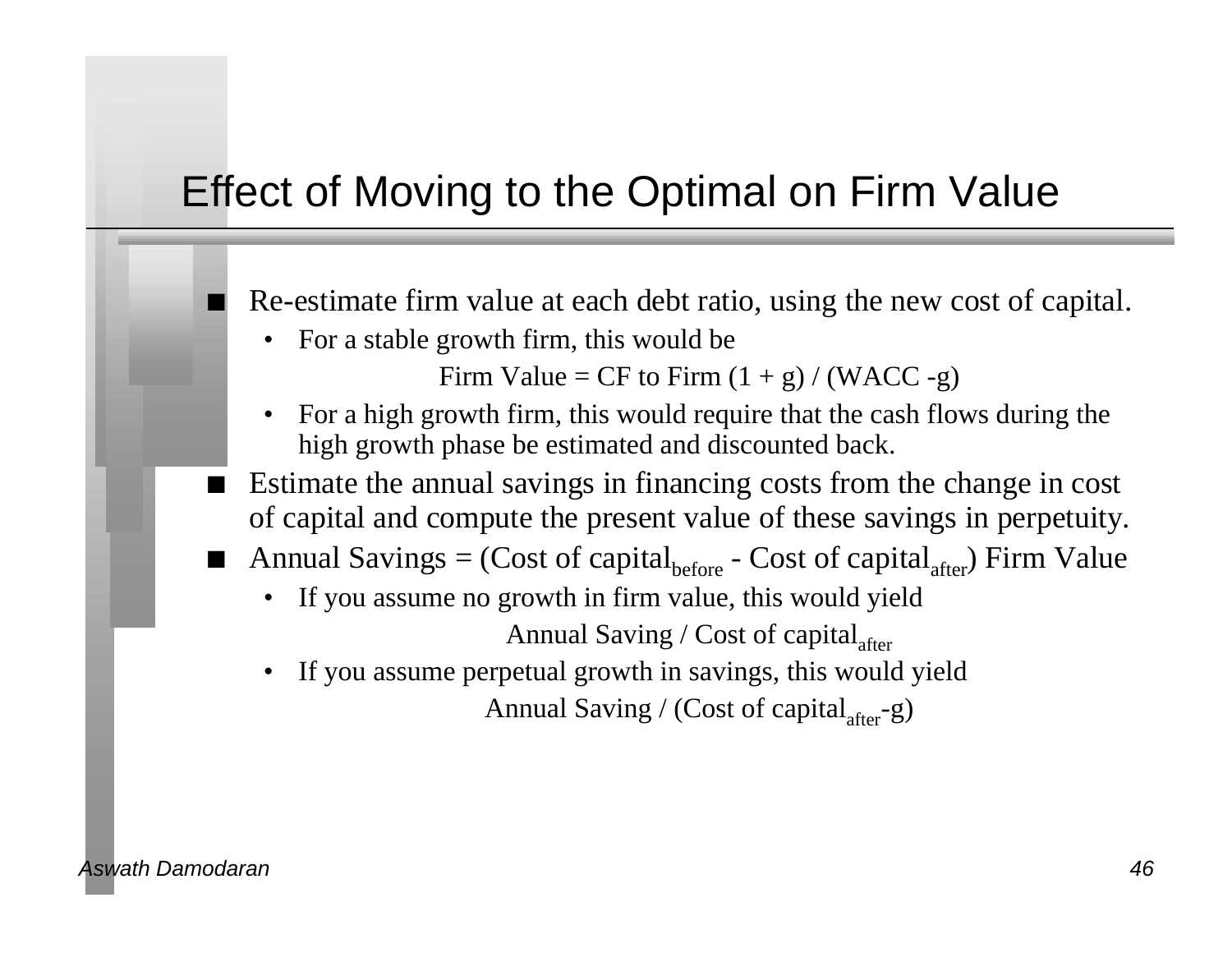## Effect of Moving to the Optimal on Firm Value

Re-estimate firm value at each debt ratio, using the new cost of capital.

• For a stable growth firm, this would be

Firm Value = CF to Firm  $(1 + g) / (WACC - g)$ 

- For a high growth firm, this would require that the cash flows during the high growth phase be estimated and discounted back.
- Estimate the annual savings in financing costs from the change in cost of capital and compute the present value of these savings in perpetuity.
- Annual Savings = (Cost of capital<sub>before</sub> Cost of capital<sub>after</sub>) Firm Value
	- If you assume no growth in firm value, this would yield Annual Saving / Cost of capital $_{\text{after}}$
	- If you assume perpetual growth in savings, this would yield Annual Saving / (Cost of capital  $_{after}$ -g)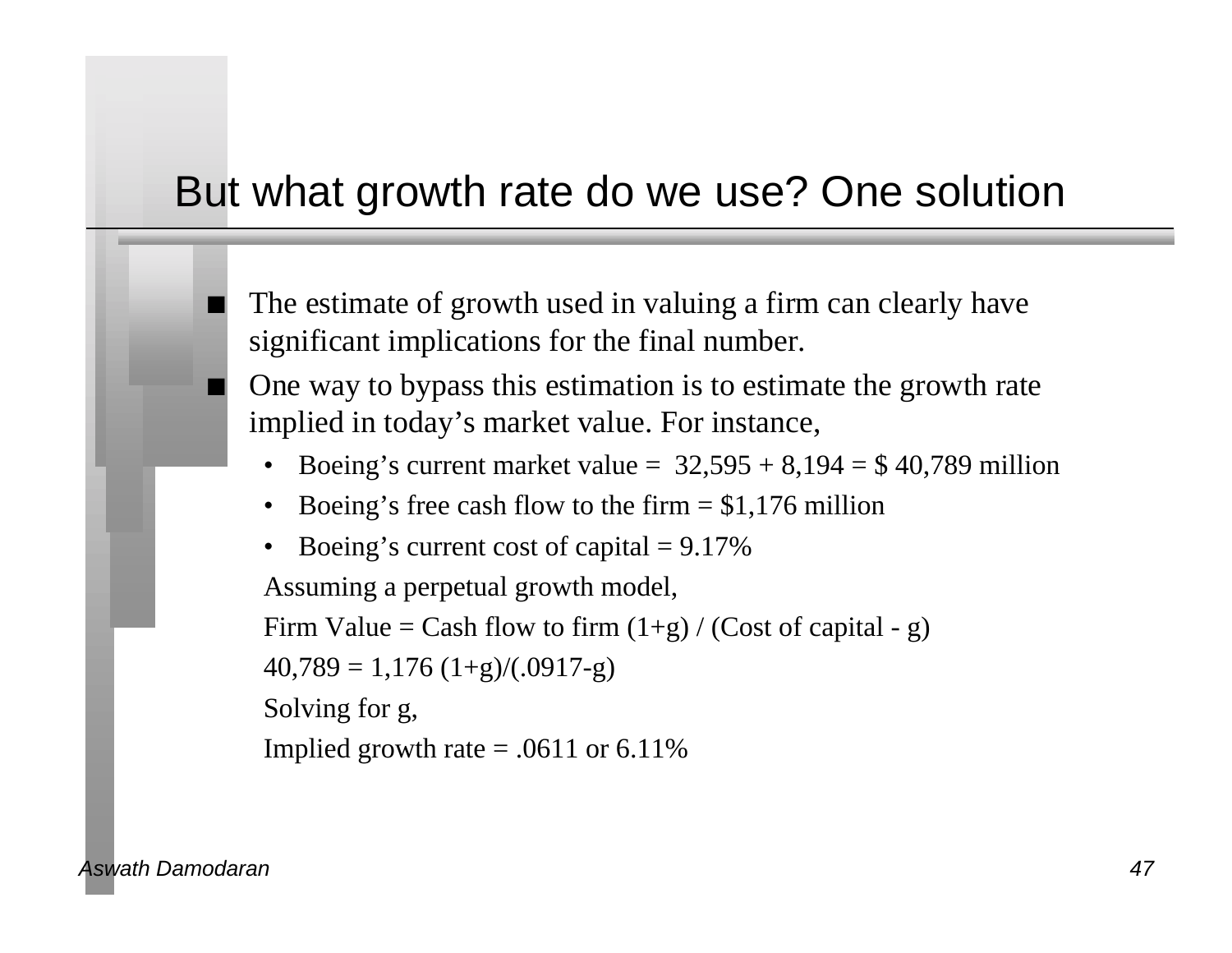## But what growth rate do we use? One solution

The estimate of growth used in valuing a firm can clearly have significant implications for the final number.

One way to bypass this estimation is to estimate the growth rate implied in today's market value. For instance,

- Boeing's current market value =  $32,595 + 8,194 = $40,789$  million
- Boeing's free cash flow to the firm  $= $1,176$  million
- Boeing's current cost of capital  $= 9.17\%$

Assuming a perpetual growth model,

Firm Value = Cash flow to firm  $(1+g) /$  (Cost of capital - g)

 $40,789 = 1,176$   $(1+g)/(.0917-g)$ 

Solving for g,

Implied growth rate  $= .0611$  or 6.11%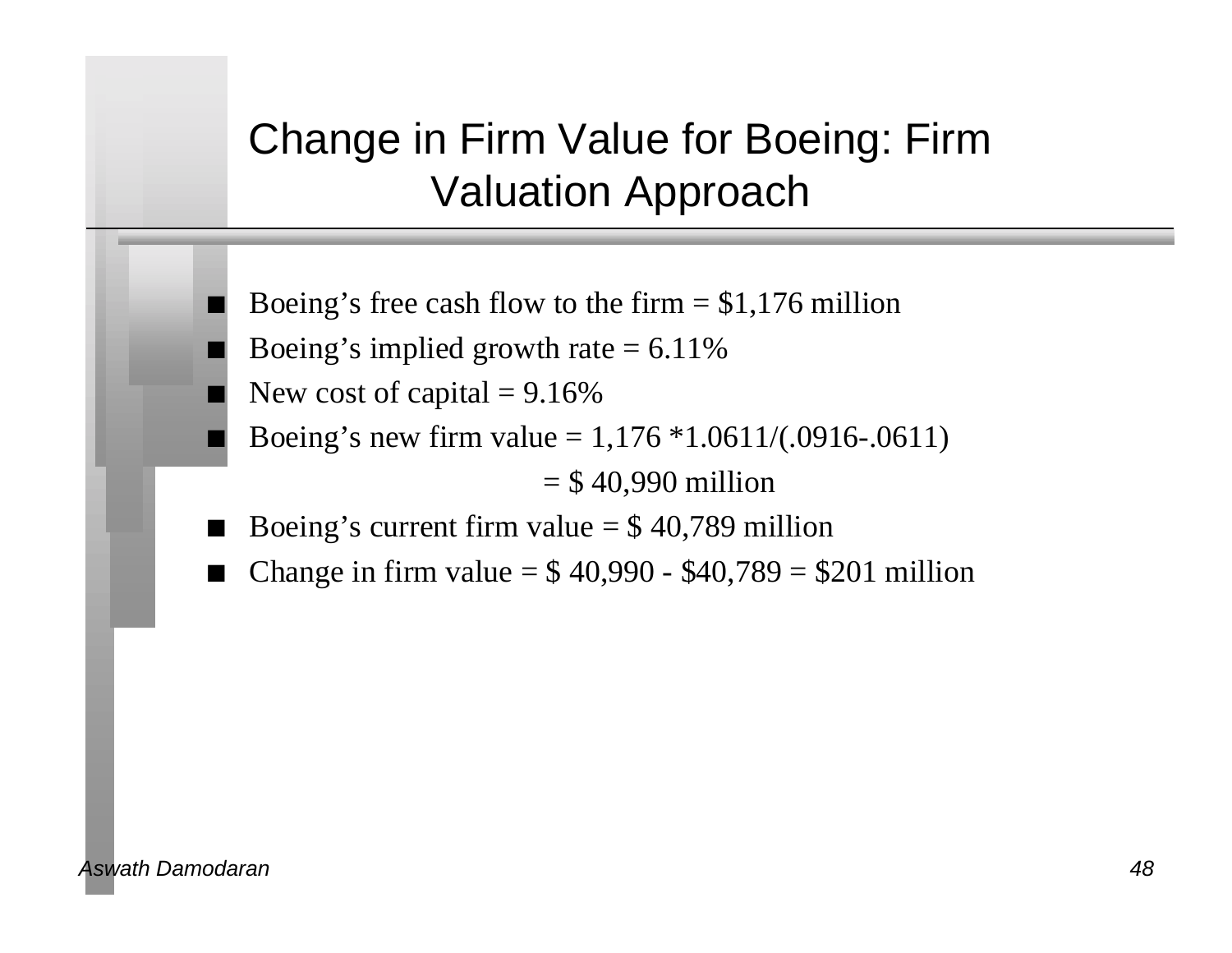# Change in Firm Value for Boeing: Firm Valuation Approach

- Boeing's free cash flow to the firm  $= $1,176$  million
- Boeing's implied growth rate  $= 6.11\%$
- New cost of capital  $= 9.16\%$
- Boeing's new firm value =  $1,176 * 1.0611/(0.0916-0.0611)$

 $=$  \$40,990 million

- Boeing's current firm value  $= $40,789$  million
- Change in firm value  $= $40,990 $40,789 = $201$  million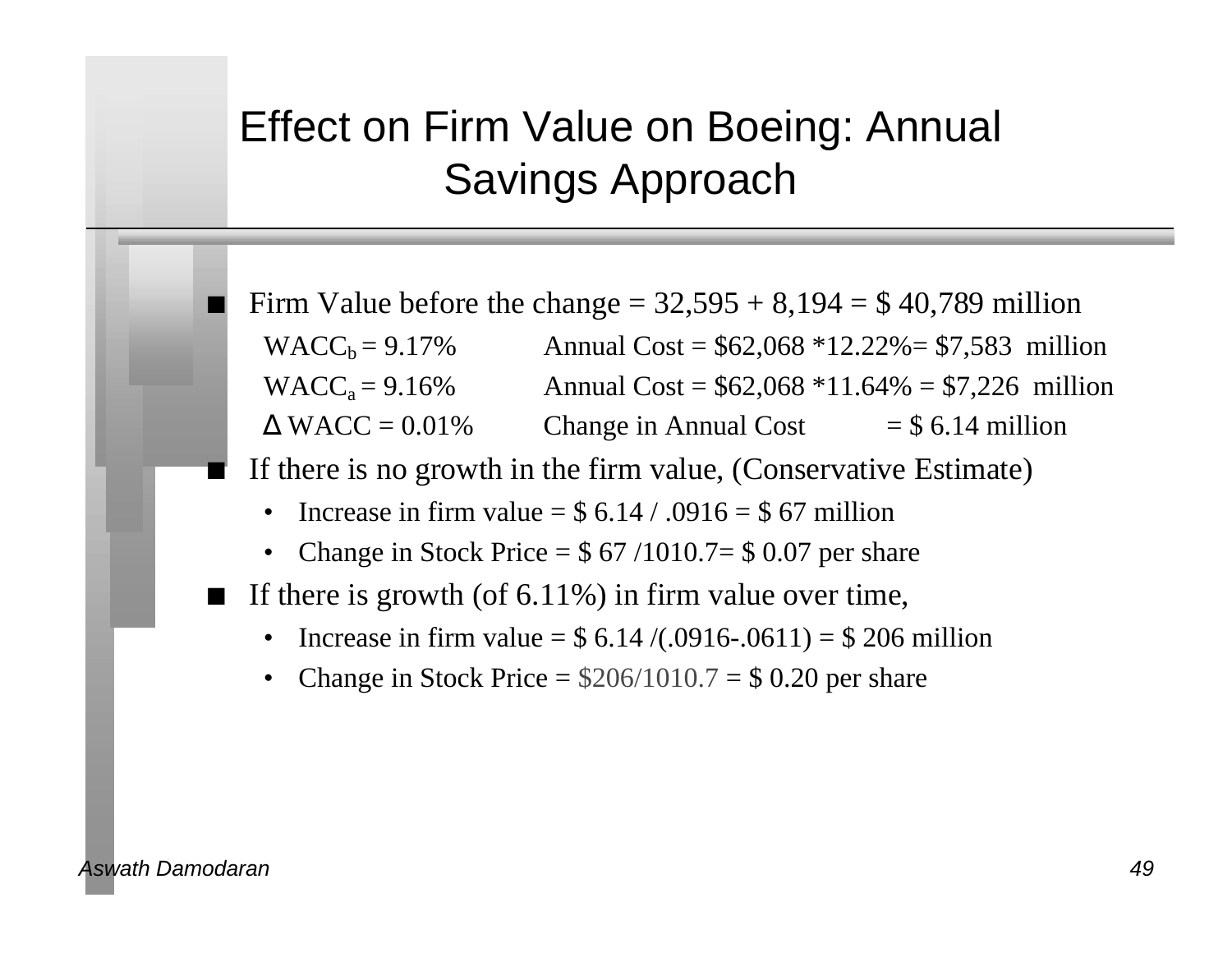## Effect on Firm Value on Boeing: Annual Savings Approach

Firm Value before the change  $= 32,595 + 8,194 = $40,789$  million  $WACC_b = 9.17\%$  Annual Cost = \$62,068 \*12.22% = \$7,583 million  $WACC<sub>a</sub> = 9.16%$  Annual Cost = \$62,068 \*11.64% = \$7,226 million  $WACC = 0.01\%$  Change in Annual Cost = \$ 6.14 million

- If there is no growth in the firm value, (Conservative Estimate)
	- Increase in firm value  $=$  \$ 6.14 / .0916  $=$  \$ 67 million
	- Change in Stock Price  $=$  \$ 67 /1010.7 $=$  \$ 0.07 per share
- If there is growth (of  $6.11\%$ ) in firm value over time,
	- Increase in firm value =  $$ 6.14 / (.0916-.0611) = $ 206$  million
	- Change in Stock Price =  $$206/1010.7 = $0.20$  per share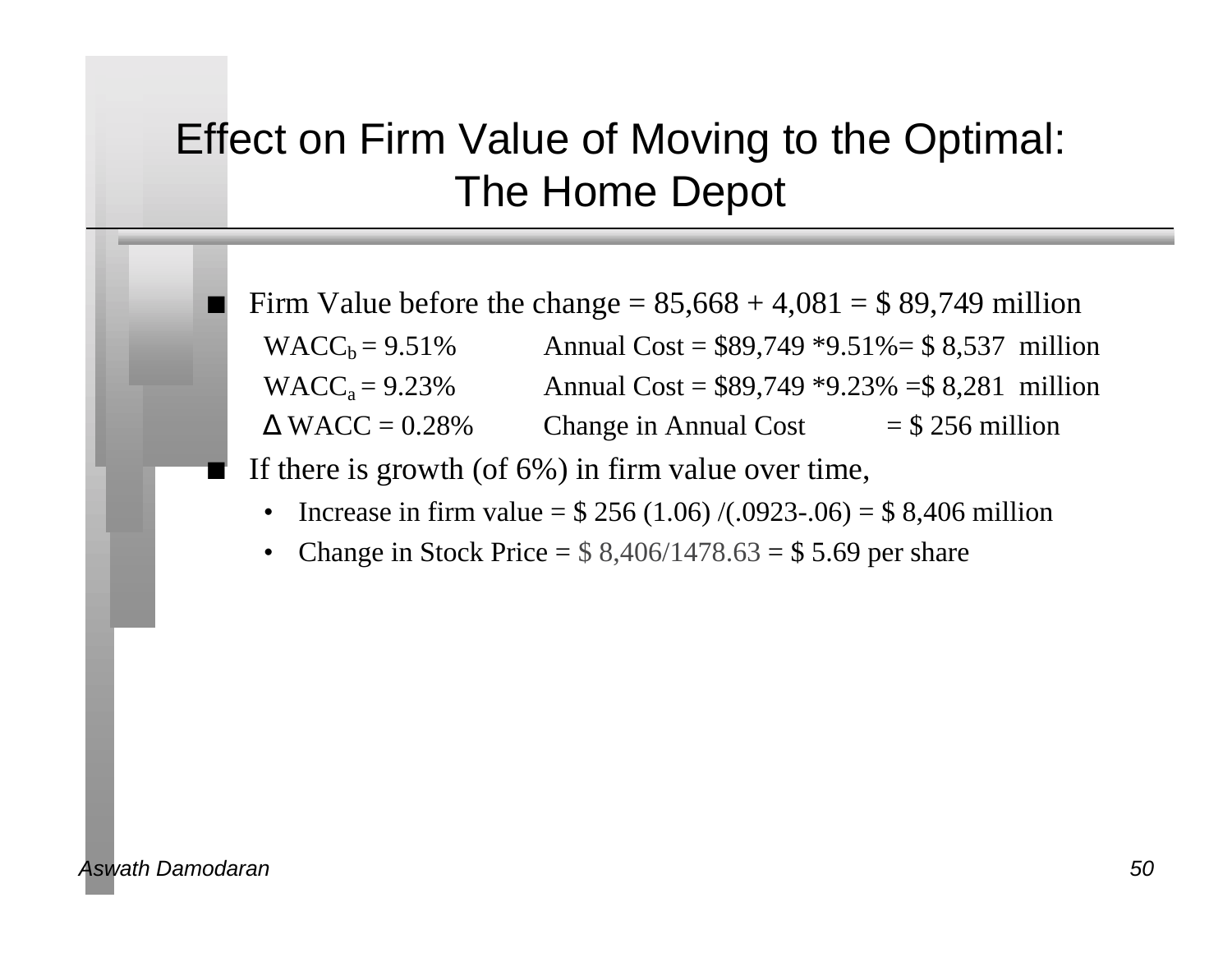## Effect on Firm Value of Moving to the Optimal: The Home Depot

Firm Value before the change  $= 85,668 + 4,081 = $89,749$  million  $WACC_b = 9.51\%$  Annual Cost = \$89,749 \*9.51% = \$8,537 million  $WACC<sub>a</sub> = 9.23%$  Annual Cost = \$89,749 \*9.23% = \$8,281 million  $WACC = 0.28\%$  Change in Annual Cost = \$ 256 million

- If there is growth (of  $6\%$ ) in firm value over time,
	- Increase in firm value =  $$ 256 (1.06)/(0.0923-0.06) = $ 8,406$  million
	- Change in Stock Price  $=$  \$ 8,406/1478.63  $=$  \$ 5.69 per share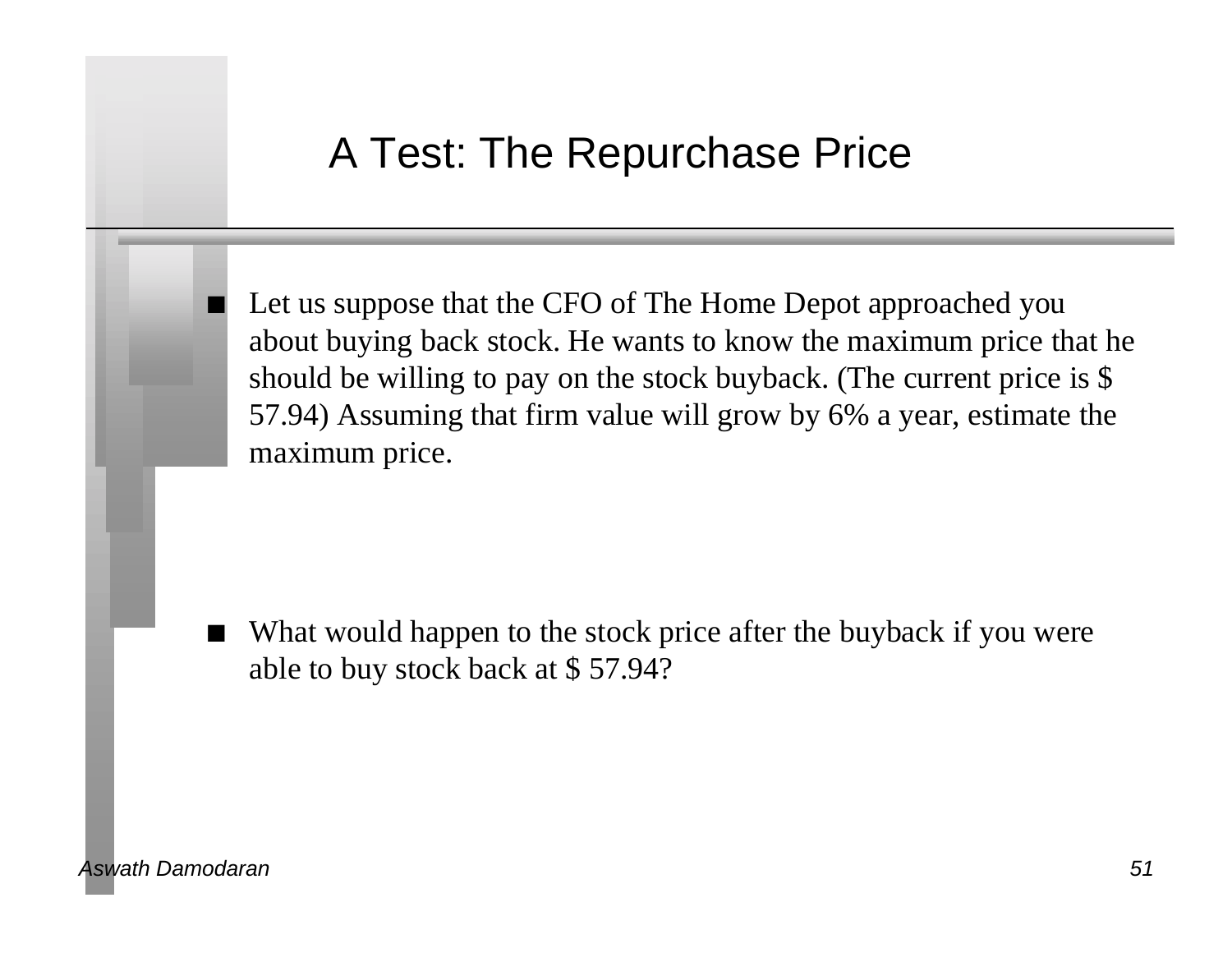#### A Test: The Repurchase Price

Let us suppose that the CFO of The Home Depot approached you about buying back stock. He wants to know the maximum price that he should be willing to pay on the stock buyback. (The current price is \$ 57.94) Assuming that firm value will grow by 6% a year, estimate the maximum price.

What would happen to the stock price after the buyback if you were able to buy stock back at \$ 57.94?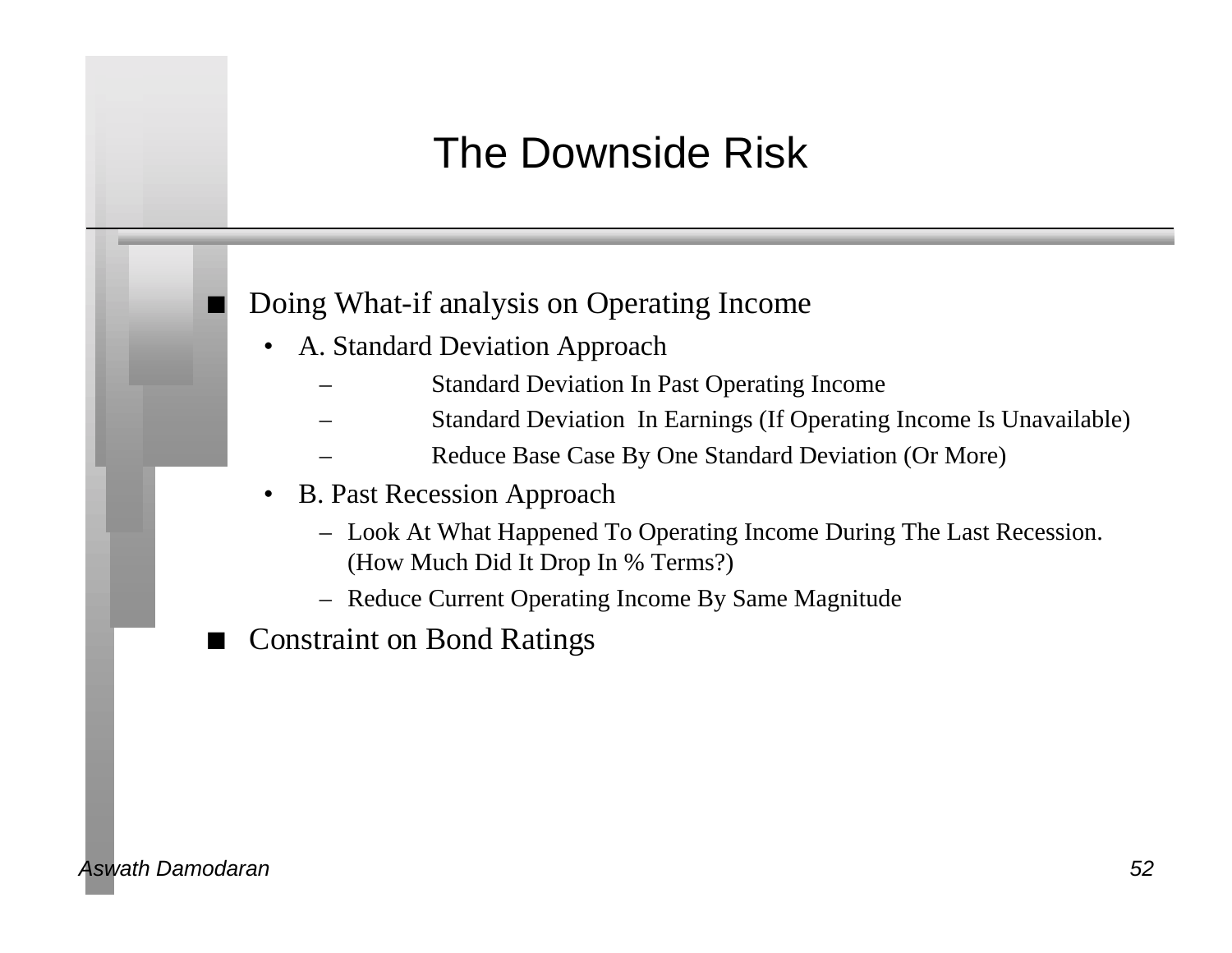## The Downside Risk

#### n Doing What-if analysis on Operating Income

- A. Standard Deviation Approach
	- Standard Deviation In Past Operating Income
	- Standard Deviation In Earnings (If Operating Income Is Unavailable)
	- Reduce Base Case By One Standard Deviation (Or More)
- B. Past Recession Approach
	- Look At What Happened To Operating Income During The Last Recession. (How Much Did It Drop In % Terms?)
	- Reduce Current Operating Income By Same Magnitude
- **Constraint on Bond Ratings**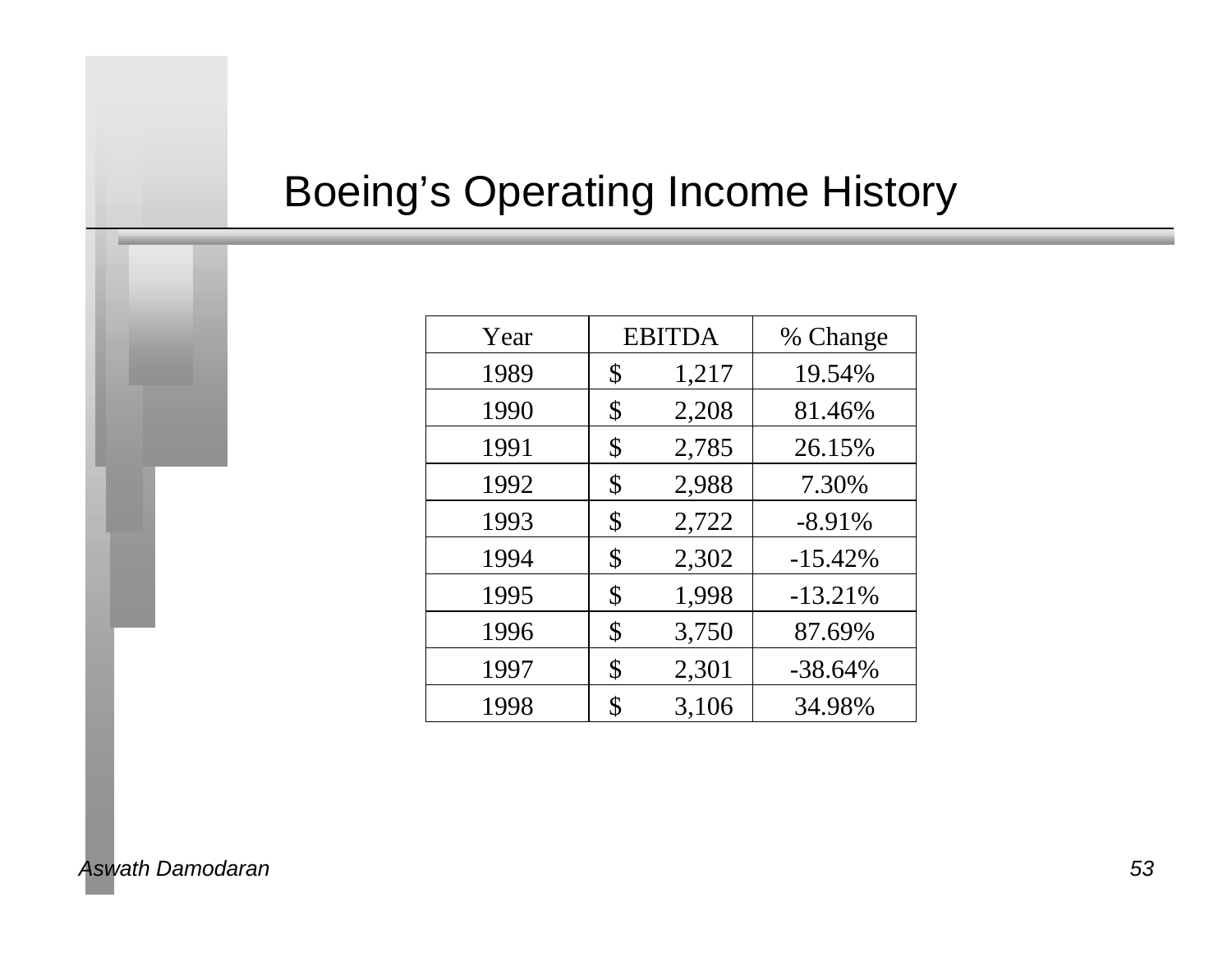## Boeing's Operating Income History

| Year | <b>EBITDA</b> | % Change  |
|------|---------------|-----------|
| 1989 | \$<br>1,217   | 19.54%    |
| 1990 | \$<br>2,208   | 81.46%    |
| 1991 | \$<br>2,785   | 26.15%    |
| 1992 | \$<br>2,988   | 7.30%     |
| 1993 | \$<br>2,722   | $-8.91\%$ |
| 1994 | \$<br>2,302   | $-15.42%$ |
| 1995 | \$<br>1,998   | $-13.21%$ |
| 1996 | \$<br>3,750   | 87.69%    |
| 1997 | \$<br>2,301   | $-38.64%$ |
| 1998 | 3,106         | 34.98%    |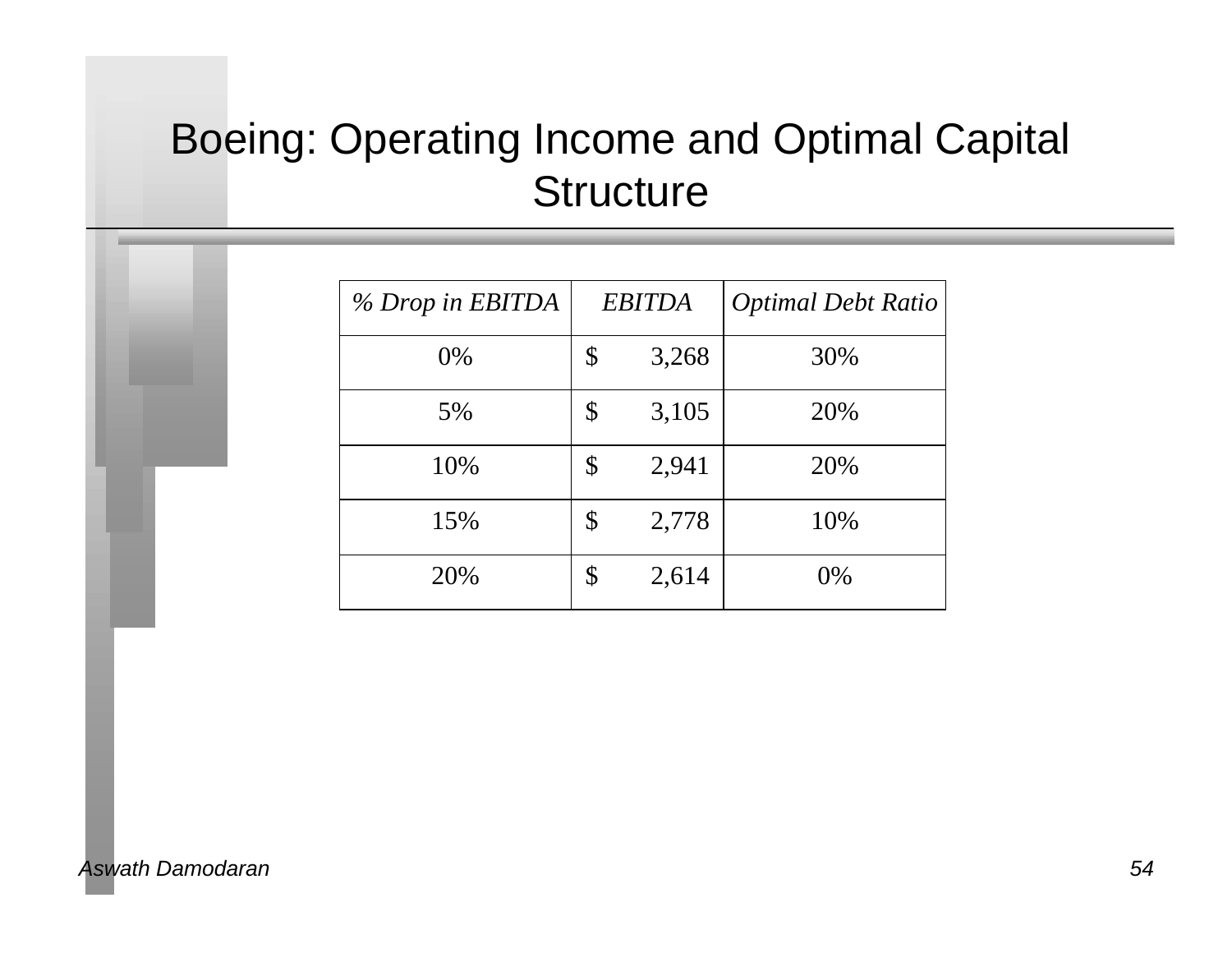## Boeing: Operating Income and Optimal Capital **Structure**

| % Drop in EBITDA | <b>EBITDA</b> |       | <b>Optimal Debt Ratio</b> |
|------------------|---------------|-------|---------------------------|
| $0\%$            | \$            | 3,268 | 30%                       |
| 5%               | \$            | 3,105 | 20%                       |
| 10%              | \$            | 2,941 | 20%                       |
| 15%              | \$            | 2,778 | 10%                       |
| 20%              | \$            | 2,614 | 0%                        |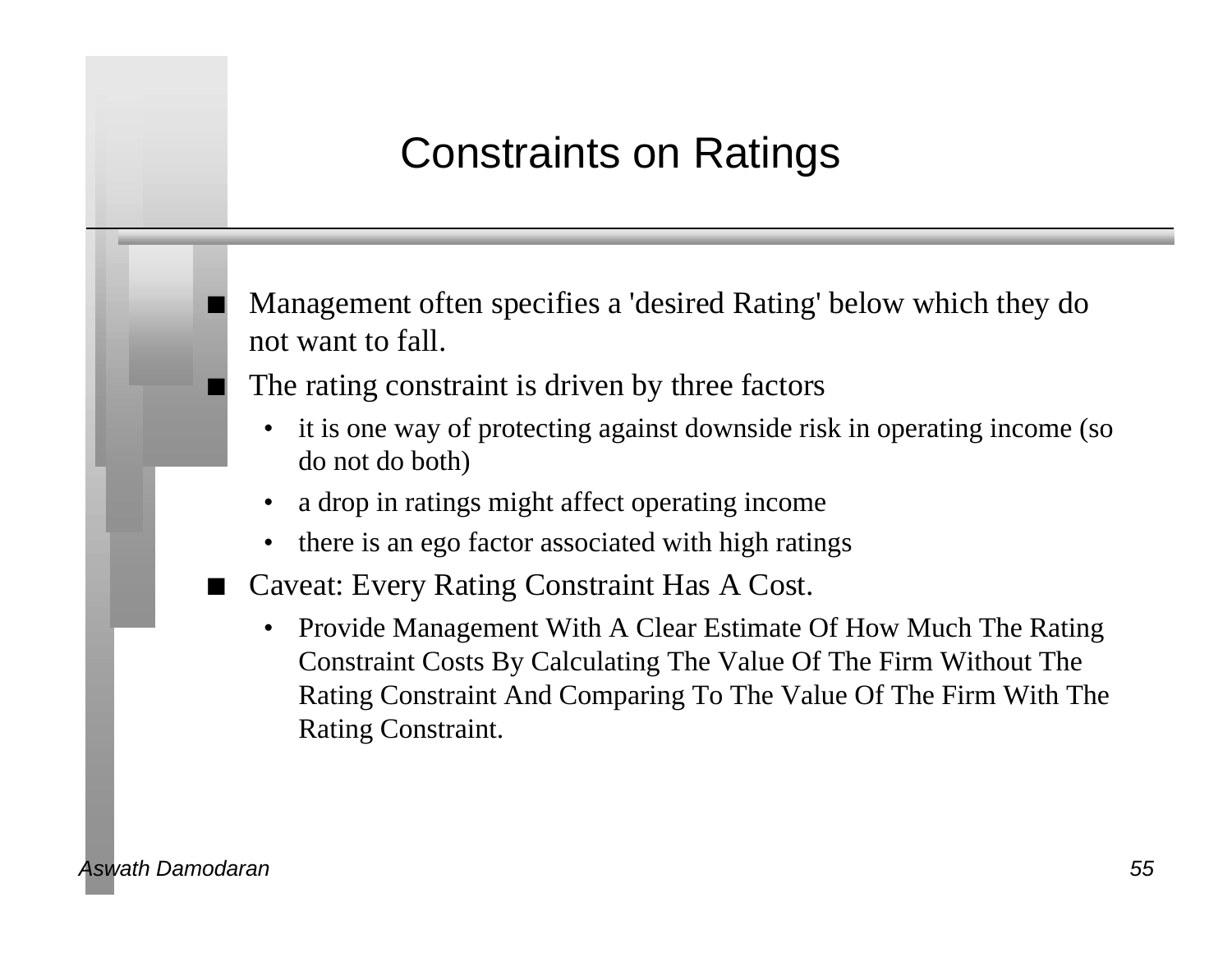## Constraints on Ratings

n Management often specifies a 'desired Rating' below which they do not want to fall.

The rating constraint is driven by three factors

- it is one way of protecting against downside risk in operating income (so do not do both)
- a drop in ratings might affect operating income
- there is an ego factor associated with high ratings
- n Caveat: Every Rating Constraint Has A Cost.
	- Provide Management With A Clear Estimate Of How Much The Rating Constraint Costs By Calculating The Value Of The Firm Without The Rating Constraint And Comparing To The Value Of The Firm With The Rating Constraint.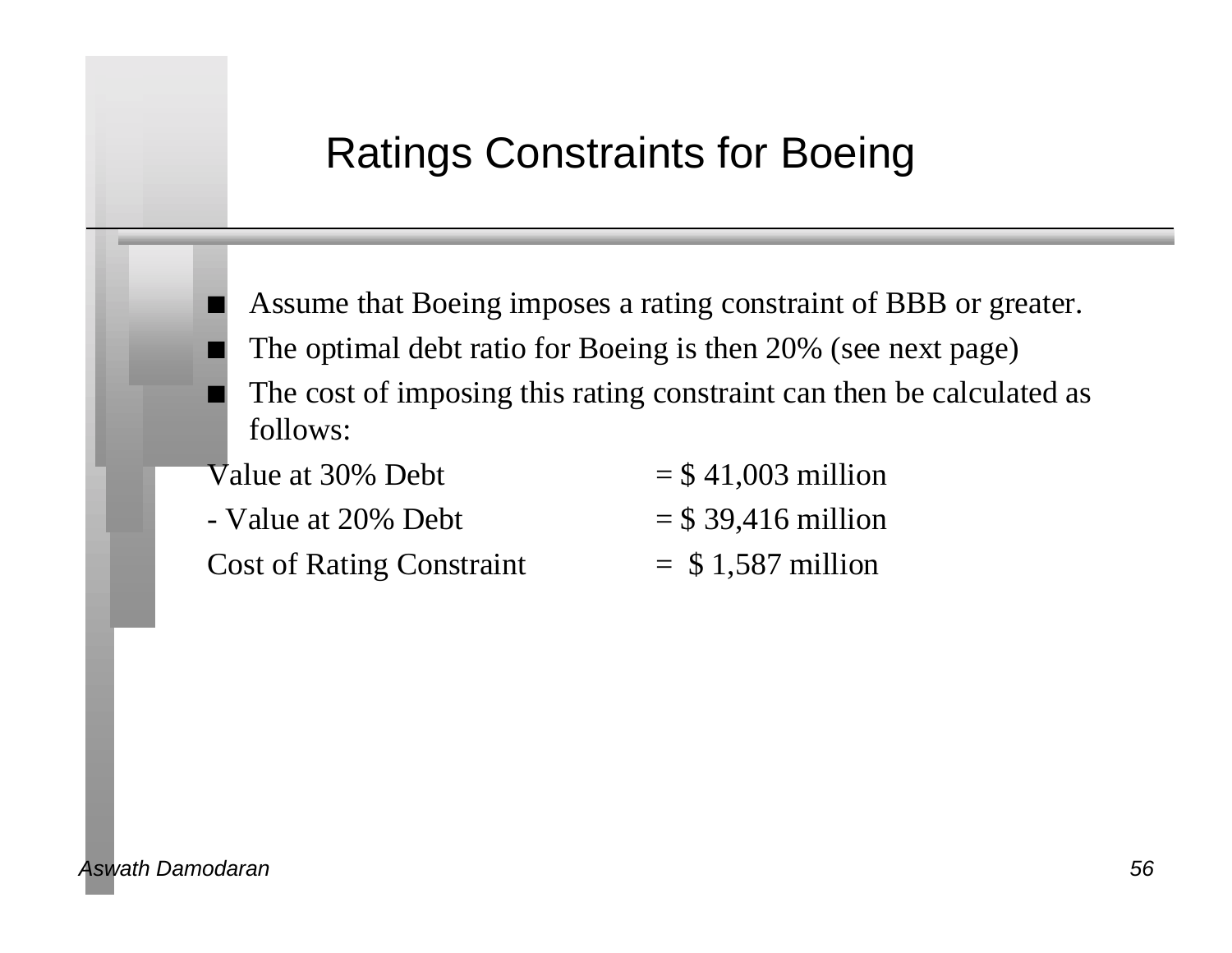#### Ratings Constraints for Boeing

- Assume that Boeing imposes a rating constraint of BBB or greater.
- The optimal debt ratio for Boeing is then 20% (see next page)
- The cost of imposing this rating constraint can then be calculated as follows:

| Value at 30% Debt                | $=$ \$41,003 million  |
|----------------------------------|-----------------------|
| - Value at 20% Debt              | $=$ \$ 39,416 million |
| <b>Cost of Rating Constraint</b> | $=$ \$1,587 million   |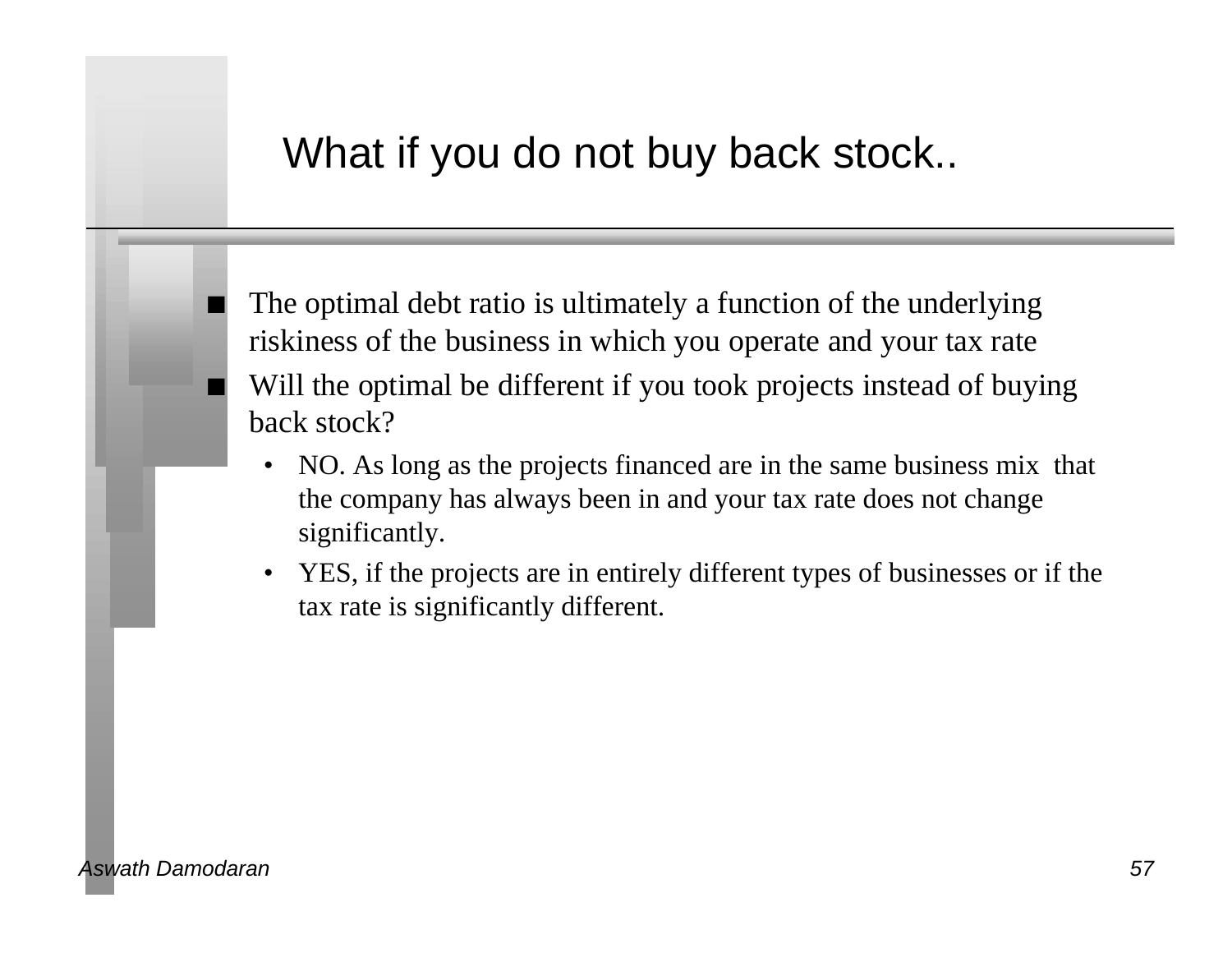#### What if you do not buy back stock..

The optimal debt ratio is ultimately a function of the underlying riskiness of the business in which you operate and your tax rate Will the optimal be different if you took projects instead of buying back stock?

- NO. As long as the projects financed are in the same business mix that the company has always been in and your tax rate does not change significantly.
- YES, if the projects are in entirely different types of businesses or if the tax rate is significantly different.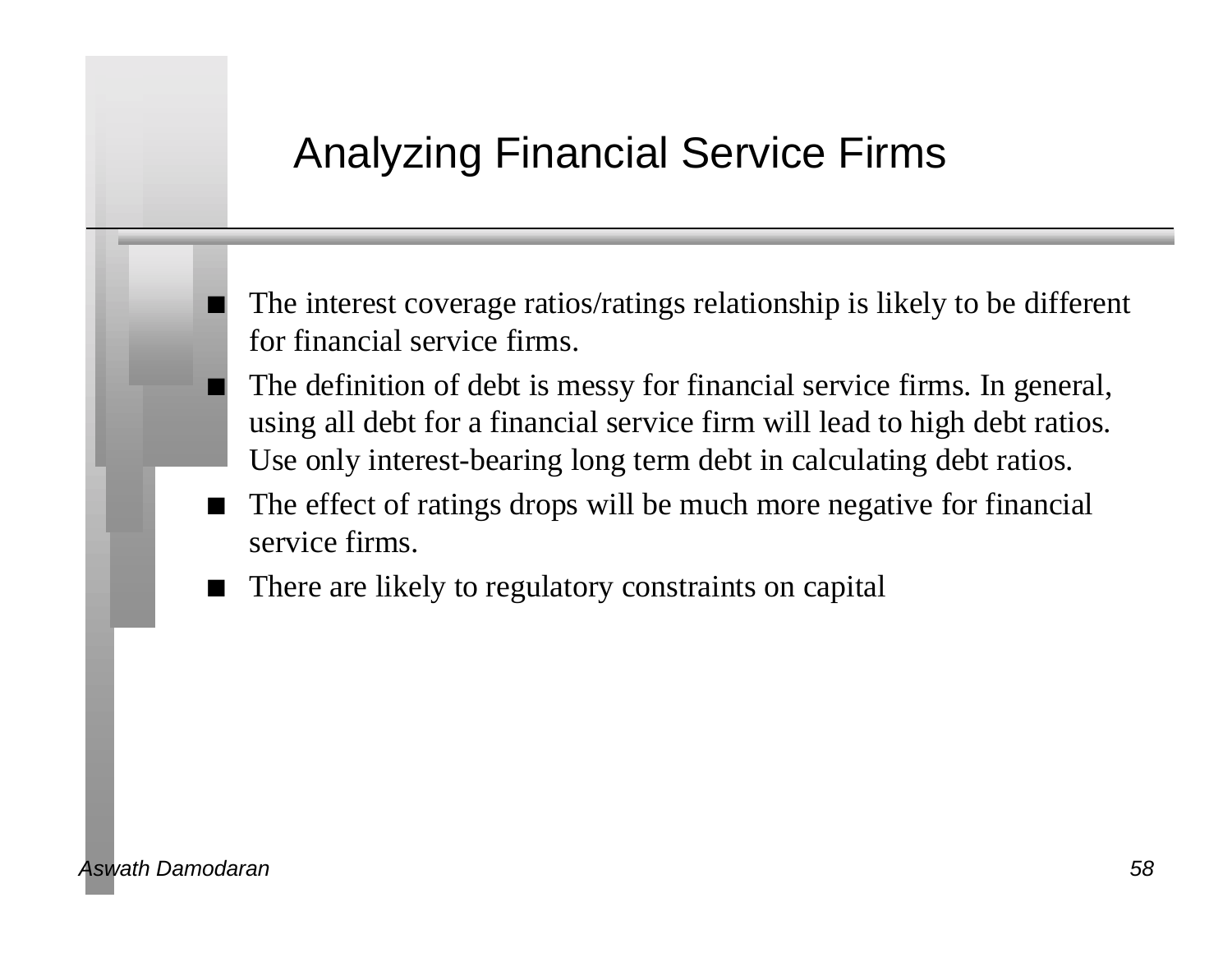#### Analyzing Financial Service Firms

The interest coverage ratios/ratings relationship is likely to be different for financial service firms.

- The definition of debt is messy for financial service firms. In general, using all debt for a financial service firm will lead to high debt ratios. Use only interest-bearing long term debt in calculating debt ratios.
- The effect of ratings drops will be much more negative for financial service firms.
- There are likely to regulatory constraints on capital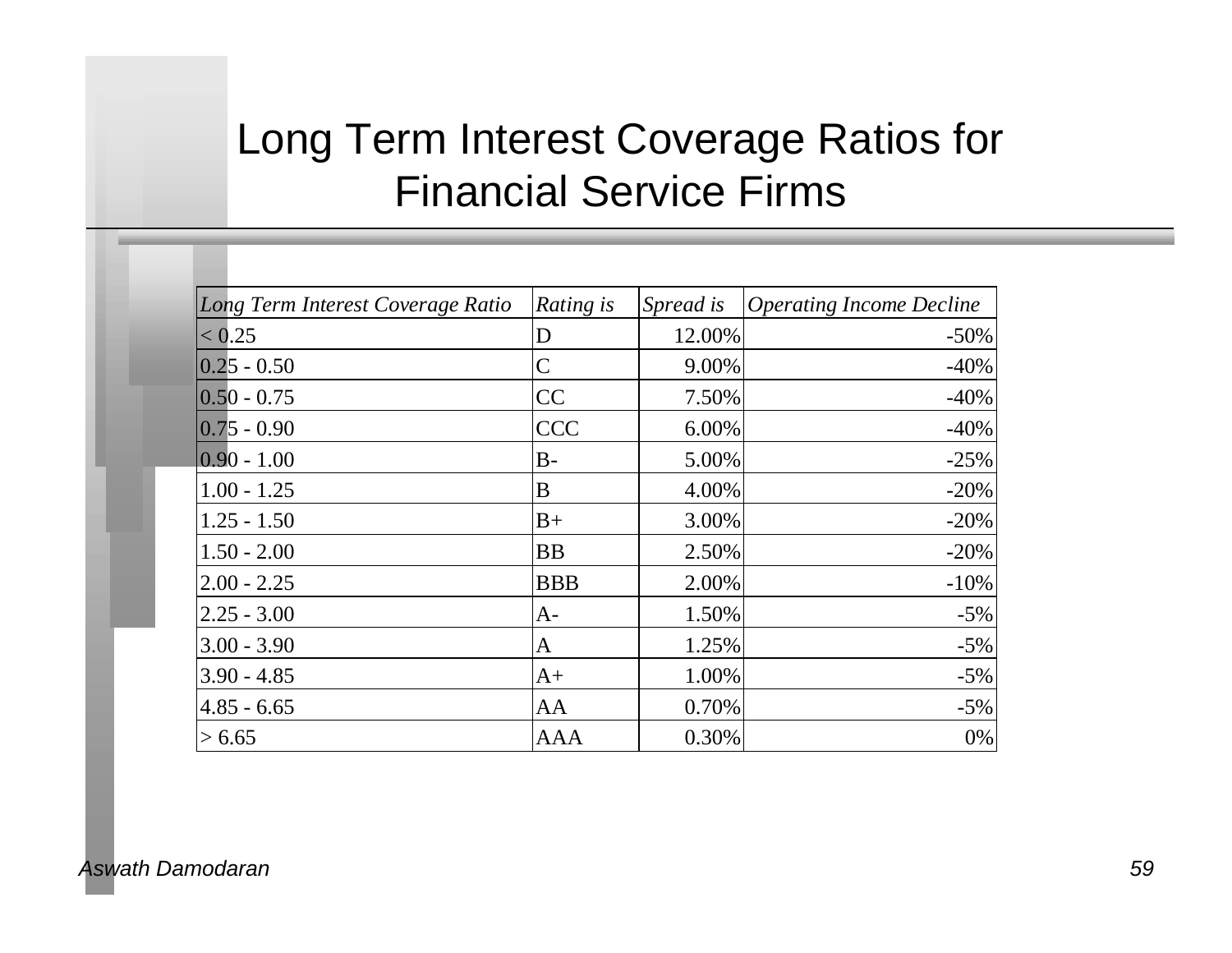## Long Term Interest Coverage Ratios for Financial Service Firms

| Long Term Interest Coverage Ratio | Rating is    | Spread is | <b>Operating Income Decline</b> |
|-----------------------------------|--------------|-----------|---------------------------------|
| < 0.25                            | D            | 12.00%    | $-50\%$                         |
| $ 0.25 - 0.50$                    | $\mathsf{C}$ | 9.00%     | $-40%$                          |
| $ 0.50 - 0.75 $                   | CC           | 7.50%     | $-40%$                          |
| $ 0.75 - 0.90 $                   | <b>CCC</b>   | 6.00%     | $-40%$                          |
| $ 0.90 - 1.00$                    | $B-$         | 5.00%     | $-25%$                          |
| $1.00 - 1.25$                     | B            | 4.00%     | $-20%$                          |
| $1.25 - 1.50$                     | $B+$         | 3.00%     | $-20%$                          |
| $1.50 - 2.00$                     | BB           | 2.50%     | $-20%$                          |
| $2.00 - 2.25$                     | <b>BBB</b>   | 2.00%     | $-10%$                          |
| $2.25 - 3.00$                     | A-           | 1.50%     | $-5%$                           |
| $3.00 - 3.90$                     | A            | 1.25%     | $-5%$                           |
| $3.90 - 4.85$                     | $A+$         | 1.00%     | $-5%$                           |
| $4.85 - 6.65$                     | AA           | 0.70%     | $-5%$                           |
| > 6.65                            | AAA          | 0.30%     | 0%                              |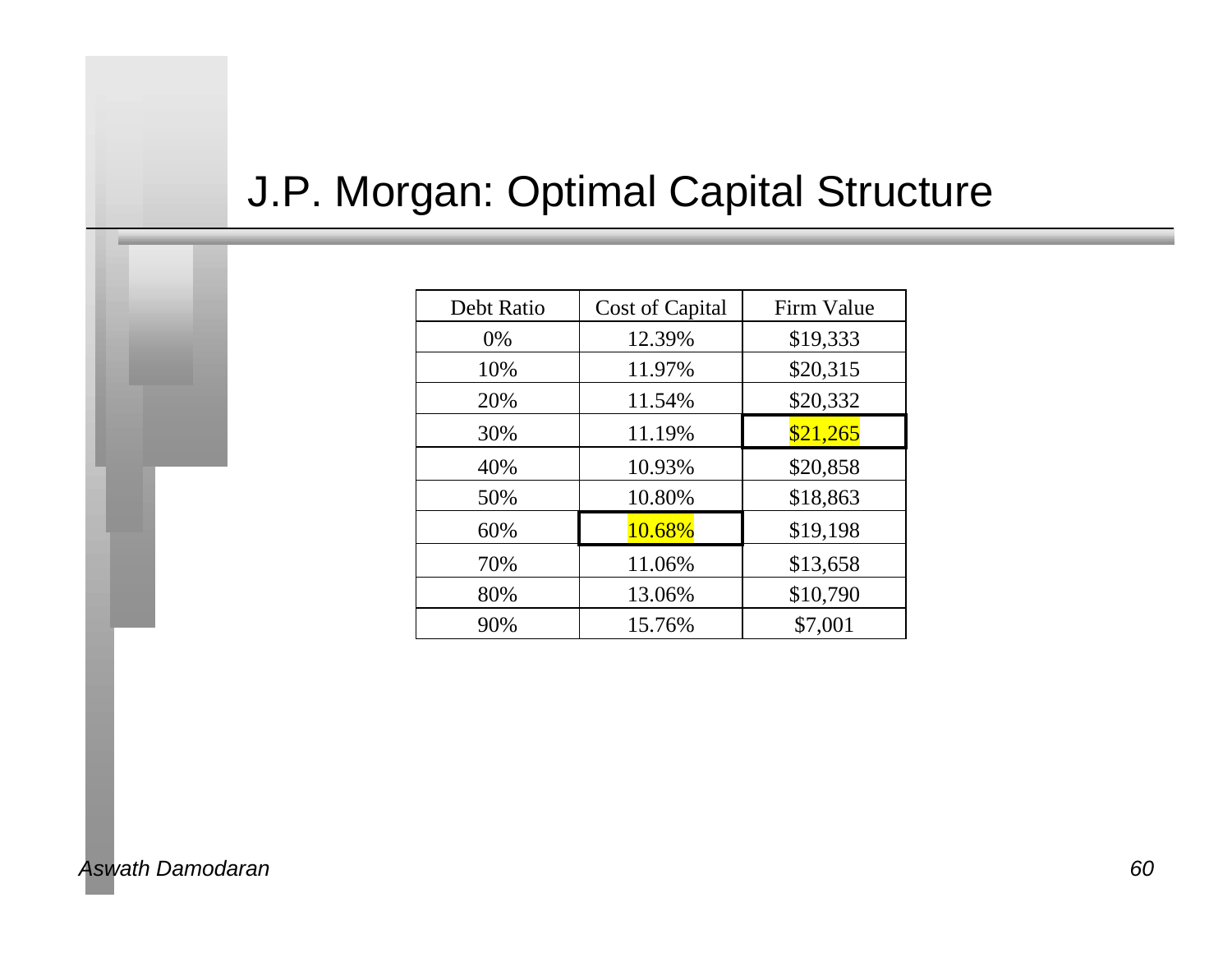## J.P. Morgan: Optimal Capital Structure

| Debt Ratio | Cost of Capital | Firm Value |  |
|------------|-----------------|------------|--|
| 0%         | 12.39%          | \$19,333   |  |
| 10%        | 11.97%          | \$20,315   |  |
| 20%        | 11.54%          | \$20,332   |  |
| 30%        | 11.19%          | \$21,265   |  |
| 40%        | 10.93%          | \$20,858   |  |
| 50%        | 10.80%          | \$18,863   |  |
| 60%        | 10.68%          | \$19,198   |  |
| 70%        | 11.06%          | \$13,658   |  |
| 80%        | 13.06%          | \$10,790   |  |
| 90%        | 15.76%          | \$7,001    |  |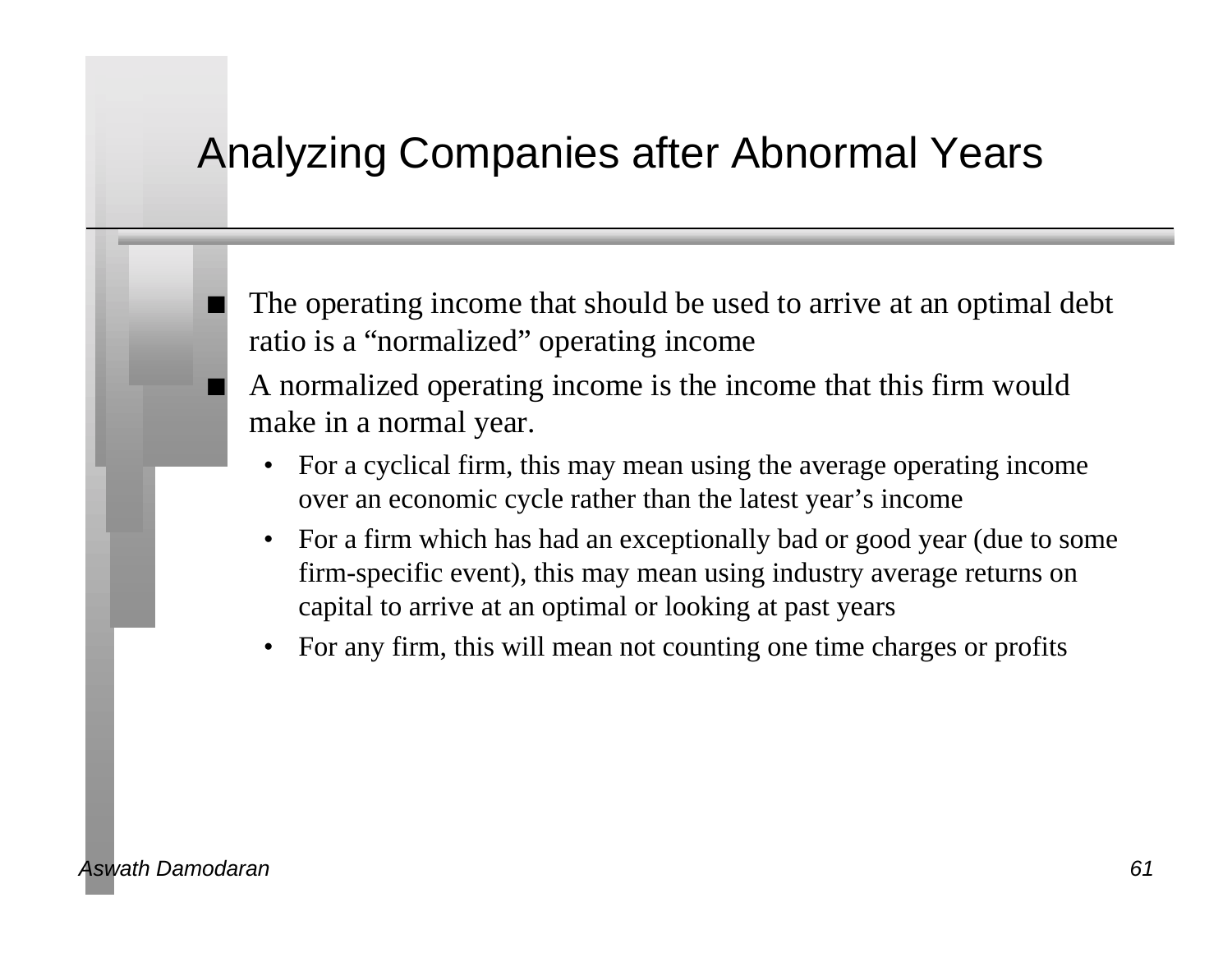### Analyzing Companies after Abnormal Years

The operating income that should be used to arrive at an optimal debt ratio is a "normalized" operating income

n A normalized operating income is the income that this firm would make in a normal year.

- For a cyclical firm, this may mean using the average operating income over an economic cycle rather than the latest year's income
- For a firm which has had an exceptionally bad or good year (due to some firm-specific event), this may mean using industry average returns on capital to arrive at an optimal or looking at past years
- For any firm, this will mean not counting one time charges or profits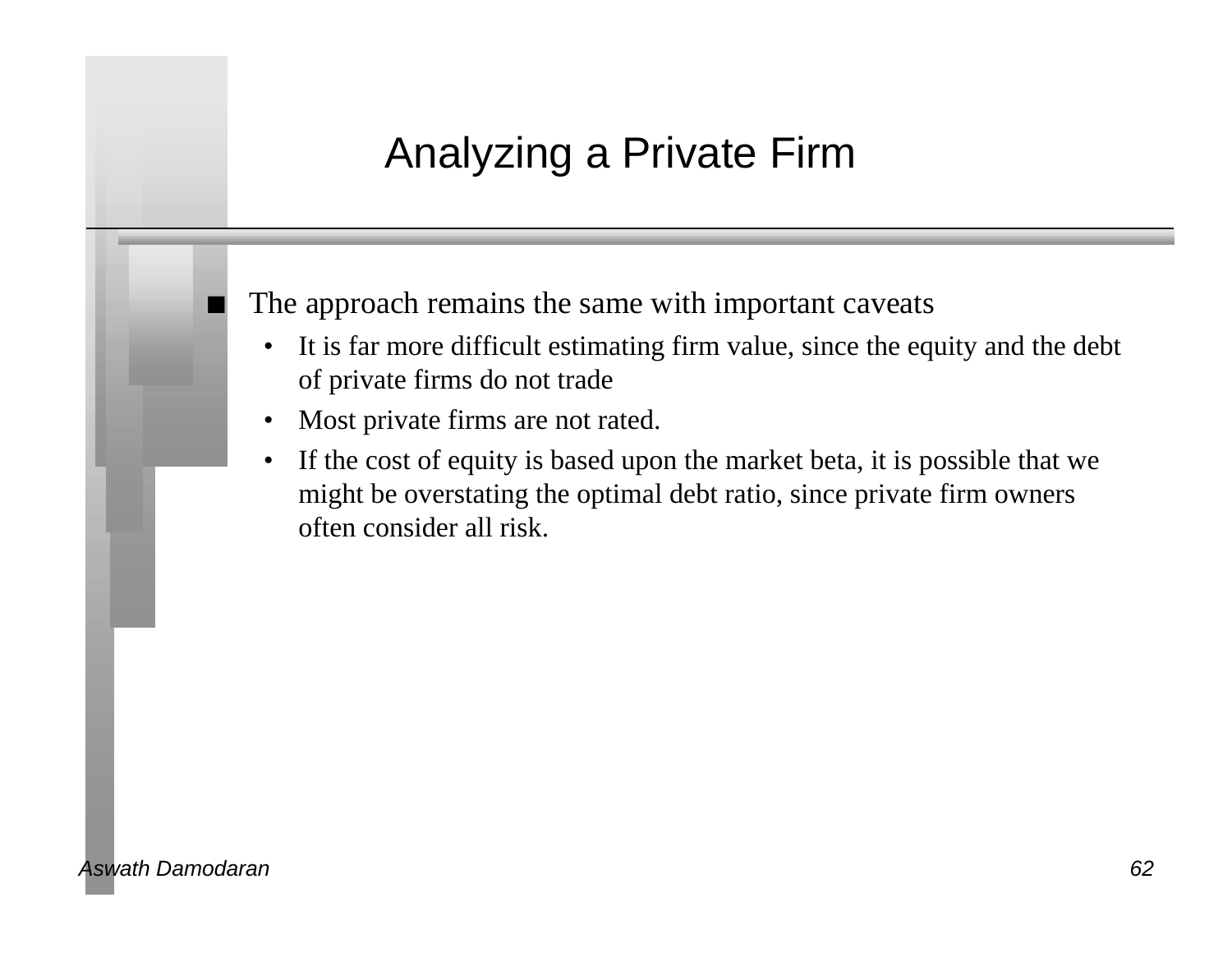## Analyzing a Private Firm

The approach remains the same with important caveats

- It is far more difficult estimating firm value, since the equity and the debt of private firms do not trade
- Most private firms are not rated.
- If the cost of equity is based upon the market beta, it is possible that we might be overstating the optimal debt ratio, since private firm owners often consider all risk.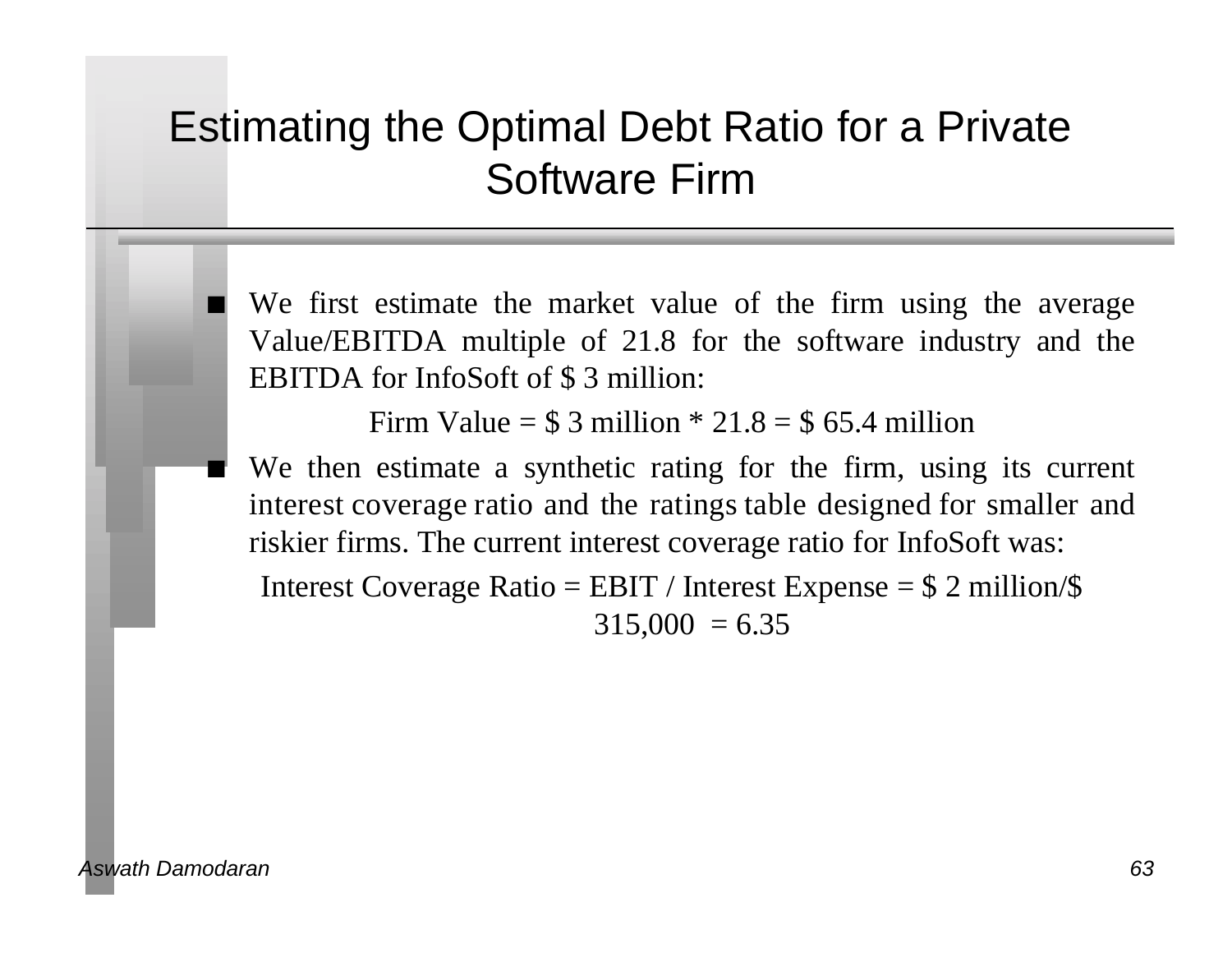## Estimating the Optimal Debt Ratio for a Private Software Firm

We first estimate the market value of the firm using the average Value/EBITDA multiple of 21.8 for the software industry and the EBITDA for InfoSoft of \$ 3 million:

Firm Value =  $$3$  million  $*$  21.8 =  $$65.4$  million

We then estimate a synthetic rating for the firm, using its current interest coverage ratio and the ratings table designed for smaller and riskier firms. The current interest coverage ratio for InfoSoft was:

Interest Coverage Ratio = EBIT / Interest Expense =  $$ 2$  million/ $$$  $315,000 = 6.35$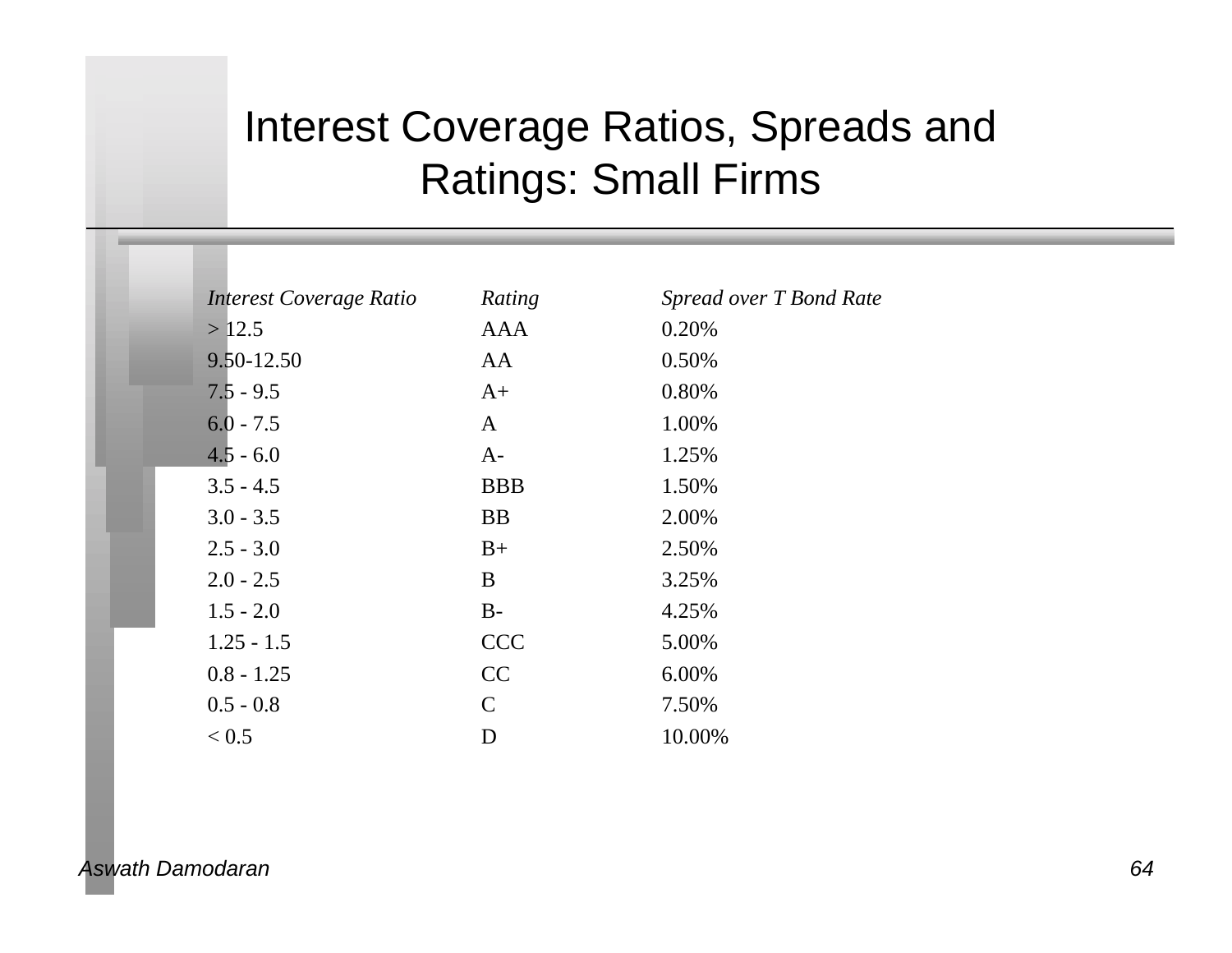## Interest Coverage Ratios, Spreads and Ratings: Small Firms

| Interest Coverage Ratio | Rating       | Spread over T Bond Rate |
|-------------------------|--------------|-------------------------|
| >12.5                   | <b>AAA</b>   | 0.20%                   |
| 9.50-12.50              | AA           | 0.50%                   |
| $7.5 - 9.5$             | $A+$         | 0.80%                   |
| $6.0 - 7.5$             | A            | 1.00%                   |
| $4.5 - 6.0$             | $A-$         | 1.25%                   |
| $3.5 - 4.5$             | <b>BBB</b>   | 1.50%                   |
| $3.0 - 3.5$             | <b>BB</b>    | 2.00%                   |
| $2.5 - 3.0$             | $B+$         | 2.50%                   |
| $2.0 - 2.5$             | B            | 3.25%                   |
| $1.5 - 2.0$             | $B -$        | 4.25%                   |
| $1.25 - 1.5$            | <b>CCC</b>   | 5.00%                   |
| $0.8 - 1.25$            | CC           | 6.00%                   |
| $0.5 - 0.8$             | $\mathsf{C}$ | 7.50%                   |
| < 0.5                   | D            | 10.00%                  |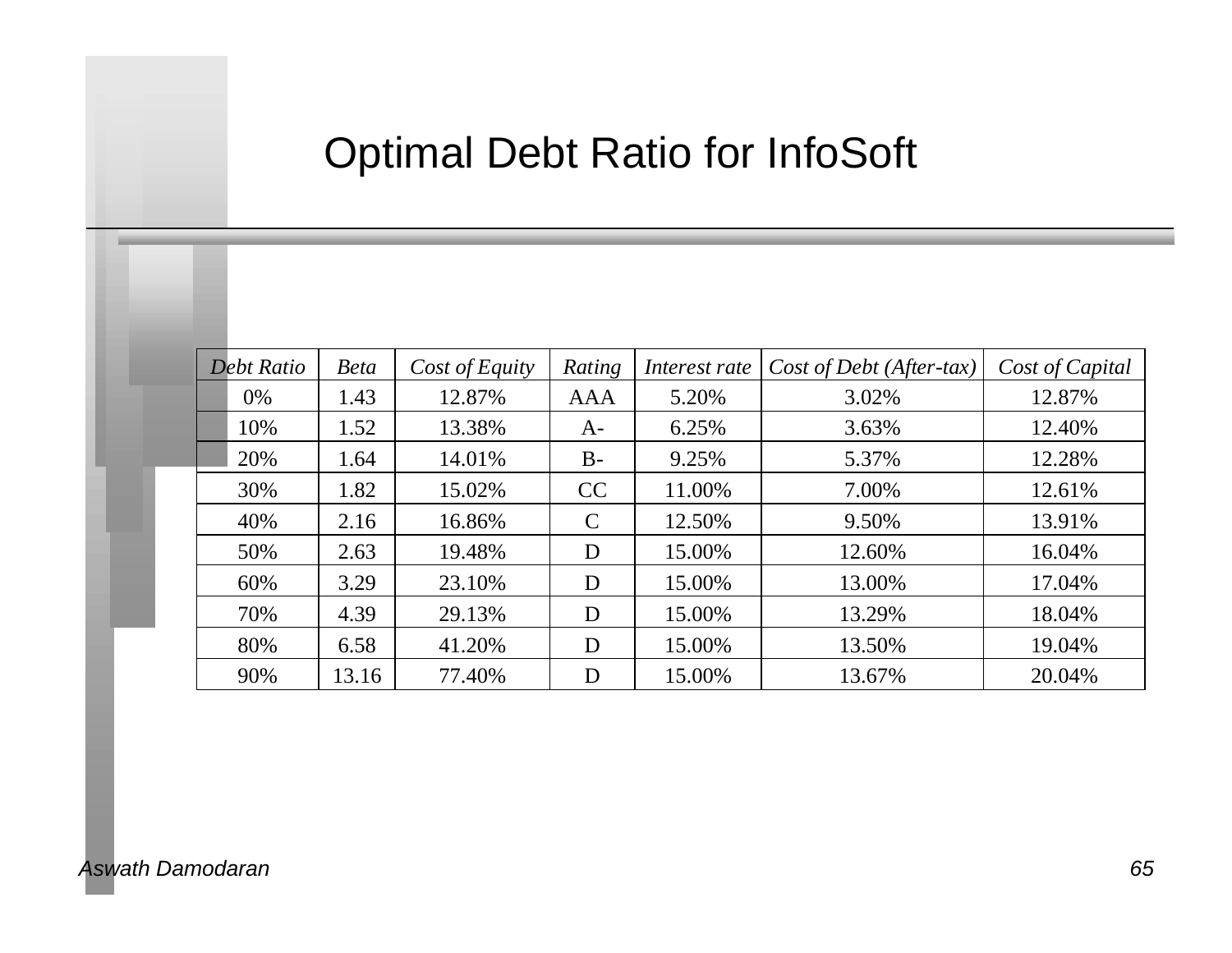## Optimal Debt Ratio for InfoSoft

| Debt Ratio | <b>Beta</b> | Cost of Equity | Rating     | Interest rate | Cost of Debt (After-tax) | Cost of Capital |
|------------|-------------|----------------|------------|---------------|--------------------------|-----------------|
| $0\%$      | 1.43        | 12.87%         | <b>AAA</b> | 5.20%         | 3.02%                    | 12.87%          |
| 10%        | 1.52        | 13.38%         | $A-$       | 6.25%         | 3.63%                    | 12.40%          |
| 20%        | 1.64        | 14.01%         | $B -$      | 9.25%         | 5.37%                    | 12.28%          |
| 30%        | 1.82        | 15.02%         | CC         | 11.00%        | 7.00%                    | 12.61%          |
| 40%        | 2.16        | 16.86%         | C          | 12.50%        | 9.50%                    | 13.91%          |
| 50%        | 2.63        | 19.48%         | D          | 15.00%        | 12.60%                   | 16.04%          |
| 60%        | 3.29        | 23.10%         | D          | 15.00%        | 13.00%                   | 17.04%          |
| 70%        | 4.39        | 29.13%         | D          | 15.00%        | 13.29%                   | 18.04%          |
| 80%        | 6.58        | 41.20%         | D          | 15.00%        | 13.50%                   | 19.04%          |
| 90%        | 13.16       | 77.40%         | D          | 15.00%        | 13.67%                   | 20.04%          |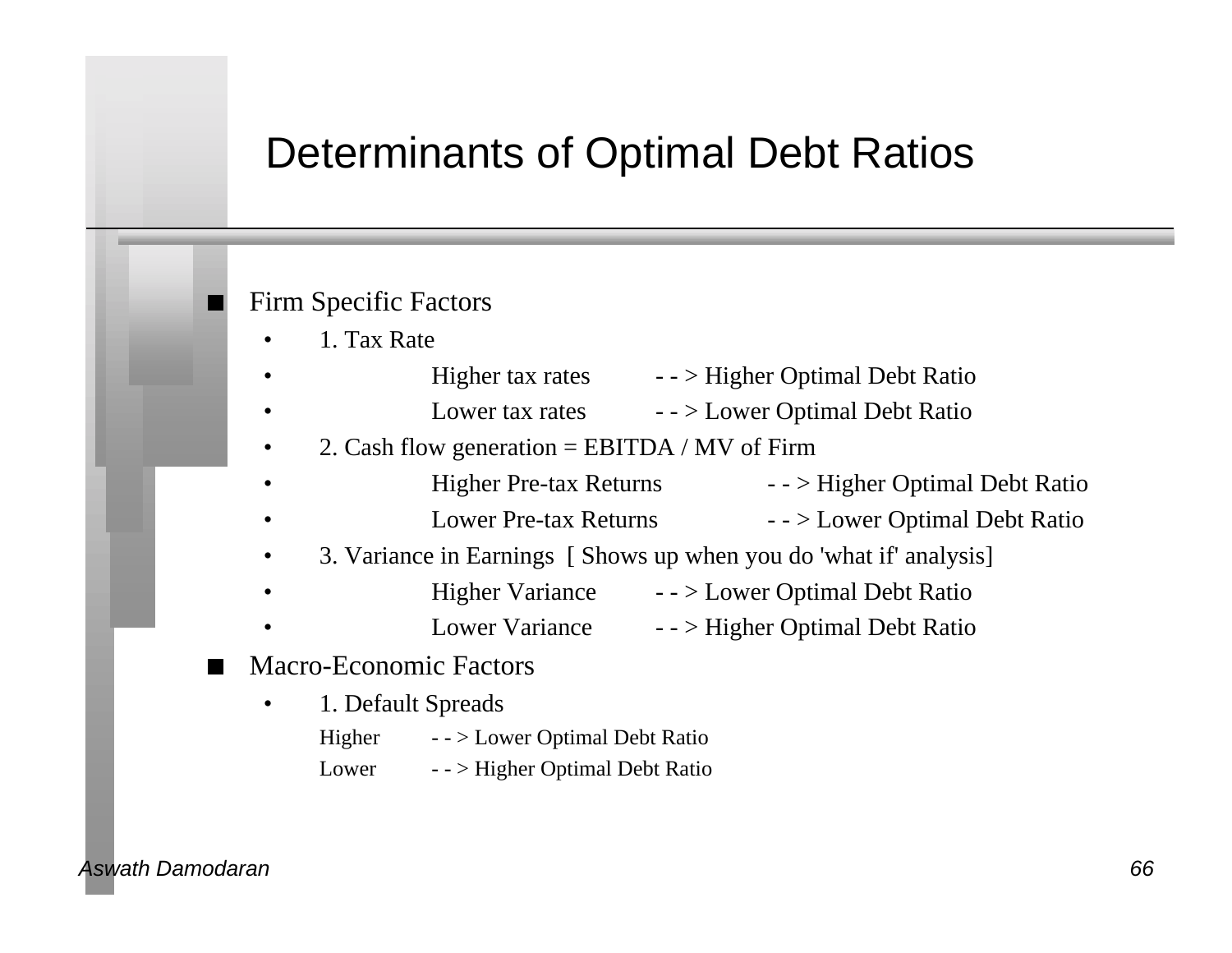#### Determinants of Optimal Debt Ratios

#### Firm Specific Factors

- 1. Tax Rate
	- Higher tax rates - > Higher Optimal Debt Ratio
- Lower tax rates - > Lower Optimal Debt Ratio
- 2. Cash flow generation = EBITDA / MV of Firm
- Higher Pre-tax Returns - > Higher Optimal Debt Ratio
- Lower Pre-tax Returns - > Lower Optimal Debt Ratio
- 3. Variance in Earnings [ Shows up when you do 'what if' analysis]
- Higher Variance - > Lower Optimal Debt Ratio
	- Lower Variance - > Higher Optimal Debt Ratio
- Macro-Economic Factors
	- 1. Default Spreads Higher - - > Lower Optimal Debt Ratio Lower - - > Higher Optimal Debt Ratio

#### *Aswath Damodaran 66*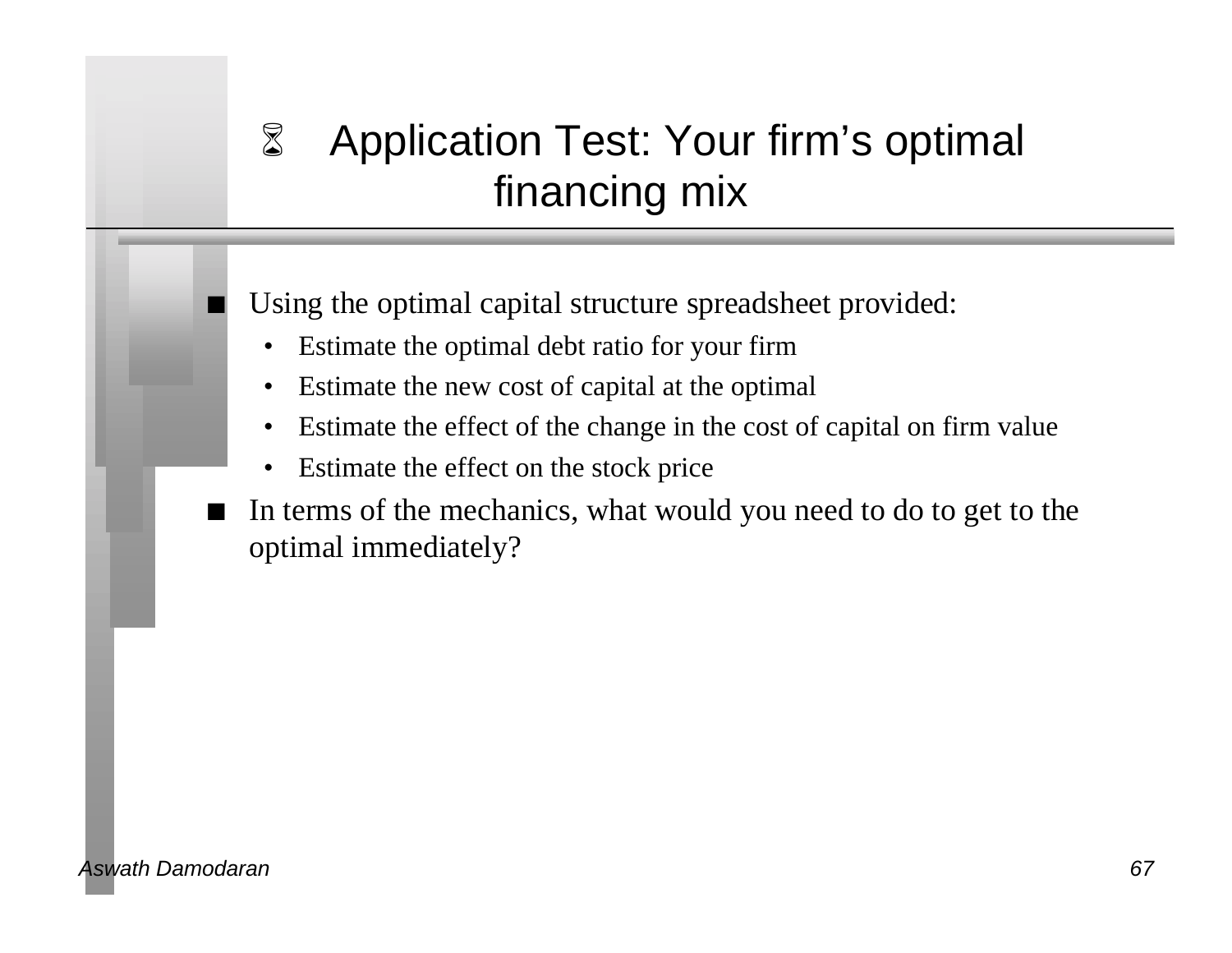# 6 Application Test: Your firm's optimal financing mix

Using the optimal capital structure spreadsheet provided:

- Estimate the optimal debt ratio for your firm
- Estimate the new cost of capital at the optimal
- Estimate the effect of the change in the cost of capital on firm value
- Estimate the effect on the stock price
- n In terms of the mechanics, what would you need to do to get to the optimal immediately?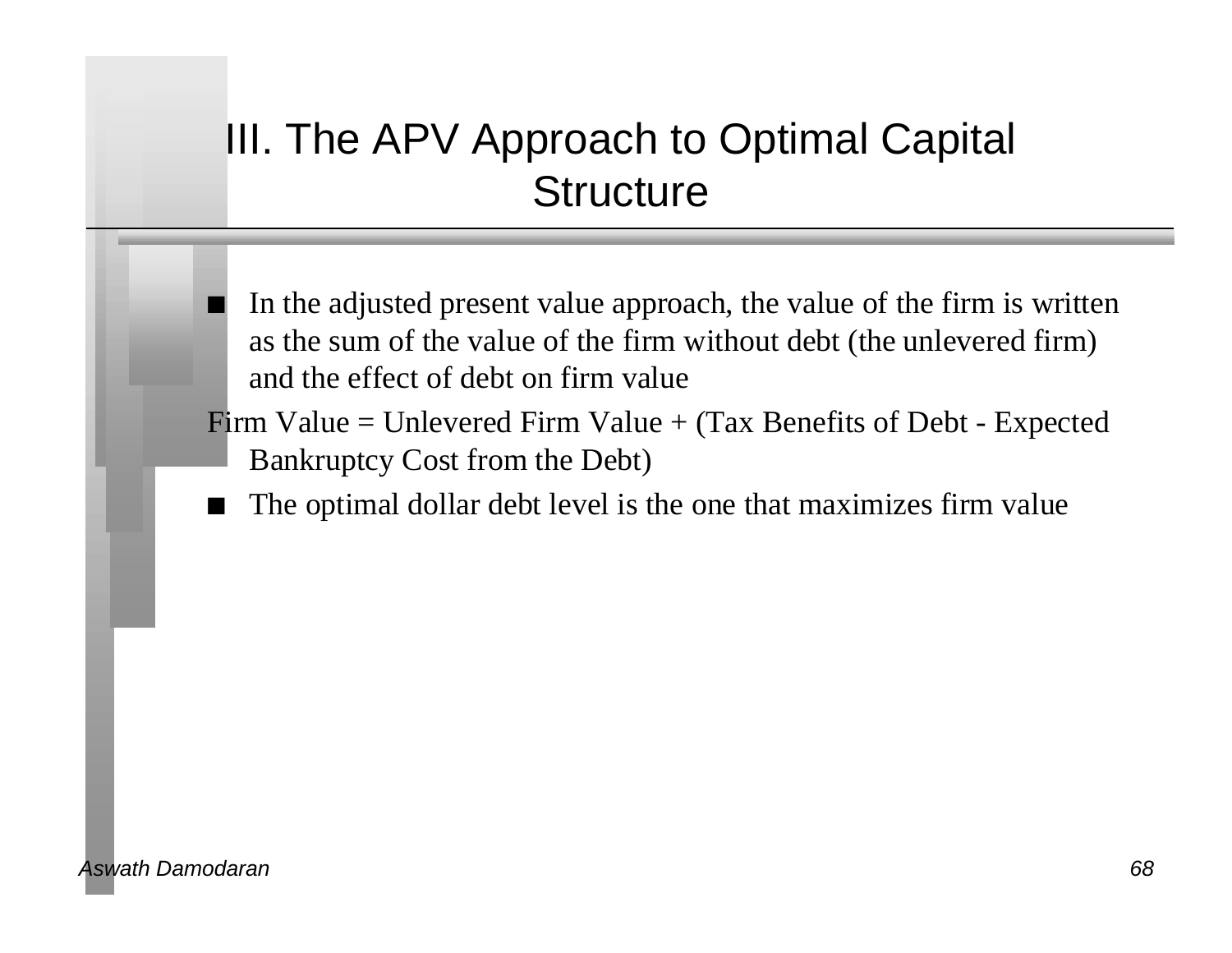## III. The APV Approach to Optimal Capital **Structure**

- n In the adjusted present value approach, the value of the firm is written as the sum of the value of the firm without debt (the unlevered firm) and the effect of debt on firm value
- Firm Value = Unlevered Firm Value  $+$  (Tax Benefits of Debt Expected Bankruptcy Cost from the Debt)
	- The optimal dollar debt level is the one that maximizes firm value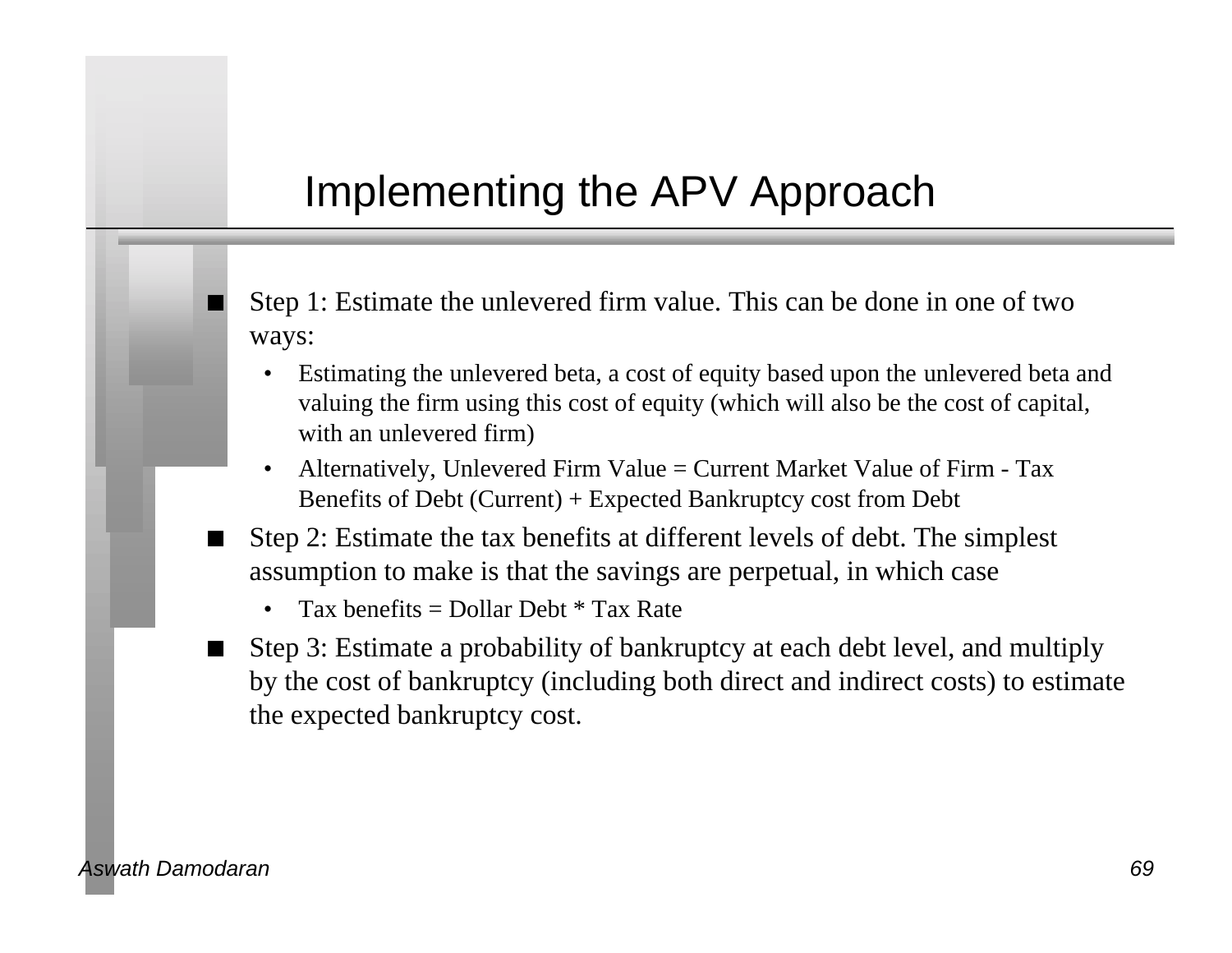## Implementing the APV Approach

- Step 1: Estimate the unlevered firm value. This can be done in one of two ways:
	- Estimating the unlevered beta, a cost of equity based upon the unlevered beta and valuing the firm using this cost of equity (which will also be the cost of capital, with an unlevered firm)
	- Alternatively, Unlevered Firm Value = Current Market Value of Firm Tax Benefits of Debt (Current) + Expected Bankruptcy cost from Debt
- Step 2: Estimate the tax benefits at different levels of debt. The simplest assumption to make is that the savings are perpetual, in which case
	- Tax benefits  $=$  Dollar Debt  $*$  Tax Rate
- Step 3: Estimate a probability of bankruptcy at each debt level, and multiply by the cost of bankruptcy (including both direct and indirect costs) to estimate the expected bankruptcy cost.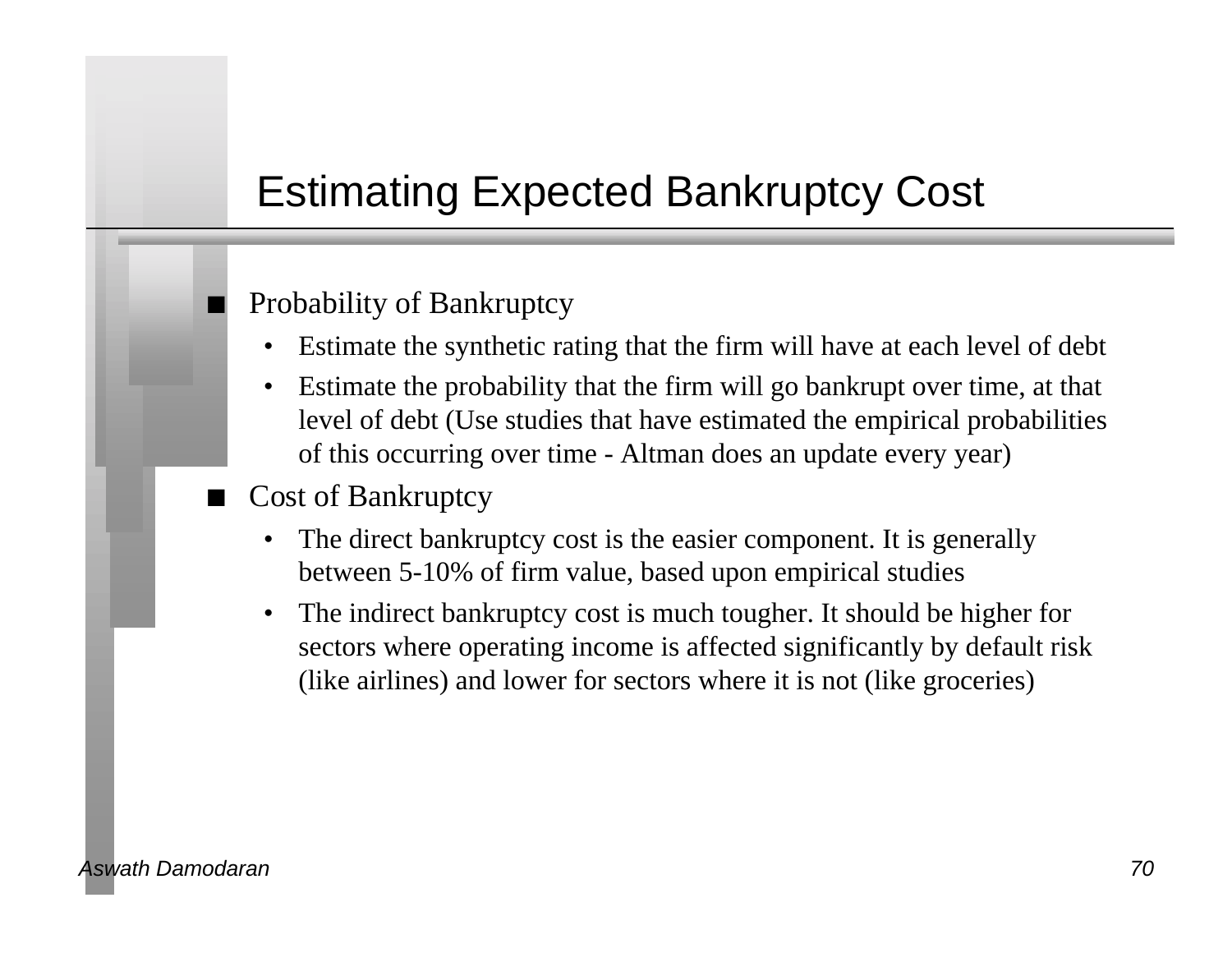## Estimating Expected Bankruptcy Cost

#### Probability of Bankruptcy

- Estimate the synthetic rating that the firm will have at each level of debt
- Estimate the probability that the firm will go bankrupt over time, at that level of debt (Use studies that have estimated the empirical probabilities of this occurring over time - Altman does an update every year)

#### Cost of Bankruptcy

- The direct bankruptcy cost is the easier component. It is generally between 5-10% of firm value, based upon empirical studies
- The indirect bankruptcy cost is much tougher. It should be higher for sectors where operating income is affected significantly by default risk (like airlines) and lower for sectors where it is not (like groceries)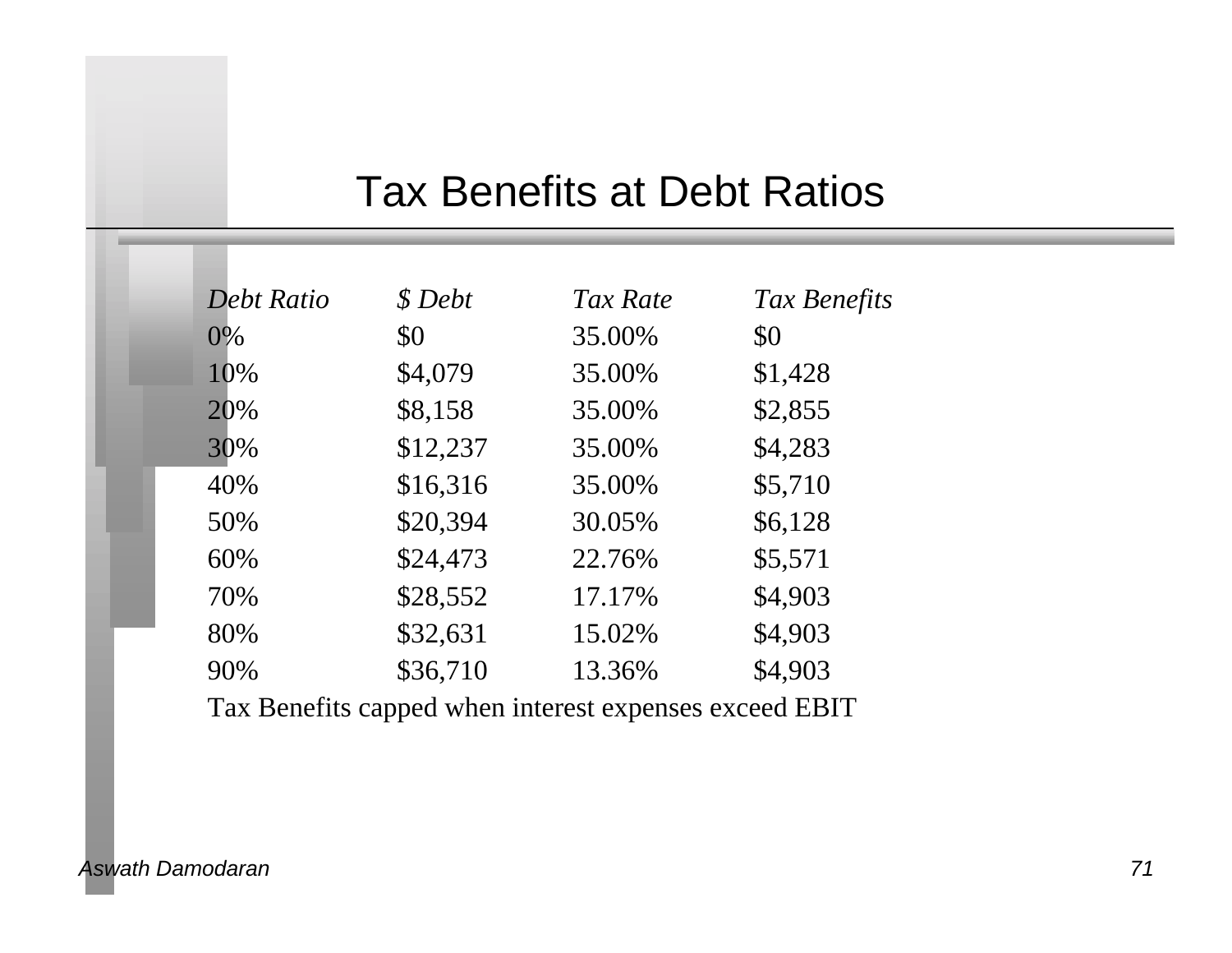### Tax Benefits at Debt Ratios

| Debt Ratio | \$ Debt  | Tax Rate | Tax Benefits |
|------------|----------|----------|--------------|
| $0\%$      | \$0      | 35.00%   | \$0          |
| 10%        | \$4,079  | 35.00%   | \$1,428      |
| 20%        | \$8,158  | 35.00%   | \$2,855      |
| 30%        | \$12,237 | 35.00%   | \$4,283      |
| 40%        | \$16,316 | 35.00%   | \$5,710      |
| 50%        | \$20,394 | 30.05%   | \$6,128      |
| 60%        | \$24,473 | 22.76%   | \$5,571      |
| 70%        | \$28,552 | 17.17%   | \$4,903      |
| 80%        | \$32,631 | 15.02%   | \$4,903      |
| 90%        | \$36,710 | 13.36%   | \$4,903      |
|            |          |          |              |

Tax Benefits capped when interest expenses exceed EBIT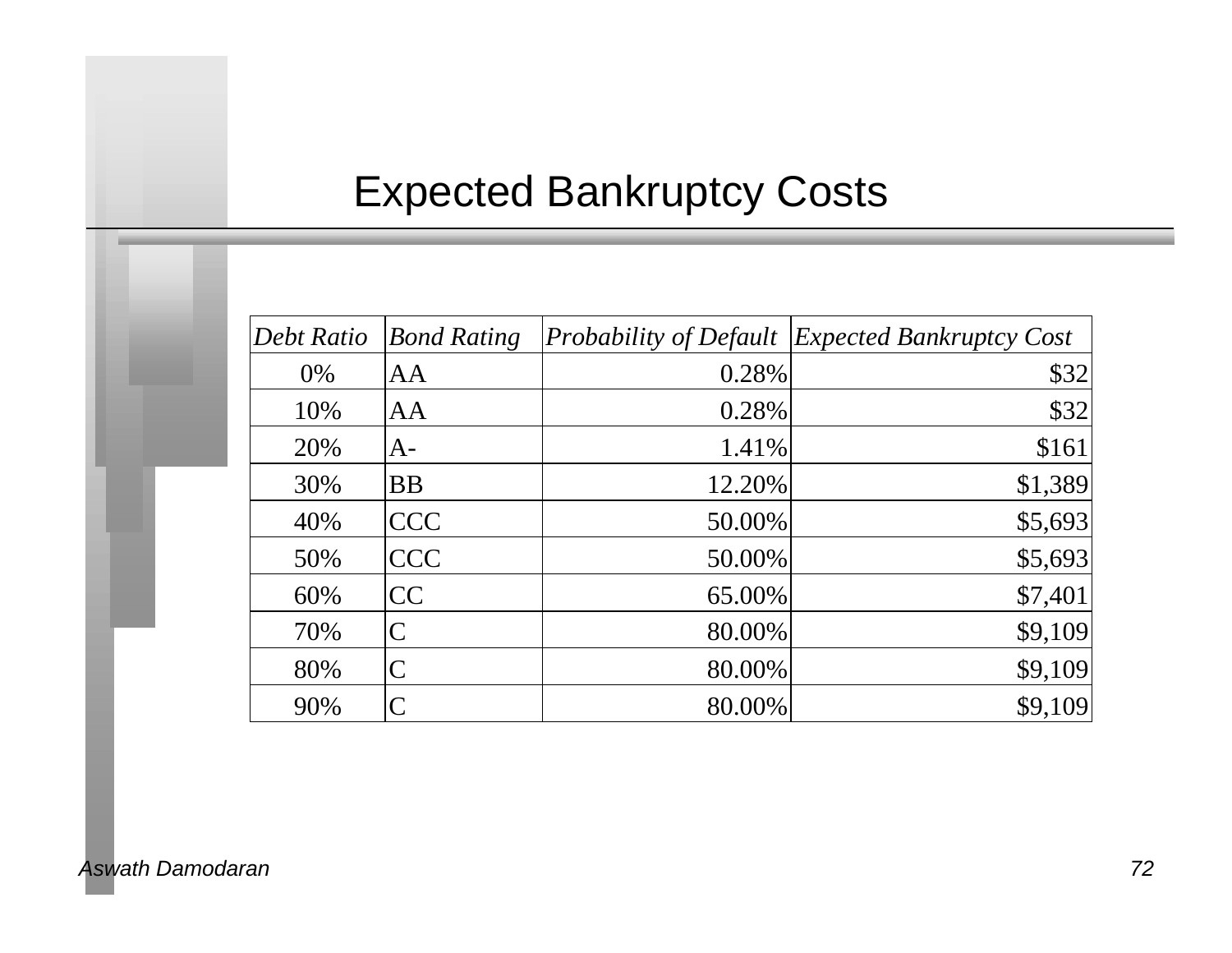# Expected Bankruptcy Costs

| Debt Ratio | <b>Bond Rating</b> | <i>Probability of Default</i> | <b>Expected Bankruptcy Cost</b> |
|------------|--------------------|-------------------------------|---------------------------------|
| 0%         | AA                 | 0.28%                         | \$32                            |
| 10%        | AA                 | 0.28%                         | \$32                            |
| 20%        | $A-$               | 1.41%                         | \$161                           |
| 30%        | <b>BB</b>          | 12.20%                        | \$1,389                         |
| 40%        | <b>CCC</b>         | 50.00%                        | \$5,693                         |
| 50%        | <b>CCC</b>         | 50.00%                        | \$5,693                         |
| 60%        | CC                 | 65.00%                        | \$7,401                         |
| 70%        | C                  | 80.00%                        | \$9,109                         |
| 80%        | $\mathcal C$       | 80.00%                        | \$9,109                         |
| 90%        |                    | 80.00%                        | \$9,109                         |